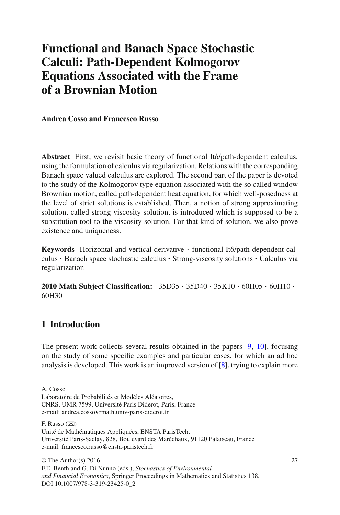# **Functional and Banach Space Stochastic Calculi: Path-Dependent Kolmogorov Equations Associated with the Frame of a Brownian Motion**

**Andrea Cosso and Francesco Russo**

**Abstract** First, we revisit basic theory of functional Itô/path-dependent calculus, using the formulation of calculus via regularization. Relations with the corresponding Banach space valued calculus are explored. The second part of the paper is devoted to the study of the Kolmogorov type equation associated with the so called window Brownian motion, called path-dependent heat equation, for which well-posedness at the level of strict solutions is established. Then, a notion of strong approximating solution, called strong-viscosity solution, is introduced which is supposed to be a substitution tool to the viscosity solution. For that kind of solution, we also prove existence and uniqueness.

**Keywords** Horizontal and vertical derivative · functional Itô/path-dependent calculus · Banach space stochastic calculus · Strong-viscosity solutions · Calculus via regularization

**2010 Math Subject Classification:**  $35D35 \cdot 35D40 \cdot 35K10 \cdot 60H05 \cdot 60H10 \cdot 60H30$ 

# **1 Introduction**

The present work collects several results obtained in the papers [\[9](#page-52-0), [10\]](#page-52-1), focusing on the study of some specific examples and particular cases, for which an ad hoc analysis is developed. This work is an improved version of [\[8](#page-52-2)], trying to explain more

A. Cosso

F. Russo  $(\boxtimes)$ 

Laboratoire de Probabilités et Modèles Aléatoires,

CNRS, UMR 7599, Université Paris Diderot, Paris, France e-mail: andrea.cosso@math.univ-paris-diderot.fr

Unité de Mathématiques Appliquées, ENSTA ParisTech, Université Paris-Saclay, 828, Boulevard des Maréchaux, 91120 Palaiseau, France e-mail: francesco.russo@ensta-paristech.fr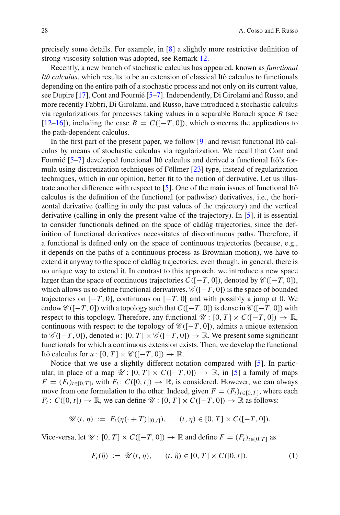precisely some details. For example, in [\[8](#page-52-2)] a slightly more restrictive definition of strong-viscosity solution was adopted, see Remark [12.](#page-46-0)

Recently, a new branch of stochastic calculus has appeared, known as *functional Itô calculus*, which results to be an extension of classical Itô calculus to functionals depending on the entire path of a stochastic process and not only on its current value, see Dupire [\[17](#page-52-3)], Cont and Fournié [\[5](#page-51-0)[–7](#page-52-4)]. Independently, Di Girolami and Russo, and more recently Fabbri, Di Girolami, and Russo, have introduced a stochastic calculus via regularizations for processes taking values in a separable Banach space *B* (see  $[12–16]$  $[12–16]$ ), including the case  $B = C([-T, 0])$ , which concerns the applications to the path-dependent calculus.

In the first part of the present paper, we follow [\[9](#page-52-0)] and revisit functional Itô calculus by means of stochastic calculus via regularization. We recall that Cont and Fournié [\[5](#page-51-0)[–7\]](#page-52-4) developed functional Itô calculus and derived a functional Itô's formula using discretization techniques of Föllmer [\[23](#page-52-7)] type, instead of regularization techniques, which in our opinion, better fit to the notion of derivative. Let us illustrate another difference with respect to [\[5\]](#page-51-0). One of the main issues of functional Itô calculus is the definition of the functional (or pathwise) derivatives, i.e., the horizontal derivative (calling in only the past values of the trajectory) and the vertical derivative (calling in only the present value of the trajectory). In [\[5](#page-51-0)], it is essential to consider functionals defined on the space of càdlàg trajectories, since the definition of functional derivatives necessitates of discontinuous paths. Therefore, if a functional is defined only on the space of continuous trajectories (because, e.g., it depends on the paths of a continuous process as Brownian motion), we have to extend it anyway to the space of càdlàg trajectories, even though, in general, there is no unique way to extend it. In contrast to this approach, we introduce a new space larger than the space of continuous trajectories  $C([-T, 0])$ , denoted by  $\mathcal{C}([-T, 0])$ , which allows us to define functional derivatives.  $\mathcal{C}([-T, 0])$  is the space of bounded trajectories on  $[-T, 0]$ , continuous on  $[-T, 0]$  and with possibly a jump at 0. We endow  $C([-T, 0])$  with a topology such that  $C([-T, 0])$  is dense in  $C([-T, 0])$  with respect to this topology. Therefore, any functional  $\mathcal{U} : [0, T] \times C([-T, 0]) \to \mathbb{R}$ , continuous with respect to the topology of  $\mathcal{C}([-T, 0])$ , admits a unique extension to  $\mathscr{C}([-T, 0])$ , denoted  $u : [0, T] \times \mathscr{C}([-T, 0]) \rightarrow \mathbb{R}$ . We present some significant functionals for which a continuous extension exists. Then, we develop the functional Itô calculus for  $u : [0, T] \times \mathcal{C}([-T, 0]) \rightarrow \mathbb{R}$ .

Notice that we use a slightly different notation compared with [\[5](#page-51-0)]. In particular, in place of a map  $\mathcal{U} : [0, T] \times C([-T, 0]) \rightarrow \mathbb{R}$ , in [\[5\]](#page-51-0) a family of maps  $F = (F_t)_{t \in [0,T]},$  with  $F_t: C([0,t]) \to \mathbb{R}$ , is considered. However, we can always move from one formulation to the other. Indeed, given  $F = (F_t)_{t \in [0,T]}$ , where each  $F_t$ :  $C([0, t]) \to \mathbb{R}$ , we can define  $\mathcal{U}$ :  $[0, T] \times C([-T, 0]) \to \mathbb{R}$  as follows:

$$
\mathscr{U}(t,\eta) := F_t(\eta(\cdot+T)|_{[0,t]}), \quad (t,\eta) \in [0,T] \times C([-T,0]).
$$

<span id="page-1-0"></span>Vice-versa, let  $\mathcal{U}: [0, T] \times C([-T, 0]) \rightarrow \mathbb{R}$  and define  $F = (F_t)_{t \in [0, T]}$  as

$$
F_t(\tilde{\eta}) := \mathscr{U}(t, \eta), \quad (t, \tilde{\eta}) \in [0, T] \times C([0, t]), \tag{1}
$$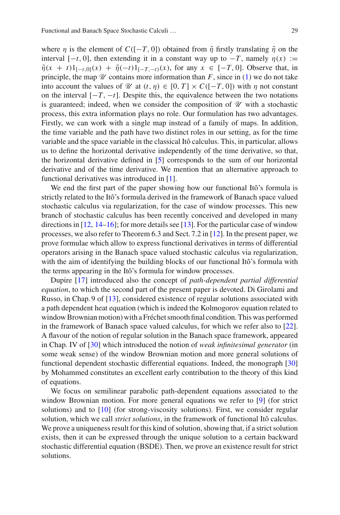where  $\eta$  is the element of *C*([−*T*, 0]) obtained from  $\tilde{\eta}$  firstly translating  $\tilde{\eta}$  on the interval [−*t*, 0], then extending it in a constant way up to  $-T$ , namely  $\eta(x)$  :=  $\tilde{\eta}(x + t)1_{[-t,0]}(x) + \tilde{\eta}(-t)1_{[-T,-t]}(x)$ , for any  $x \in [-T,0]$ . Observe that, in principle, the map  $\mathscr U$  contains more information than *F*, since in [\(1\)](#page-1-0) we do not take into account the values of *U* at  $(t, \eta) \in [0, T] \times C([-T, 0])$  with  $\eta$  not constant on the interval  $[-T, -t]$ . Despite this, the equivalence between the two notations is guaranteed; indeed, when we consider the composition of *U* with a stochastic process, this extra information plays no role. Our formulation has two advantages. Firstly, we can work with a single map instead of a family of maps. In addition, the time variable and the path have two distinct roles in our setting, as for the time variable and the space variable in the classical Itô calculus. This, in particular, allows us to define the horizontal derivative independently of the time derivative, so that, the horizontal derivative defined in [\[5](#page-51-0)] corresponds to the sum of our horizontal derivative and of the time derivative. We mention that an alternative approach to functional derivatives was introduced in [\[1](#page-51-1)].

We end the first part of the paper showing how our functional Itô's formula is strictly related to the Itô's formula derived in the framework of Banach space valued stochastic calculus via regularization, for the case of window processes. This new branch of stochastic calculus has been recently conceived and developed in many directions in  $[12, 14-16]$  $[12, 14-16]$  $[12, 14-16]$  $[12, 14-16]$ ; for more details see  $[13]$  $[13]$ . For the particular case of window processes, we also refer to Theorem 6.3 and Sect. 7.2 in [\[12\]](#page-52-5). In the present paper, we prove formulae which allow to express functional derivatives in terms of differential operators arising in the Banach space valued stochastic calculus via regularization, with the aim of identifying the building blocks of our functional Itô's formula with the terms appearing in the Itô's formula for window processes.

Dupire [\[17](#page-52-3)] introduced also the concept of *path-dependent partial differential equation*, to which the second part of the present paper is devoted. Di Girolami and Russo, in Chap. 9 of [\[13](#page-52-9)], considered existence of regular solutions associated with a path dependent heat equation (which is indeed the Kolmogorov equation related to window Brownian motion) with a Fréchet smooth final condition. This was performed in the framework of Banach space valued calculus, for which we refer also to [\[22](#page-52-10)]. A flavour of the notion of regular solution in the Banach space framework, appeared in Chap. IV of [\[30\]](#page-53-0) which introduced the notion of *weak infinitesimal generator* (in some weak sense) of the window Brownian motion and more general solutions of functional dependent stochastic differential equations. Indeed, the monograph [\[30\]](#page-53-0) by Mohammed constitutes an excellent early contribution to the theory of this kind of equations.

We focus on semilinear parabolic path-dependent equations associated to the window Brownian motion. For more general equations we refer to [\[9\]](#page-52-0) (for strict solutions) and to [\[10](#page-52-1)] (for strong-viscosity solutions). First, we consider regular solution, which we call *strict solutions*, in the framework of functional Itô calculus. We prove a uniqueness result for this kind of solution, showing that, if a strict solution exists, then it can be expressed through the unique solution to a certain backward stochastic differential equation (BSDE). Then, we prove an existence result for strict solutions.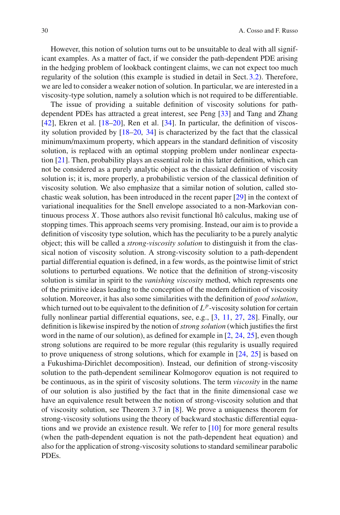However, this notion of solution turns out to be unsuitable to deal with all significant examples. As a matter of fact, if we consider the path-dependent PDE arising in the hedging problem of lookback contingent claims, we can not expect too much regularity of the solution (this example is studied in detail in Sect. [3.2\)](#page-41-0). Therefore, we are led to consider a weaker notion of solution. In particular, we are interested in a viscosity-type solution, namely a solution which is not required to be differentiable.

The issue of providing a suitable definition of viscosity solutions for pathdependent PDEs has attracted a great interest, see Peng [\[33](#page-53-1)] and Tang and Zhang [\[42\]](#page-53-2), Ekren et al. [\[18](#page-52-11)[–20\]](#page-52-12), Ren et al. [\[34](#page-53-3)]. In particular, the definition of viscosity solution provided by [\[18](#page-52-11)[–20](#page-52-12), [34\]](#page-53-3) is characterized by the fact that the classical minimum/maximum property, which appears in the standard definition of viscosity solution, is replaced with an optimal stopping problem under nonlinear expectation [\[21\]](#page-52-13). Then, probability plays an essential role in this latter definition, which can not be considered as a purely analytic object as the classical definition of viscosity solution is; it is, more properly, a probabilistic version of the classical definition of viscosity solution. We also emphasize that a similar notion of solution, called stochastic weak solution, has been introduced in the recent paper [\[29\]](#page-52-14) in the context of variational inequalities for the Snell envelope associated to a non-Markovian continuous process *X*. Those authors also revisit functional Itô calculus, making use of stopping times. This approach seems very promising. Instead, our aim is to provide a definition of viscosity type solution, which has the peculiarity to be a purely analytic object; this will be called a *strong-viscosity solution* to distinguish it from the classical notion of viscosity solution. A strong-viscosity solution to a path-dependent partial differential equation is defined, in a few words, as the pointwise limit of strict solutions to perturbed equations. We notice that the definition of strong-viscosity solution is similar in spirit to the *vanishing viscosity* method, which represents one of the primitive ideas leading to the conception of the modern definition of viscosity solution. Moreover, it has also some similarities with the definition of *good solution*, which turned out to be equivalent to the definition of  $L^p$ -viscosity solution for certain fully nonlinear partial differential equations, see, e.g., [\[3](#page-51-2), [11,](#page-52-15) [27,](#page-52-16) [28](#page-52-17)]. Finally, our definition is likewise inspired by the notion of*strong solution* (which justifies the first word in the name of our solution), as defined for example in [\[2,](#page-51-3) [24,](#page-52-18) [25](#page-52-19)], even though strong solutions are required to be more regular (this regularity is usually required to prove uniqueness of strong solutions, which for example in [\[24](#page-52-18), [25](#page-52-19)] is based on a Fukushima-Dirichlet decomposition). Instead, our definition of strong-viscosity solution to the path-dependent semilinear Kolmogorov equation is not required to be continuous, as in the spirit of viscosity solutions. The term *viscosity* in the name of our solution is also justified by the fact that in the finite dimensional case we have an equivalence result between the notion of strong-viscosity solution and that of viscosity solution, see Theorem 3.7 in [\[8\]](#page-52-2). We prove a uniqueness theorem for strong-viscosity solutions using the theory of backward stochastic differential equations and we provide an existence result. We refer to [\[10\]](#page-52-1) for more general results (when the path-dependent equation is not the path-dependent heat equation) and also for the application of strong-viscosity solutions to standard semilinear parabolic PDEs.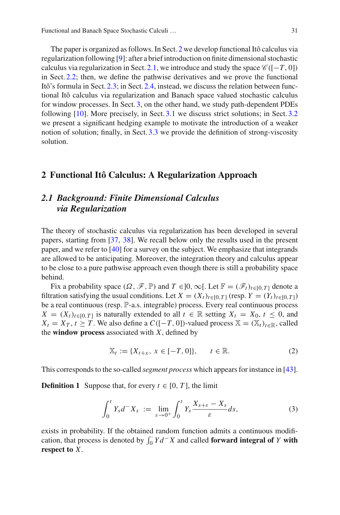The paper is organized as follows. In Sect. [2](#page-4-0) we develop functional Itô calculus via regularization following [\[9\]](#page-52-0): after a brief introduction on finite dimensional stochastic calculus via regularization in Sect. [2.1,](#page-4-1) we introduce and study the space  $\mathcal{C}([-T, 0])$ in Sect. [2.2;](#page-9-0) then, we define the pathwise derivatives and we prove the functional Itô's formula in Sect. [2.3;](#page-14-0) in Sect. [2.4,](#page-21-0) instead, we discuss the relation between functional Itô calculus via regularization and Banach space valued stochastic calculus for window processes. In Sect. [3,](#page-34-0) on the other hand, we study path-dependent PDEs following [\[10](#page-52-1)]. More precisely, in Sect. [3.1](#page-35-0) we discuss strict solutions; in Sect. [3.2](#page-41-0) we present a significant hedging example to motivate the introduction of a weaker notion of solution; finally, in Sect. [3.3](#page-46-1) we provide the definition of strong-viscosity solution.

#### <span id="page-4-0"></span>**2 Functional Itô Calculus: A Regularization Approach**

### <span id="page-4-1"></span>*2.1 Background: Finite Dimensional Calculus via Regularization*

The theory of stochastic calculus via regularization has been developed in several papers, starting from [\[37](#page-53-4), [38](#page-53-5)]. We recall below only the results used in the present paper, and we refer to [\[40](#page-53-6)] for a survey on the subject. We emphasize that integrands are allowed to be anticipating. Moreover, the integration theory and calculus appear to be close to a pure pathwise approach even though there is still a probability space behind.

Fix a probability space  $(\Omega, \mathscr{F}, \mathbb{P})$  and  $T \in ]0, \infty[$ . Let  $\mathbb{F} = (\mathscr{F}_t)_{t \in [0,T]}$  denote a filtration satisfying the usual conditions. Let  $X = (X_t)_{t \in [0,T]}$  (resp.  $Y = (Y_t)_{t \in [0,T]}$ ) be a real continuous (resp. P-a.s. integrable) process. Every real continuous process  $X = (X_t)_{t \in [0, T]}$  is naturally extended to all  $t \in \mathbb{R}$  setting  $X_t = X_0, t \leq 0$ , and  $X_t = X_T$ ,  $t \geq T$ . We also define a  $C([-T, 0])$ -valued process  $\mathbb{X} = (\mathbb{X}_t)_{t \in \mathbb{R}}$ , called the **window process** associated with  $X$ , defined by

$$
\mathbb{X}_t := \{ X_{t+x}, \, x \in [-T, 0] \}, \qquad t \in \mathbb{R}.
$$
 (2)

<span id="page-4-3"></span>This corresponds to the so-called *segment process* which appears for instance in [\[43](#page-53-7)].

<span id="page-4-2"></span>**Definition 1** Suppose that, for every  $t \in [0, T]$ , the limit

$$
\int_0^t Y_s d^- X_s \; := \; \lim_{\varepsilon \to 0^+} \int_0^t Y_s \frac{X_{s+\varepsilon} - X_s}{\varepsilon} ds, \tag{3}
$$

exists in probability. If the obtained random function admits a continuous modification, that process is denoted by  $\int_0^T Y d^X X$  and called **forward integral of** *Y* with **respect to** *X*.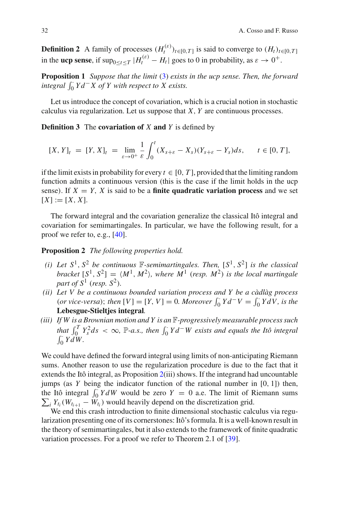**Definition 2** A family of processes  $(H_t^{(\varepsilon)})_{t \in [0,T]}$  is said to converge to  $(H_t)_{t \in [0,T]}$ in the **ucp sense**, if  $\sup_{0 \le t \le T} |H_t^{(\varepsilon)} - H_t|$  goes to 0 in probability, as  $\varepsilon \to 0^+$ .

**Proposition 1** *Suppose that the limit* [\(3\)](#page-4-2) *exists in the ucp sense. Then, the forward integral*  $\int_0^1 Y d^−X$  *of*  $Y$  *with respect to*  $X$  *exists.* 

Let us introduce the concept of covariation, which is a crucial notion in stochastic calculus via regularization. Let us suppose that *X*, *Y* are continuous processes.

**Definition 3** The **covariation of** *X* **and** *Y* is defined by

$$
[X,Y]_t = [Y,X]_t = \lim_{\varepsilon \to 0^+} \frac{1}{\varepsilon} \int_0^t (X_{s+\varepsilon} - X_s)(Y_{s+\varepsilon} - Y_s) ds, \quad t \in [0,T],
$$

if the limit exists in probability for every  $t \in [0, T]$ , provided that the limiting random function admits a continuous version (this is the case if the limit holds in the ucp sense). If  $X = Y$ , X is said to be a **finite quadratic variation process** and we set  $[X] := [X, X].$ 

The forward integral and the covariation generalize the classical Itô integral and covariation for semimartingales. In particular, we have the following result, for a proof we refer to, e.g., [\[40](#page-53-6)].

<span id="page-5-0"></span>**Proposition 2** *The following properties hold.*

- *(i) Let*  $S^1$ ,  $S^2$  *be continuous* F-semimartingales. Then,  $[S^1, S^2]$  *is the classical bracket*  $[S^1, S^2] = \langle M^1, M^2 \rangle$ , where  $M^1$  (*resp.*  $M^2$ ) *is the local martingale part of*  $S^1$  (*resp.*  $S^2$ ).
- *(ii) Let V be a continuous bounded variation process and Y be a càdlàg process* (*or vice-versa*); *then*  $[V] = [Y, V] = 0$ *. Moreover*  $\int_0^{\infty} Y d^{-} V = \int_0^{\infty} Y dV$ *, is the* **Lebesgue-Stieltjes integral***.*
- *(iii) If W is a Brownian motion and Y is an* F*-progressively measurable process such that*  $\int_0^T Y_s^2 ds < \infty$ , P-a.s., then  $\int_0^T Y d^W$  exists and equals the Itô integral  $\int_0^{\cdot} Y dW$ .

We could have defined the forward integral using limits of non-anticipating Riemann sums. Another reason to use the regularization procedure is due to the fact that it extends the Itô integral, as Proposition  $2(iii)$  $2(iii)$  shows. If the integrand had uncountable jumps (as  $Y$  being the indicator function of the rational number in  $[0, 1]$ ) then, the Itô integral  $\int_0^T Y dW$  would be zero  $Y = 0$  a.e. The limit of Riemann sums  $\sum_i Y_{t_i} (W_{t_{i+1}} - W_{t_i})$  would heavily depend on the discretization grid.

<span id="page-5-1"></span>We end this crash introduction to finite dimensional stochastic calculus via regularization presenting one of its cornerstones: Itô's formula. It is a well-known result in the theory of semimartingales, but it also extends to the framework of finite quadratic variation processes. For a proof we refer to Theorem 2.1 of [\[39\]](#page-53-8).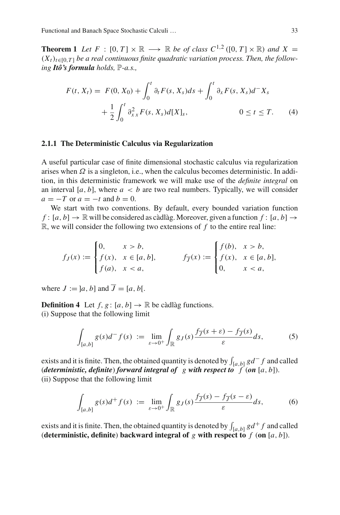**Theorem 1** *Let*  $F : [0, T] \times \mathbb{R} \longrightarrow \mathbb{R}$  *be of class*  $C^{1,2}([0, T] \times \mathbb{R})$  *and*  $X =$  $(X_t)_{t \in [0,T]}$  *be a real continuous finite quadratic variation process. Then, the following Itô's formula holds,* P*-a.s.,*

<span id="page-6-0"></span>
$$
F(t, X_t) = F(0, X_0) + \int_0^t \partial_t F(s, X_s) ds + \int_0^t \partial_x F(s, X_s) d^- X_s
$$
  
+ 
$$
\frac{1}{2} \int_0^t \partial_{xx}^2 F(s, X_s) d[X]_s, \qquad 0 \le t \le T. \tag{4}
$$

#### <span id="page-6-1"></span>**2.1.1 The Deterministic Calculus via Regularization**

A useful particular case of finite dimensional stochastic calculus via regularization arises when  $\Omega$  is a singleton, i.e., when the calculus becomes deterministic. In addition, in this deterministic framework we will make use of the *definite integral* on an interval  $[a, b]$ , where  $a < b$  are two real numbers. Typically, we will consider  $a = -T$  or  $a = -t$  and  $b = 0$ .

We start with two conventions. By default, every bounded variation function  $f : [a, b] \rightarrow \mathbb{R}$  will be considered as càdlàg. Moreover, given a function  $f : [a, b] \rightarrow$ R, we will consider the following two extensions of *f* to the entire real line:

$$
f_J(x) := \begin{cases} 0, & x > b, \\ f(x), & x \in [a, b], \\ f(a), & x < a, \end{cases} \qquad f_{\overline{J}}(x) := \begin{cases} f(b), & x > b, \\ f(x), & x \in [a, b], \\ 0, & x < a, \end{cases}
$$

<span id="page-6-2"></span>where  $J := [a, b]$  and  $\overline{J} = [a, b]$ .

<span id="page-6-4"></span>**Definition 4** Let  $f, g: [a, b] \to \mathbb{R}$  be càdlàg functions. (i) Suppose that the following limit

$$
\int_{[a,b]} g(s)d^- f(s) := \lim_{\varepsilon \to 0^+} \int_{\mathbb{R}} g_J(s) \frac{f_J(s+\varepsilon) - f_J(s)}{\varepsilon} ds,
$$
 (5)

<span id="page-6-3"></span>exists and it is finite. Then, the obtained quantity is denoted by  $\int_{[a,b]} g d^- f$  and called (*deterministic, definite*) *forward integral of g* with respect to  $f$  (on [a, b]). (ii) Suppose that the following limit

$$
\int_{[a,b]} g(s)d^+ f(s) := \lim_{\varepsilon \to 0^+} \int_{\mathbb{R}} g_J(s) \frac{f_J(s) - f_J(s - \varepsilon)}{\varepsilon} ds,
$$
 (6)

exists and it is finite. Then, the obtained quantity is denoted by  $\int_{[a,b]} g d^+ f$  and called (**deterministic, definite**) **backward integral of**  $g$  **with respect to**  $f$  (**on**  $[a, b]$ ).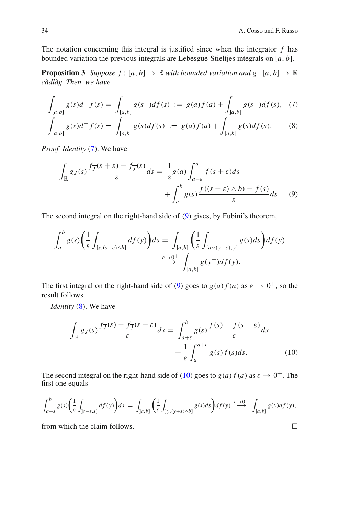The notation concerning this integral is justified since when the integrator *f* has bounded variation the previous integrals are Lebesgue-Stieltjes integrals on [*a*, *b*].

**Proposition 3** *Suppose*  $f : [a, b] \to \mathbb{R}$  *with bounded variation and*  $g : [a, b] \to \mathbb{R}$ *càdlàg. Then, we have*

<span id="page-7-0"></span>
$$
\int_{[a,b]} g(s)d^- f(s) = \int_{[a,b]} g(s^-)df(s) := g(a)f(a) + \int_{[a,b]} g(s^-)df(s), \tag{7}
$$

$$
\int_{[a,b]} g(s)d^+f(s) = \int_{[a,b]} g(s)df(s) := g(a)f(a) + \int_{[a,b]} g(s)df(s).
$$
 (8)

*Proof Identity* [\(7\)](#page-7-0). We have

<span id="page-7-2"></span><span id="page-7-1"></span>
$$
\int_{\mathbb{R}} g_J(s) \frac{f_{\overline{J}}(s+\varepsilon) - f_{\overline{J}}(s)}{\varepsilon} ds = \frac{1}{\varepsilon} g(a) \int_{a-\varepsilon}^a f(s+\varepsilon) ds + \int_a^b g(s) \frac{f((s+\varepsilon)\wedge b) - f(s)}{\varepsilon} ds.
$$
 (9)

The second integral on the right-hand side of [\(9\)](#page-7-1) gives, by Fubini's theorem,

$$
\int_{a}^{b} g(s) \left( \frac{1}{\varepsilon} \int_{]s,(s+\varepsilon) \wedge b]} df(y) \right) ds = \int_{]a,b]} \left( \frac{1}{\varepsilon} \int_{[a \vee (y-\varepsilon),y]} g(s) ds \right) df(y)
$$

$$
\xrightarrow{\varepsilon \to 0^{+}} \int_{]a,b]} g(y^{-}) df(y).
$$

The first integral on the right-hand side of [\(9\)](#page-7-1) goes to  $g(a) f(a)$  as  $\varepsilon \to 0^+$ , so the result follows.

*Identity* [\(8\)](#page-7-2). We have

$$
\int_{\mathbb{R}} g_J(s) \frac{f_{\overline{J}}(s) - f_{\overline{J}}(s - \varepsilon)}{\varepsilon} ds = \int_{a + \varepsilon}^{b} g(s) \frac{f(s) - f(s - \varepsilon)}{\varepsilon} ds \n+ \frac{1}{\varepsilon} \int_{a}^{a + \varepsilon} g(s) f(s) ds.
$$
\n(10)

The second integral on the right-hand side of [\(10\)](#page-7-3) goes to  $g(a) f(a)$  as  $\varepsilon \to 0^+$ . The first one equals

$$
\int_{a+\varepsilon}^{b} g(s) \left( \frac{1}{\varepsilon} \int_{]s-\varepsilon, s]} df(y) \right) ds = \int_{]a,b]} \left( \frac{1}{\varepsilon} \int_{]y,(y+\varepsilon) \wedge b]} g(s) ds \right) df(y) \stackrel{\varepsilon \to 0^+}{\longrightarrow} \int_{]a,b]} g(y) df(y),
$$

from which the claim follows.

<span id="page-7-3"></span>
$$
\Box
$$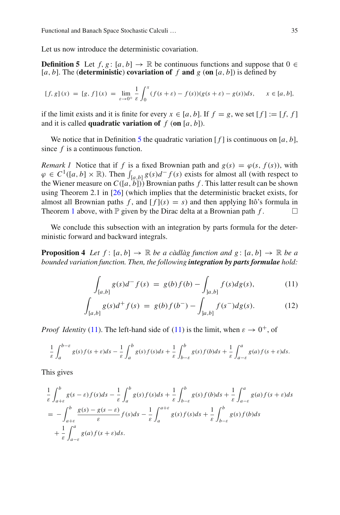<span id="page-8-0"></span>Let us now introduce the deterministic covariation.

**Definition 5** Let  $f, g : [a, b] \to \mathbb{R}$  be continuous functions and suppose that  $0 \in$ [a, b]. The (**deterministic**) **covariation of**  $f$  **and**  $g$  (on [a, b]) is defined by

$$
[f, g](x) = [g, f](x) = \lim_{\varepsilon \to 0^+} \frac{1}{\varepsilon} \int_0^x (f(s + \varepsilon) - f(s)) (g(s + \varepsilon) - g(s)) ds, \quad x \in [a, b],
$$

if the limit exists and it is finite for every  $x \in [a, b]$ . If  $f = g$ , we set  $[f] := [f, f]$ and it is called **quadratic variation of**  $f$  (on  $[a, b]$ ).

We notice that in Definition [5](#page-8-0) the quadratic variation  $\lceil f \rceil$  is continuous on  $\lceil a, b \rceil$ , since *f* is a continuous function.

*Remark 1* Notice that if *f* is a fixed Brownian path and  $g(s) = \varphi(s, f(s))$ , with  $\varphi \in C^1([a, b] \times \mathbb{R})$ . Then  $\int_{[a, b]} g(s) d^- f(s)$  exists for almost all (with respect to the Winner masseum on  $C(I_n, h)$ ). Passuming gaths for This latter gaspil see he shown the Wiener measure on  $C([a, b])$  Brownian paths f. This latter result can be shown using Theorem 2.1 in [\[26](#page-52-20)] (which implies that the deterministic bracket exists, for almost all Brownian paths *f*, and  $[f](s) = s$ ) and then applying Itô's formula in Theorem 1 above with  $\mathbb{P}$  given by the Dirac delta at a Brownian path *f* Theorem [1](#page-5-1) above, with  $\mathbb P$  given by the Dirac delta at a Brownian path  $f$ .

<span id="page-8-3"></span>We conclude this subsection with an integration by parts formula for the deterministic forward and backward integrals.

**Proposition 4** *Let*  $f : [a, b] \to \mathbb{R}$  *be a càdlàg function and*  $g : [a, b] \to \mathbb{R}$  *be a bounded variation function. Then, the following integration by parts formulae hold:*

<span id="page-8-2"></span><span id="page-8-1"></span>
$$
\int_{[a,b]} g(s)d^- f(s) = g(b)f(b) - \int_{]a,b]} f(s)dg(s), \tag{11}
$$

$$
\int_{[a,b]} g(s)d^+f(s) = g(b)f(b^-) - \int_{[a,b]} f(s^-)dg(s).
$$
 (12)

*Proof Identity* [\(11\)](#page-8-1). The left-hand side of (11) is the limit, when  $\varepsilon \to 0^+$ , of

$$
\frac{1}{\varepsilon} \int_{a}^{b-\varepsilon} g(s) f(s+\varepsilon) ds - \frac{1}{\varepsilon} \int_{a}^{b} g(s) f(s) ds + \frac{1}{\varepsilon} \int_{b-\varepsilon}^{b} g(s) f(b) ds + \frac{1}{\varepsilon} \int_{a-\varepsilon}^{a} g(a) f(s+\varepsilon) ds.
$$

This gives

$$
\frac{1}{\varepsilon} \int_{a+\varepsilon}^{b} g(s-\varepsilon) f(s) ds - \frac{1}{\varepsilon} \int_{a}^{b} g(s) f(s) ds + \frac{1}{\varepsilon} \int_{b-\varepsilon}^{b} g(s) f(b) ds + \frac{1}{\varepsilon} \int_{a-\varepsilon}^{a} g(a) f(s+\varepsilon) ds \n= - \int_{a+\varepsilon}^{b} \frac{g(s) - g(s-\varepsilon)}{\varepsilon} f(s) ds - \frac{1}{\varepsilon} \int_{a}^{a+\varepsilon} g(s) f(s) ds + \frac{1}{\varepsilon} \int_{b-\varepsilon}^{b} g(s) f(b) ds \n+ \frac{1}{\varepsilon} \int_{a-\varepsilon}^{a} g(a) f(s+\varepsilon) ds.
$$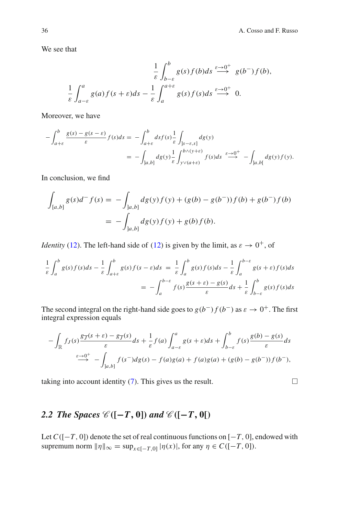We see that

$$
\frac{1}{\varepsilon} \int_{b-\varepsilon}^{b} g(s) f(b) ds \stackrel{\varepsilon \to 0^{+}}{\longrightarrow} g(b^{-}) f(b),
$$
  

$$
\frac{1}{\varepsilon} \int_{a-\varepsilon}^{a} g(a) f(s+\varepsilon) ds - \frac{1}{\varepsilon} \int_{a}^{a+\varepsilon} g(s) f(s) ds \stackrel{\varepsilon \to 0^{+}}{\longrightarrow} 0.
$$

Moreover, we have

$$
-\int_{a+\varepsilon}^{b} \frac{g(s) - g(s-\varepsilon)}{\varepsilon} f(s) ds = -\int_{a+\varepsilon}^{b} ds f(s) \frac{1}{\varepsilon} \int_{|s-\varepsilon, s]} dg(y)
$$
  

$$
= -\int_{|a,b|} dg(y) \frac{1}{\varepsilon} \int_{y\vee(a+\varepsilon)}^{b\wedge (y+\varepsilon)} f(s) ds \xrightarrow{\varepsilon \to 0^{+}} -\int_{|a,b|} dg(y) f(y).
$$

In conclusion, we find

$$
\int_{[a,b]} g(s)d^- f(s) = -\int_{]a,b]} dg(y)f(y) + (g(b) - g(b^-))f(b) + g(b^-)f(b)
$$

$$
= -\int_{]a,b]} dg(y)f(y) + g(b)f(b).
$$

*Identity* [\(12\)](#page-8-2). The left-hand side of (12) is given by the limit, as  $\varepsilon \to 0^+$ , of

$$
\frac{1}{\varepsilon} \int_{a}^{b} g(s) f(s) ds - \frac{1}{\varepsilon} \int_{a+\varepsilon}^{b} g(s) f(s-\varepsilon) ds = \frac{1}{\varepsilon} \int_{a}^{b} g(s) f(s) ds - \frac{1}{\varepsilon} \int_{a}^{b-\varepsilon} g(s+\varepsilon) f(s) ds
$$

$$
= - \int_{a}^{b-\varepsilon} f(s) \frac{g(s+\varepsilon) - g(s)}{\varepsilon} ds + \frac{1}{\varepsilon} \int_{b-\varepsilon}^{b} g(s) f(s) ds
$$

The second integral on the right-hand side goes to  $g(b^-) f(b^-)$  as  $\varepsilon \to 0^+$ . The first integral expression equals

$$
-\int_{\mathbb{R}} f_J(s) \frac{g_J(s+\varepsilon) - g_J(s)}{\varepsilon} ds + \frac{1}{\varepsilon} f(a) \int_{a-\varepsilon}^a g(s+\varepsilon) ds + \int_{b-\varepsilon}^b f(s) \frac{g(b) - g(s)}{\varepsilon} ds
$$

$$
\xrightarrow{\varepsilon \to 0^+} - \int_{]a,b]} f(s^-) dg(s) - f(a)g(a) + f(a)g(a) + (g(b) - g(b^-))f(b^-),
$$

taking into account identity  $(7)$ . This gives us the result.  $\Box$ 

# <span id="page-9-0"></span>*2.2 The Spaces*  $\mathcal{C}([-T, 0])$  *and*  $\mathcal{C}([-T, 0])$

Let  $C([-T, 0])$  denote the set of real continuous functions on  $[-T, 0]$ , endowed with supremum norm  $\|\eta\|_{\infty} = \sup_{x \in [-T,0]} |\eta(x)|$ , for any  $\eta \in C([-T,0])$ .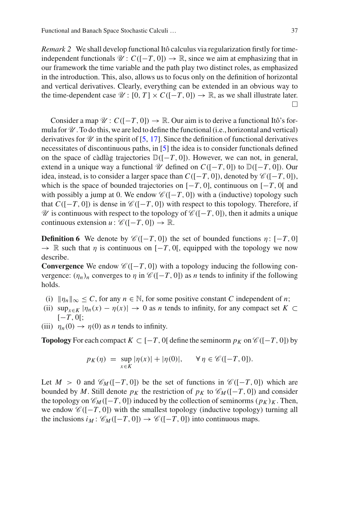*Remark 2* We shall develop functional Itô calculus via regularization firstly for timeindependent functionals  $\mathcal{U}: C([-T, 0]) \to \mathbb{R}$ , since we aim at emphasizing that in our framework the time variable and the path play two distinct roles, as emphasized in the introduction. This, also, allows us to focus only on the definition of horizontal and vertical derivatives. Clearly, everything can be extended in an obvious way to the time-dependent case  $\mathcal{U} : [0, T] \times C([-T, 0]) \rightarrow \mathbb{R}$ , as we shall illustrate later.  $\sqcup$ 

Consider a map  $\mathcal{U}: C([-T, 0]) \to \mathbb{R}$ . Our aim is to derive a functional Itô's formula for *U* . To do this, we are led to define the functional (i.e., horizontal and vertical) derivatives for  $\mathcal U$  in the spirit of [\[5,](#page-51-0) [17\]](#page-52-3). Since the definition of functional derivatives necessitates of discontinuous paths, in [\[5](#page-51-0)] the idea is to consider functionals defined on the space of càdlàg trajectories <sup>D</sup>([−*T*, <sup>0</sup>]). However, we can not, in general, extend in a unique way a functional  $\mathcal U$  defined on  $C([-T, 0])$  to  $\mathbb D([-T, 0])$ . Our idea, instead, is to consider a larger space than  $C([-T, 0])$ , denoted by  $\mathscr{C}([-T, 0])$ , which is the space of bounded trajectories on  $[-T, 0]$ , continuous on  $[-T, 0]$  and with possibly a jump at 0. We endow  $\mathcal{C}([-T, 0])$  with a (inductive) topology such that  $C([-T, 0])$  is dense in  $\mathcal{C}([-T, 0])$  with respect to this topology. Therefore, if  $\mathcal{U}$  is continuous with respect to the topology of  $\mathcal{C}([-T, 0])$ , then it admits a unique continuous extension *u* :  $\mathcal{C}([-T, 0]) \to \mathbb{R}$ .

**Definition 6** We denote by  $\mathcal{C}([-T, 0])$  the set of bounded functions  $\eta: [-T, 0]$  $\rightarrow \mathbb{R}$  such that  $\eta$  is continuous on  $[-T, 0]$ , equipped with the topology we now describe.

**Convergence** We endow  $\mathcal{C}([-T, 0])$  with a topology inducing the following convergence:  $(\eta_n)_n$  converges to  $\eta$  in  $\mathcal{C}([-T, 0])$  as *n* tends to infinity if the following holds.

- (i)  $\|\eta_n\|_{\infty} \leq C$ , for any  $n \in \mathbb{N}$ , for some positive constant *C* independent of *n*;
- (ii)  $\sup_{x \in K} |\eta_n(x) \eta(x)| \to 0$  as *n* tends to infinity, for any compact set  $K \subset$ [−*T*, 0[;
- (iii)  $\eta_n(0) \to \eta(0)$  as *n* tends to infinity.

**Topology** For each compact  $K \subset [-T, 0]$  define the seminorm  $p_K$  on  $\mathcal{C}([-T, 0])$  by

$$
p_K(\eta) = \sup_{x \in K} |\eta(x)| + |\eta(0)|, \quad \forall \eta \in \mathscr{C}([-T, 0]).
$$

Let  $M > 0$  and  $\mathcal{C}_M([-T, 0])$  be the set of functions in  $\mathcal{C}([-T, 0])$  which are bounded by *M*. Still denote  $p_K$  the restriction of  $p_K$  to  $\mathcal{C}_M([-T, 0])$  and consider the topology on  $\mathcal{C}_M([-T, 0])$  induced by the collection of seminorms  $(p_K)_K$ . Then, we endow  $\mathcal{C}([-T, 0])$  with the smallest topology (inductive topology) turning all the inclusions  $i_M$  :  $\mathcal{C}_M([-T, 0]) \to \mathcal{C}([-T, 0])$  into continuous maps.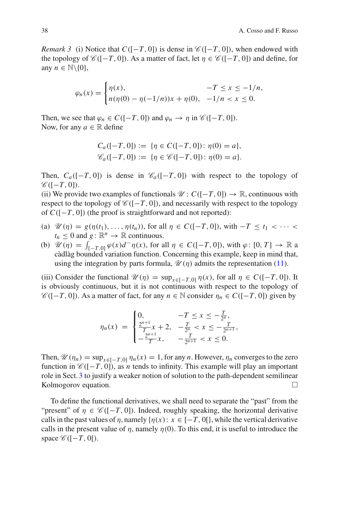<span id="page-11-0"></span>*Remark 3* (i) Notice that  $C([-T, 0])$  is dense in  $\mathcal{C}([-T, 0])$ , when endowed with the topology of  $\mathscr{C}([-T, 0])$ . As a matter of fact, let  $\eta \in \mathscr{C}([-T, 0])$  and define, for any  $n \in \mathbb{N} \setminus \{0\}$ ,

$$
\varphi_n(x) = \begin{cases} \eta(x), & -T \le x \le -1/n, \\ n(\eta(0) - \eta(-1/n))x + \eta(0), & -1/n < x \le 0. \end{cases}
$$

Then, we see that  $\varphi_n \in C([-T, 0])$  and  $\varphi_n \to \eta$  in  $\mathscr{C}([-T, 0])$ . Now, for any  $a \in \mathbb{R}$  define

$$
C_a([-T, 0]) := \{ \eta \in C([-T, 0]) : \eta(0) = a \},
$$
  

$$
\mathscr{C}_a([-T, 0]) := \{ \eta \in \mathscr{C}([-T, 0]) : \eta(0) = a \}.
$$

Then,  $C_a([-T, 0])$  is dense in  $\mathcal{C}_a([-T, 0])$  with respect to the topology of  $\mathscr{C}([-T, 0]).$ 

(ii) We provide two examples of functionals  $\mathcal{U}: C([-T, 0]) \to \mathbb{R}$ , continuous with respect to the topology of  $\mathcal{C}([-T, 0])$ , and necessarily with respect to the topology of *C*([−*T*, 0]) (the proof is straightforward and not reported):

- (a)  $\mathcal{U}(\eta) = g(\eta(t_1), \dots, \eta(t_n))$ , for all  $\eta \in C([-T, 0])$ , with  $-T \le t_1 < \cdots <$  $t_n \leq 0$  and  $g: \mathbb{R}^n \to \mathbb{R}$  continuous.
- (b)  $\mathcal{U}(\eta) = \int_{[-T,0]} \varphi(x) d^{\eta}(x)$ , for all  $\eta \in C([-T,0])$ , with  $\varphi: [0, T] \to \mathbb{R}$  a càdlàg bounded variation function. Concerning this example, keep in mind that, using the integration by parts formula,  $\mathcal{U}(\eta)$  admits the representation [\(11\)](#page-8-1).

(iii) Consider the functional  $\mathcal{U}(\eta) = \sup_{x \in [-T,0]} \eta(x)$ , for all  $\eta \in C([-T,0])$ . It is obviously continuous, but it is not continuous with respect to the topology of *C*( $[-T, 0]$ ). As a matter of fact, for any *n* ∈ N consider  $\eta_n$  ∈ *C*( $[-T, 0]$ ) given by

$$
\eta_n(x) = \begin{cases} 0, & -T \le x \le -\frac{T}{2^n}, \\ \frac{2^{n+1}}{T}x + 2, & -\frac{T}{2^n} < x \le -\frac{T}{2^{n+1}}, \\ -\frac{2^{n+1}}{T}x, & -\frac{T}{2^{n+1}} < x \le 0. \end{cases}
$$

Then,  $\mathcal{U}(\eta_n) = \sup_{x \in [-T,0]} \eta_n(x) = 1$ , for any *n*. However,  $\eta_n$  converges to the zero function in  $\mathcal{C}([-T, 0])$ , as *n* tends to infinity. This example will play an important role in Sect. [3](#page-34-0) to justify a weaker notion of solution to the path-dependent semilinear Kolmogorov equation.  $\Box$ 

To define the functional derivatives, we shall need to separate the "past" from the "present" of  $\eta \in \mathcal{C}([-T, 0])$ . Indeed, roughly speaking, the horizontal derivative calls in the past values of  $\eta$ , namely  $\{\eta(x): x \in [-T, 0]\}$ , while the vertical derivative calls in the present value of  $\eta$ , namely  $\eta(0)$ . To this end, it is useful to introduce the space  $\mathscr{C}([-T, 0])$ .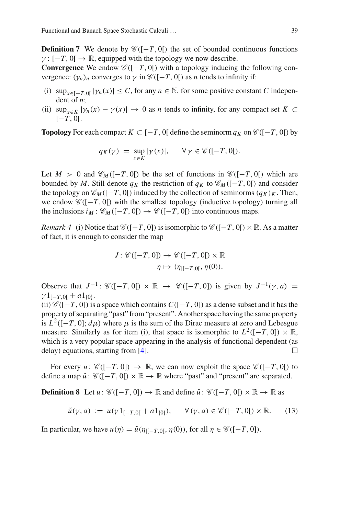**Definition 7** We denote by  $\mathcal{C}([-T, 0])$  the set of bounded continuous functions  $\gamma : [-T, 0] \to \mathbb{R}$ , equipped with the topology we now describe.

**Convergence** We endow  $\mathcal{C}([-T, 0])$  with a topology inducing the following convergence:  $(\gamma_n)_n$  converges to  $\gamma$  in  $\mathcal{C}([-T, 0])$  as *n* tends to infinity if:

- (i)  $\sup_{x \in [-T,0]} |y_n(x)| \leq C$ , for any  $n \in \mathbb{N}$ , for some positive constant *C* independent of *n*;
- (ii)  $\sup_{x \in K} |y_n(x) \gamma(x)| \to 0$  as *n* tends to infinity, for any compact set  $K \subset$ [−*T*, 0[.

**Topology** For each compact  $K \subset [-T, 0]$  define the seminorm  $q_K$  on  $\mathcal{C}([-T, 0])$  by

$$
q_K(\gamma) = \sup_{x \in K} |\gamma(x)|, \quad \forall \gamma \in \mathscr{C}([-T, 0]).
$$

Let  $M > 0$  and  $\mathcal{C}_M([-T, 0])$  be the set of functions in  $\mathcal{C}([-T, 0])$  which are bounded by *M*. Still denote  $q_K$  the restriction of  $q_K$  to  $\mathcal{C}_M([-T, 0])$  and consider the topology on  $\mathcal{C}_M([-T, 0])$  induced by the collection of seminorms  $(q_K)_K$ . Then, we endow  $\mathcal{C}([-T, 0])$  with the smallest topology (inductive topology) turning all the inclusions  $i_M$ :  $\mathcal{C}_M([-T, 0]) \to \mathcal{C}([-T, 0])$  into continuous maps.

*Remark 4* (i) Notice that  $\mathcal{C}([-T, 0])$  is isomorphic to  $\mathcal{C}([-T, 0]) \times \mathbb{R}$ . As a matter of fact, it is enough to consider the map

$$
J: \mathscr{C}([-T,0]) \to \mathscr{C}([-T,0]) \times \mathbb{R}
$$

$$
\eta \mapsto (\eta_{|[-T,0[},\eta(0))).
$$

Observe that  $J^{-1}$ :  $\mathscr{C}([-T,0]) \times \mathbb{R} \rightarrow \mathscr{C}([-T,0])$  is given by  $J^{-1}(\gamma,a) =$  $\gamma 1_{\left[-T,0\right]} + a 1_{\left\{0\right\}}$ 

(ii)  $\mathscr{C}([-T, 0])$  is a space which contains  $C([-T, 0])$  as a dense subset and it has the property of separating "past" from "present". Another space having the same property is  $L^2([-T, 0]; d\mu)$  where  $\mu$  is the sum of the Dirac measure at zero and Lebesgue measure. Similarly as for item (i), that space is isomorphic to  $L^2([-T, 0]) \times \mathbb{R}$ , which is a very popular space appearing in the analysis of functional dependent (as delay) equations, starting from [\[4\]](#page-51-4).  $\Box$ 

<span id="page-12-1"></span>For every  $u: \mathcal{C}([-T, 0]) \to \mathbb{R}$ , we can now exploit the space  $\mathcal{C}([-T, 0])$  to define a map  $\tilde{u}$ :  $\mathscr{C}([-T, 0]) \times \mathbb{R} \to \mathbb{R}$  where "past" and "present" are separated.

<span id="page-12-0"></span>**Definition 8** Let  $u: \mathcal{C}([-T, 0]) \to \mathbb{R}$  and define  $\tilde{u}: \mathcal{C}([-T, 0]) \times \mathbb{R} \to \mathbb{R}$  as

$$
\tilde{u}(\gamma, a) := u(\gamma 1_{[-T,0[} + a 1_{\{0\}}), \quad \forall (\gamma, a) \in \mathscr{C}([-T,0[) \times \mathbb{R}]. \tag{13}
$$

In particular, we have  $u(\eta) = \tilde{u}(\eta_{\parallel - T,0}, \eta(0))$ , for all  $\eta \in \mathcal{C}([-T,0])$ .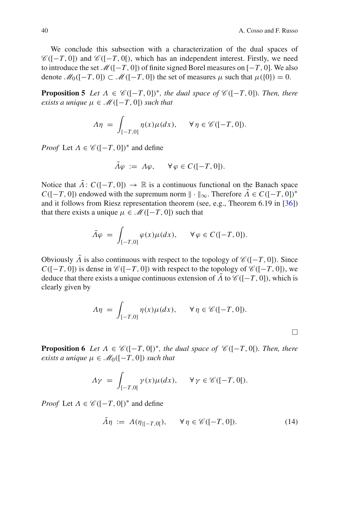We conclude this subsection with a characterization of the dual spaces of  $C([-T, 0])$  and  $C([-T, 0])$ , which has an independent interest. Firstly, we need to introduce the set  $\mathcal{M}([-T, 0])$  of finite signed Borel measures on  $[-T, 0]$ . We also denote  $\mathcal{M}_0([-T, 0]) \subset \mathcal{M}([-T, 0])$  the set of measures  $\mu$  such that  $\mu(\{0\}) = 0$ .

<span id="page-13-0"></span>**Proposition 5** *Let*  $\Lambda \in \mathcal{C}([-T, 0])^*$ *, the dual space of*  $\mathcal{C}([-T, 0])$ *. Then, there exists a unique*  $\mu \in \mathcal{M}([-T, 0])$  *such that* 

$$
\Lambda \eta = \int_{[-T,0]} \eta(x) \mu(dx), \quad \forall \eta \in \mathscr{C}([-T,0]).
$$

*Proof* Let  $\Lambda \in \mathcal{C}([-T, 0])^*$  and define

$$
\tilde{\Lambda}\varphi := \Lambda\varphi, \quad \forall \varphi \in C([-T, 0]).
$$

Notice that  $\tilde{\Lambda}$ :  $C([-T, 0]) \rightarrow \mathbb{R}$  is a continuous functional on the Banach space  $C([-T, 0])$  endowed with the supremum norm  $\|\cdot\|_{\infty}$ . Therefore  $\tilde{\Lambda} \in C([-T, 0])^*$ and it follows from Riesz representation theorem (see, e.g., Theorem 6.19 in [\[36\]](#page-53-9)) that there exists a unique  $\mu \in \mathcal{M}([-T, 0])$  such that

$$
\tilde{\Lambda}\varphi = \int_{[-T,0]} \varphi(x)\mu(dx), \quad \forall \varphi \in C([-T,0]).
$$

Obviously  $\tilde{\Lambda}$  is also continuous with respect to the topology of  $\mathcal{C}([-T, 0])$ . Since *C*( $[-T, 0]$ ) is dense in  $C([-T, 0])$  with respect to the topology of  $C([-T, 0])$ , we deduce that there exists a unique continuous extension of  $\tilde{\Lambda}$  to  $\mathscr{C}([-T, 0])$ , which is clearly given by

$$
\Lambda \eta = \int_{[-T,0]} \eta(x) \mu(dx), \qquad \forall \eta \in \mathscr{C}([-T,0]).
$$

**Proposition 6** *Let*  $\Lambda \in \mathcal{C}([-T, 0])^*$ *, the dual space of*  $\mathcal{C}([-T, 0])$ *. Then, there exists a unique*  $\mu \in M_0([-T, 0])$  *such that* 

$$
\Lambda \gamma = \int_{[-T,0[} \gamma(x) \mu(dx), \quad \forall \gamma \in \mathscr{C}([-T,0[).
$$

<span id="page-13-1"></span>*Proof* Let  $\Lambda \in \mathcal{C}([-T, 0])^*$  and define

$$
\Lambda \eta := \Lambda(\eta_{|[-T,0[}), \quad \forall \eta \in \mathscr{C}([-T,0]). \tag{14}
$$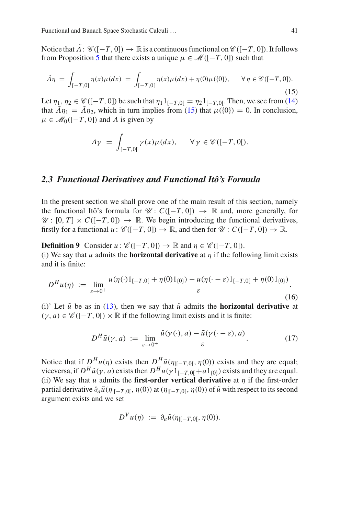<span id="page-14-1"></span>Notice that  $\tilde{\Lambda}$ :  $\mathcal{C}([-T, 0]) \to \mathbb{R}$  is a continuous functional on  $\mathcal{C}([-T, 0])$ . It follows from Proposition [5](#page-13-0) that there exists a unique  $\mu \in \mathcal{M}([-T, 0])$  such that

$$
\tilde{\Lambda}\eta = \int_{[-T,0]} \eta(x)\mu(dx) = \int_{[-T,0[} \eta(x)\mu(dx) + \eta(0)\mu(\{0\}), \quad \forall \eta \in \mathscr{C}([-T,0]).
$$
\n(15)

Let  $\eta_1, \eta_2 \in \mathcal{C}([-T, 0])$  be such that  $\eta_1 1_{[-T, 0]} = \eta_2 1_{[-T, 0]}$ . Then, we see from [\(14\)](#page-13-1) that  $\overline{A}\eta_1 = \overline{A}\eta_2$ , which in turn implies from [\(15\)](#page-14-1) that  $\mu({0}) = 0$ . In conclusion,  $\mu \in \mathcal{M}_0([-T, 0])$  and  $\Lambda$  is given by

$$
\Lambda \gamma = \int_{[-T,0[} \gamma(x) \mu(dx), \quad \forall \gamma \in \mathscr{C}([-T,0[).
$$

### <span id="page-14-0"></span>*2.3 Functional Derivatives and Functional Itô's Formula*

In the present section we shall prove one of the main result of this section, namely the functional Itô's formula for  $\mathcal{U}: C([-T, 0]) \to \mathbb{R}$  and, more generally, for  $\mathcal{U}: [0, T] \times C([-T, 0]) \rightarrow \mathbb{R}$ . We begin introducing the functional derivatives, firstly for a functional  $u : \mathcal{C}([-T, 0]) \to \mathbb{R}$ , and then for  $\mathcal{U} : C([-T, 0]) \to \mathbb{R}$ .

<span id="page-14-4"></span>**Definition 9** Consider  $u : \mathcal{C}([-T, 0]) \to \mathbb{R}$  and  $\eta \in \mathcal{C}([-T, 0])$ .

<span id="page-14-3"></span>(i) We say that *u* admits the **horizontal derivative** at  $\eta$  if the following limit exists and it is finite:

$$
D^{H}u(\eta) := \lim_{\varepsilon \to 0^{+}} \frac{u(\eta(\cdot)1_{[-T,0[} + \eta(0)1_{[0]}) - u(\eta(\cdot - \varepsilon)1_{[-T,0[} + \eta(0)1_{[0]}))}{\varepsilon}.
$$
\n(16)

<span id="page-14-2"></span>(i)' Let  $\tilde{u}$  be as in [\(13\)](#page-12-0), then we say that  $\tilde{u}$  admits the **horizontal derivative** at  $(\gamma, a) \in \mathscr{C}([-T, 0]) \times \mathbb{R}$  if the following limit exists and it is finite:

$$
D^H \tilde{u}(\gamma, a) := \lim_{\varepsilon \to 0^+} \frac{\tilde{u}(\gamma(\cdot), a) - \tilde{u}(\gamma(\cdot - \varepsilon), a)}{\varepsilon}.
$$
 (17)

Notice that if  $D^H u(\eta)$  exists then  $D^H \tilde{u}(\eta_{\vert [-T,0]}, \eta(0))$  exists and they are equal; viceversa, if  $D^H \tilde{u}(\gamma, a)$  exists then  $D^H u(\gamma 1_{[-T,0]} + a1_{[0]})$  exists and they are equal. (ii) We say that *u* admits the **first-order vertical derivative** at  $\eta$  if the first-order partial derivative  $\partial_a \tilde{u}(\eta_{\parallel -T,0[}, \eta(0))$  at  $(\eta_{\parallel -T,0[}, \eta(0))$  of  $\tilde{u}$  with respect to its second argument exists and we set

$$
D^{V}u(\eta) := \partial_a \tilde{u}(\eta_{|[-T,0[}, \eta(0))).
$$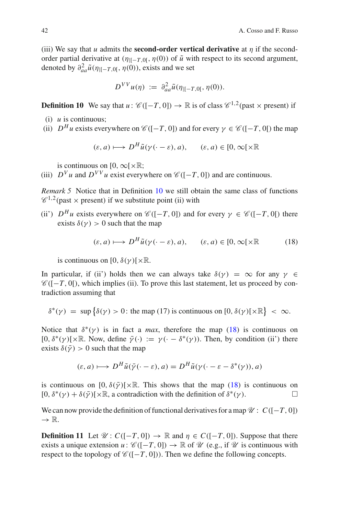(iii) We say that *u* admits the **second-order vertical derivative** at  $\eta$  if the secondorder partial derivative at  $(\eta_{\parallel - T,0}, \eta(0))$  of  $\tilde{u}$  with respect to its second argument, denoted by  $\partial_{aa}^2 \tilde{u}(\eta_{\parallel - T,0[}, \eta(0)),$  exists and we set

$$
D^{VV}u(\eta) := \partial^2_{aa}\tilde{u}(\eta_{|[-T,0[},\eta(0))).
$$

<span id="page-15-0"></span>**Definition 10** We say that *u* :  $\mathcal{C}([-T, 0]) \to \mathbb{R}$  is of class  $\mathcal{C}^{1,2}$ (past  $\times$  present) if

- (i)  $u$  is continuous;
- (ii)  $D^H u$  exists everywhere on  $\mathcal{C}([-T, 0])$  and for every  $\gamma \in \mathcal{C}([-T, 0])$  the map

$$
(\varepsilon, a) \longmapsto D^H \tilde{u}(\gamma(\cdot - \varepsilon), a), \qquad (\varepsilon, a) \in [0, \infty[ \times \mathbb{R}
$$

is continuous on [0,  $\infty$ [×R;

(iii)  $D^V u$  and  $D^{VV} u$  exist everywhere on  $\mathcal{C}([-T, 0])$  and are continuous.

*Remark 5* Notice that in Definition [10](#page-15-0) we still obtain the same class of functions  $\mathscr{C}^{1,2}$ (past  $\times$  present) if we substitute point (ii) with

<span id="page-15-1"></span>(ii) *D<sup>H</sup>u* exists everywhere on  $\mathcal{C}([-T, 0])$  and for every  $\gamma \in \mathcal{C}([-T, 0])$  there exists  $\delta(\gamma) > 0$  such that the map

$$
(\varepsilon, a) \longmapsto D^H \tilde{u}(\gamma(\cdot - \varepsilon), a), \qquad (\varepsilon, a) \in [0, \infty[ \times \mathbb{R} \tag{18}
$$

is continuous on  $[0, \delta(\gamma)] \times \mathbb{R}$ .

In particular, if (ii') holds then we can always take  $\delta(\gamma) = \infty$  for any  $\gamma \in$  $\mathscr{C}([-T, 0])$ , which implies (ii). To prove this last statement, let us proceed by contradiction assuming that

$$
\delta^*(\gamma) \ = \ \sup \big\{ \delta(\gamma) > 0 \colon \text{the map (17) is continuous on } [0, \delta(\gamma)[\times \mathbb{R}] \, < \, \infty.
$$

Notice that  $\delta^*(\gamma)$  is in fact a *max*, therefore the map [\(18\)](#page-15-1) is continuous on  $[0, \delta^*(\gamma)] \times \mathbb{R}$ . Now, define  $\bar{\gamma}(\cdot) := \gamma(\cdot - \delta^*(\gamma))$ . Then, by condition (ii) there exists  $\delta(\bar{v}) > 0$  such that the map

$$
(\varepsilon, a) \longmapsto D^H \tilde{u}(\bar{\gamma}(\cdot - \varepsilon), a) = D^H \tilde{u}(\gamma(\cdot - \varepsilon - \delta^*(\gamma)), a)
$$

is continuous on  $[0, \delta(\bar{y})[\times \mathbb{R}]$ . This shows that the map [\(18\)](#page-15-1) is continuous on  $[0, \delta^*(y) + \delta(\bar{y})[\times \mathbb{R}]$  a contradiction with the definition of  $\delta^*(y)$ .  $[0, \delta^*(\gamma) + \delta(\bar{\gamma})] \times \mathbb{R}$ , a contradiction with the definition of  $\delta^*(\gamma)$ .

<span id="page-15-2"></span>We can now provide the definition of functional derivatives for a map  $\mathcal{U}$  :  $C([-T, 0])$  $\rightarrow \mathbb{R}$ .

**Definition 11** Let  $\mathcal{U}: C([-T, 0]) \to \mathbb{R}$  and  $\eta \in C([-T, 0])$ . Suppose that there exists a unique extension  $u: \mathcal{C}([-T, 0]) \to \mathbb{R}$  of  $\mathcal{U}$  (e.g., if  $\mathcal{U}$  is continuous with respect to the topology of  $\mathcal{C}([-T, 0])$ . Then we define the following concepts.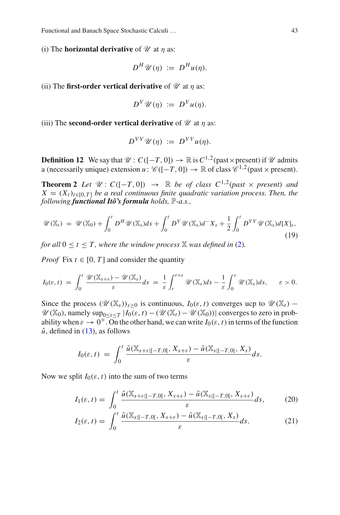Functional and Banach Space Stochastic Calculi … 43

(i) The **horizontal derivative** of  $\mathcal{U}$  at  $\eta$  as:

$$
D^H \mathscr{U}(\eta) := D^H u(\eta).
$$

(ii) The **first-order vertical derivative** of  $\mathcal{U}$  at  $\eta$  as:

$$
D^V \mathscr{U}(\eta) := D^V u(\eta).
$$

(iii) The **second-order vertical derivative** of  $\mathcal{U}$  at  $\eta$  as:

$$
D^{VV} \mathscr{U}(\eta) := D^{VV} u(\eta).
$$

**Definition 12** We say that  $\mathcal{U}: C([-T, 0]) \to \mathbb{R}$  is  $C^{1,2}$  (past × present) if  $\mathcal{U}$  admits a (necessarily unique) extension *u*:  $\mathcal{C}([-T, 0]) \to \mathbb{R}$  of class  $\mathcal{C}^{1,2}$ (past  $\times$  present).

<span id="page-16-2"></span>**Theorem 2** *Let*  $\mathcal{U}: C([-T, 0]) \rightarrow \mathbb{R}$  *be of class*  $C^{1,2}(past \times present)$  *and*  $X = (X_t)_{t \in [0, T]}$  *be a real continuous finite quadratic variation process. Then, the following functional Itô's formula holds,* P*-a.s.,*

<span id="page-16-3"></span>
$$
\mathscr{U}(\mathbb{X}_t) = \mathscr{U}(\mathbb{X}_0) + \int_0^t D^H \mathscr{U}(\mathbb{X}_s) ds + \int_0^t D^V \mathscr{U}(\mathbb{X}_s) d^- X_s + \frac{1}{2} \int_0^t D^{VV} \mathscr{U}(\mathbb{X}_s) d[X]_s,
$$
\n(19)

*for all*  $0 \le t \le T$ *, where the window process*  $\mathbb{X}$  *was defined in* [\(2\)](#page-4-3)*.* 

*Proof* Fix  $t \in [0, T]$  and consider the quantity

$$
I_0(\varepsilon,t) = \int_0^t \frac{\mathscr{U}(\mathbb{X}_{s+\varepsilon}) - \mathscr{U}(\mathbb{X}_s)}{\varepsilon} ds = \frac{1}{\varepsilon} \int_t^{t+\varepsilon} \mathscr{U}(\mathbb{X}_s) ds - \frac{1}{\varepsilon} \int_0^{\varepsilon} \mathscr{U}(\mathbb{X}_s) ds, \quad \varepsilon > 0.
$$

Since the process  $(\mathcal{U}(\mathbb{X}_s))_{s>0}$  is continuous,  $I_0(\varepsilon, t)$  converges ucp to  $\mathcal{U}(\mathbb{X}_t)$  –  $\mathscr{U}(\mathbb{X}_0)$ , namely sup<sub>0≤t≤</sub>*T*  $|I_0(\varepsilon, t) - (\mathscr{U}(\mathbb{X}_t) - \mathscr{U}(\mathbb{X}_0))|$  converges to zero in probability when  $\varepsilon \to 0^+$ . On the other hand, we can write  $I_0(\varepsilon, t)$  in terms of the function  $\tilde{u}$ , defined in [\(13\)](#page-12-0), as follows

$$
I_0(\varepsilon,t) = \int_0^t \frac{\tilde{u}(\mathbb{X}_{s+\varepsilon}[-T,0[,\,X_{s+\varepsilon})-\tilde{u}(\mathbb{X}_{s}[-T,0[,\,X_s)}{\varepsilon}ds.
$$

Now we split  $I_0(\varepsilon, t)$  into the sum of two terms

<span id="page-16-0"></span>
$$
I_1(\varepsilon, t) = \int_0^t \frac{\tilde{u}(\mathbb{X}_{s+\varepsilon[[-T,0[}, X_{s+\varepsilon}) - \tilde{u}(\mathbb{X}_{s[[-T,0[}, X_{s+\varepsilon})}ds, \qquad (20))
$$

<span id="page-16-1"></span>
$$
I_2(\varepsilon, t) = \int_0^t \frac{\tilde{u}(\mathbb{X}_{s|[-T,0[}, X_{s+\varepsilon}) - \tilde{u}(\mathbb{X}_{s|[-T,0[}, X_s))}{\varepsilon} ds. \tag{21}
$$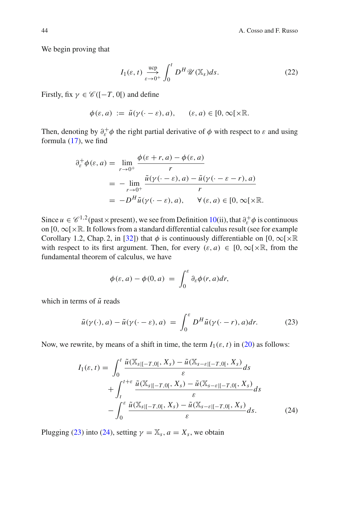<span id="page-17-2"></span>We begin proving that

$$
I_1(\varepsilon, t) \xrightarrow[\varepsilon \to 0^+]{} \int_0^t D^H \mathscr{U}(\mathbb{X}_s) ds. \tag{22}
$$

Firstly, fix  $\gamma \in \mathcal{C}([-T, 0])$  and define

$$
\phi(\varepsilon, a) := \tilde{u}(\gamma(\cdot - \varepsilon), a), \quad (\varepsilon, a) \in [0, \infty[\times \mathbb{R}].
$$

Then, denoting by  $\partial_{\varepsilon}^{+}\phi$  the right partial derivative of  $\phi$  with respect to  $\varepsilon$  and using formula [\(17\)](#page-14-2), we find

$$
\partial_{\varepsilon}^{+} \phi(\varepsilon, a) = \lim_{r \to 0^{+}} \frac{\phi(\varepsilon + r, a) - \phi(\varepsilon, a)}{r}
$$
  
= 
$$
-\lim_{r \to 0^{+}} \frac{\tilde{u}(\gamma(\cdot - \varepsilon), a) - \tilde{u}(\gamma(\cdot - \varepsilon - r), a)}{r}
$$
  
= 
$$
-D^{H} \tilde{u}(\gamma(\cdot - \varepsilon), a), \quad \forall (\varepsilon, a) \in [0, \infty[ \times \mathbb{R}].
$$

Since  $u \in \mathscr{C}^{1,2}$  (past × present), we see from Definition [10\(](#page-15-0)ii), that  $\partial_{\varepsilon}^+ \phi$  is continuous on [0,∞[×R. It follows from a standard differential calculus result (see for example Corollary 1.2, Chap. 2, in [\[32](#page-53-10)]) that  $\phi$  is continuously differentiable on [0,  $\infty$ [×R with respect to its first argument. Then, for every  $(\varepsilon, a) \in [0, \infty[\times \mathbb{R}]$ , from the fundamental theorem of calculus, we have

$$
\phi(\varepsilon, a) - \phi(0, a) = \int_0^\varepsilon \partial_\varepsilon \phi(r, a) dr,
$$

<span id="page-17-0"></span>which in terms of  $\tilde{u}$  reads

$$
\tilde{u}(\gamma(\cdot),a) - \tilde{u}(\gamma(\cdot - \varepsilon),a) = \int_0^{\varepsilon} D^H \tilde{u}(\gamma(\cdot - r),a) dr.
$$
 (23)

Now, we rewrite, by means of a shift in time, the term  $I_1(\varepsilon, t)$  in [\(20\)](#page-16-0) as follows:

<span id="page-17-1"></span>
$$
I_{1}(\varepsilon, t) = \int_{0}^{t} \frac{\tilde{u}(\mathbb{X}_{s|[-T,0[}, X_{s}) - \tilde{u}(\mathbb{X}_{s-\varepsilon|[-T,0[}, X_{s}))}{\varepsilon} ds + \int_{t}^{t+\varepsilon} \frac{\tilde{u}(\mathbb{X}_{s|[-T,0[}, X_{s}) - \tilde{u}(\mathbb{X}_{s-\varepsilon|[-T,0[}, X_{s}))}{\varepsilon} ds - \int_{0}^{\varepsilon} \frac{\tilde{u}(\mathbb{X}_{s|[-T,0[}, X_{s}) - \tilde{u}(\mathbb{X}_{s-\varepsilon|[-T,0[}, X_{s}))}{\varepsilon} ds.
$$
 (24)

Plugging [\(23\)](#page-17-0) into [\(24\)](#page-17-1), setting  $\gamma = \mathbb{X}_s$ ,  $a = X_s$ , we obtain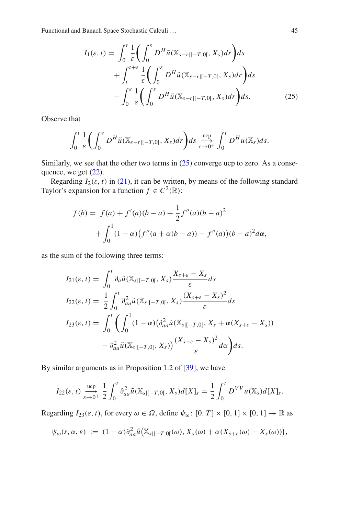Functional and Banach Space Stochastic Calculi … 45

<span id="page-18-0"></span>
$$
I_{1}(\varepsilon, t) = \int_{0}^{t} \frac{1}{\varepsilon} \left( \int_{0}^{\varepsilon} D^{H} \tilde{u}(\mathbb{X}_{s-r|[-T,0[}, X_{s}) dr) ds + \int_{t}^{t+\varepsilon} \frac{1}{\varepsilon} \left( \int_{0}^{\varepsilon} D^{H} \tilde{u}(\mathbb{X}_{s-r|[-T,0[}, X_{s}) dr) ds - \int_{0}^{\varepsilon} \frac{1}{\varepsilon} \left( \int_{0}^{\varepsilon} D^{H} \tilde{u}(\mathbb{X}_{s-r|[-T,0[}, X_{s}) dr) ds \right) ds \right)
$$
 (25)

Observe that

$$
\int_0^t \frac{1}{\varepsilon} \left( \int_0^\varepsilon D^H \tilde{u}(\mathbb{X}_{s-r|[-T,0[}, X_s) dr) \right) ds \xrightarrow[\varepsilon \to 0^+]{} \int_0^t D^H u(\mathbb{X}_s) ds.
$$

Similarly, we see that the other two terms in  $(25)$  converge ucp to zero. As a consequence, we get  $(22)$ .

Regarding  $I_2(\varepsilon, t)$  in [\(21\)](#page-16-1), it can be written, by means of the following standard Taylor's expansion for a function  $f \in C^2(\mathbb{R})$ :

$$
f(b) = f(a) + f'(a)(b - a) + \frac{1}{2}f''(a)(b - a)^2
$$

$$
+ \int_0^1 (1 - \alpha)(f''(a + \alpha(b - a)) - f''(a))(b - a)^2 d\alpha,
$$

as the sum of the following three terms:

$$
I_{21}(\varepsilon, t) = \int_0^t \partial_a \tilde{u}(\mathbb{X}_{s[[-T,0[}, X_s)) \frac{X_{s+\varepsilon} - X_s}{\varepsilon} ds \nI_{22}(\varepsilon, t) = \frac{1}{2} \int_0^t \partial_{aa}^2 \tilde{u}(\mathbb{X}_{s[[-T,0[}, X_s) \frac{(X_{s+\varepsilon} - X_s)^2}{\varepsilon} ds \nI_{23}(\varepsilon, t) = \int_0^t \left( \int_0^1 (1 - \alpha) (\partial_{aa}^2 \tilde{u}(\mathbb{X}_{s[[-T,0[}, X_s + \alpha(X_{s+\varepsilon} - X_s)) - \partial_{aa}^2 \tilde{u}(\mathbb{X}_{s[[-T,0[}, X_s)) \frac{(X_{s+\varepsilon} - X_s)^2}{\varepsilon} d\alpha \right) ds.
$$

By similar arguments as in Proposition 1.2 of [\[39](#page-53-8)], we have

$$
I_{22}(\varepsilon,t)\underset{\varepsilon\to 0^+}{\overset{\text{ucp}}{\longrightarrow}}\frac{1}{2}\int_0^t\partial^2_{aa}\tilde{u}(\mathbb{X}_s|_{[-T,0[},X_s)d[X]_s=\frac{1}{2}\int_0^t D^{VV}u(\mathbb{X}_s)d[X]_s.
$$

Regarding  $I_{23}(\varepsilon, t)$ , for every  $\omega \in \Omega$ , define  $\psi_{\omega}$ :  $[0, T] \times [0, 1] \times [0, 1] \rightarrow \mathbb{R}$  as

$$
\psi_{\omega}(s,\alpha,\varepsilon) := (1-\alpha)\partial_{aa}^2\tilde{u}\big(\mathbb{X}_{s|[-T,0]}(\omega),X_s(\omega)+\alpha(X_{s+\varepsilon}(\omega)-X_s(\omega))\big),
$$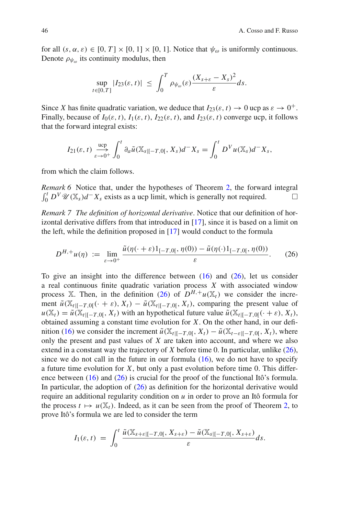for all  $(s, \alpha, \varepsilon) \in [0, T] \times [0, 1] \times [0, 1]$ . Notice that  $\psi_{\omega}$  is uniformly continuous. Denote  $\rho_{\psi_{\omega}}$  its continuity modulus, then

$$
\sup_{t\in[0,T]}|I_{23}(\varepsilon,t)| \ \leq \ \int_0^T \rho_{\psi_\omega}(\varepsilon) \frac{(X_{s+\varepsilon}-X_s)^2}{\varepsilon} ds.
$$

Since *X* has finite quadratic variation, we deduce that  $I_{23}(\varepsilon, t) \to 0$  ucp as  $\varepsilon \to 0^+$ . Finally, because of  $I_0(\varepsilon, t)$ ,  $I_1(\varepsilon, t)$ ,  $I_{22}(\varepsilon, t)$ , and  $I_{23}(\varepsilon, t)$  converge ucp, it follows that the forward integral exists:

$$
I_{21}(\varepsilon,t)\underset{\varepsilon\to 0^+}{\overset{\text{ucp}}{\longrightarrow}} \int_0^t \partial_a \tilde{u}(\mathbb{X}_{s|[-T,0[},X_s)d^{-}X_s=\int_0^t D^V u(\mathbb{X}_s)d^{-}X_s,
$$

from which the claim follows.

*Remark 6* Notice that, under the hypotheses of Theorem [2,](#page-16-2) the forward integral  $\int_0^t D^V \mathscr{U}(\mathbb{X}_s) d^{-} X_s$  exists as a ucp limit, which is generally not required.  $\Box$ 

<span id="page-19-0"></span>*Remark 7 The definition of horizontal derivative*. Notice that our definition of horizontal derivative differs from that introduced in [\[17\]](#page-52-3), since it is based on a limit on the left, while the definition proposed in [\[17](#page-52-3)] would conduct to the formula

$$
D^{H,+}u(\eta) := \lim_{\varepsilon \to 0^+} \frac{\tilde{u}(\eta(\cdot + \varepsilon)1_{[-T,0[}, \eta(0)) - \tilde{u}(\eta(\cdot)1_{[-T,0[}, \eta(0)))}{\varepsilon}.
$$
 (26)

To give an insight into the difference between  $(16)$  and  $(26)$ , let us consider a real continuous finite quadratic variation process *X* with associated window process X. Then, in the definition [\(26\)](#page-19-0) of  $D^{H,+}u(X_t)$  we consider the increment  $\tilde{u}(\mathbb{X}_{t|[-T,0]}(\cdot + \varepsilon), X_t) - \tilde{u}(\mathbb{X}_{t|[-T,0]}, X_t)$ , comparing the present value of  $u(\mathbb{X}_t) = \tilde{u}(\mathbb{X}_{t|[-T,0]}, X_t)$  with an hypothetical future value  $\tilde{u}(\mathbb{X}_{t|[-T,0]}(\cdot + \varepsilon), X_t)$ , obtained assuming a constant time evolution for *X*. On the other hand, in our defi-nition [\(16\)](#page-14-3) we consider the increment  $\tilde{u}(\mathbb{X}_{t|[-T,0]}, X_t) - \tilde{u}(\mathbb{X}_{t-\epsilon|[-T,0]}, X_t)$ , where only the present and past values of *X* are taken into account, and where we also extend in a constant way the trajectory of *X* before time 0. In particular, unlike [\(26\)](#page-19-0), since we do not call in the future in our formula  $(16)$ , we do not have to specify a future time evolution for *X*, but only a past evolution before time 0. This difference between  $(16)$  and  $(26)$  is crucial for the proof of the functional Itô's formula. In particular, the adoption of [\(26\)](#page-19-0) as definition for the horizontal derivative would require an additional regularity condition on *u* in order to prove an Itô formula for the process  $t \mapsto u(\mathbb{X}_t)$ . Indeed, as it can be seen from the proof of Theorem [2,](#page-16-2) to prove Itô's formula we are led to consider the term

$$
I_1(\varepsilon,t) = \int_0^t \frac{\tilde{u}(\mathbb{X}_{s+\varepsilon}[-T,0], X_{s+\varepsilon}) - \tilde{u}(\mathbb{X}_{s|[-T,0]}, X_{s+\varepsilon})}{\varepsilon} ds.
$$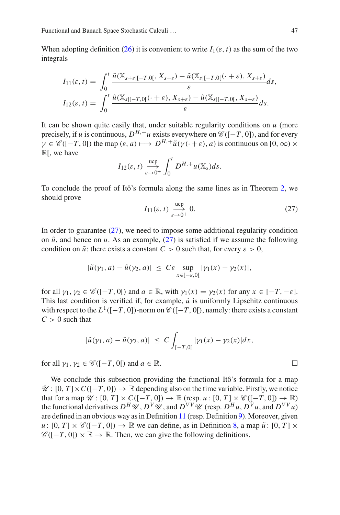When adopting definition [\(26\)](#page-19-0) it is convenient to write  $I_1(\varepsilon, t)$  as the sum of the two integrals

$$
I_{11}(\varepsilon,t) = \int_0^t \frac{\tilde{u}(\mathbb{X}_{s+\varepsilon}[-T,0], X_{s+\varepsilon}) - \tilde{u}(\mathbb{X}_{s}[-T,0], X_{s+\varepsilon})}{\varepsilon} ds,
$$
  

$$
I_{12}(\varepsilon,t) = \int_0^t \frac{\tilde{u}(\mathbb{X}_{s}[-T,0], X_{s+\varepsilon}) - \tilde{u}(\mathbb{X}_{s}[-T,0], X_{s+\varepsilon})}{\varepsilon} ds.
$$

It can be shown quite easily that, under suitable regularity conditions on *u* (more precisely, if *u* is continuous,  $D^{H,+}u$  exists everywhere on  $\mathscr{C}([-T, 0])$ , and for every  $\gamma \in \mathscr{C}([-T, 0])$  the map  $(\varepsilon, a) \longmapsto D^{H,+} \tilde{u}(\gamma(\cdot + \varepsilon), a)$  is continuous on  $[0, \infty) \times$ <sup>R</sup>[, we have

$$
I_{12}(\varepsilon,t) \xrightarrow[\varepsilon \to 0^+]{\text{ucp}} \int_0^t D^{H,+} u(\mathbb{X}_s) ds.
$$

<span id="page-20-0"></span>To conclude the proof of Itô's formula along the same lines as in Theorem [2,](#page-16-2) we should prove

$$
I_{11}(\varepsilon, t) \xrightarrow[\varepsilon \to 0^+]{\text{ucp}} 0. \tag{27}
$$

In order to guarantee [\(27\)](#page-20-0), we need to impose some additional regularity condition on  $\tilde{u}$ , and hence on  $u$ . As an example, [\(27\)](#page-20-0) is satisfied if we assume the following condition on  $\tilde{u}$ : there exists a constant  $C > 0$  such that, for every  $\varepsilon > 0$ ,

$$
|\tilde{u}(\gamma_1, a) - \tilde{u}(\gamma_2, a)| \leq C\varepsilon \sup_{x \in [-\varepsilon, 0[} |\gamma_1(x) - \gamma_2(x)|,
$$

for all  $\gamma_1, \gamma_2 \in \mathcal{C}([-T, 0])$  and  $a \in \mathbb{R}$ , with  $\gamma_1(x) = \gamma_2(x)$  for any  $x \in [-T, -\varepsilon]$ . This last condition is verified if, for example,  $\tilde{u}$  is uniformly Lipschitz continuous with respect to the  $L^1([-T, 0])$ -norm on  $\mathscr{C}([-T, 0])$ , namely: there exists a constant  $C > 0$  such that

$$
|\tilde{u}(\gamma_1, a) - \tilde{u}(\gamma_2, a)| \leq C \int_{[-T, 0]} |\gamma_1(x) - \gamma_2(x)| dx,
$$

for all  $\gamma_1, \gamma_2 \in \mathcal{C}([-T, 0])$  and  $a \in \mathbb{R}$ .

We conclude this subsection providing the functional Itô's formula for a map  $\mathcal{U}: [0, T] \times C([-T, 0]) \rightarrow \mathbb{R}$  depending also on the time variable. Firstly, we notice that for a map  $\mathcal{U} : [0, T] \times C([-T, 0]) \to \mathbb{R}$  (resp. *u* :  $[0, T] \times \mathcal{C}([-T, 0]) \to \mathbb{R}$ ) the functional derivatives  $D^H \mathscr{U}, D^V \mathscr{U}$ , and  $D^{VV} \mathscr{U}$  (resp.  $D^H u, D^V u$ , and  $D^{VV} u$ ) are defined in an obvious way as in Definition [11](#page-15-2) (resp. Definition [9\)](#page-14-4). Moreover, given  $u: [0, T] \times \mathcal{C}([-T, 0]) \rightarrow \mathbb{R}$  we can define, as in Definition [8,](#page-12-1) a map  $\tilde{u}: [0, T] \times$  $\mathscr{C}([-T, 0]) \times \mathbb{R} \to \mathbb{R}$ . Then, we can give the following definitions.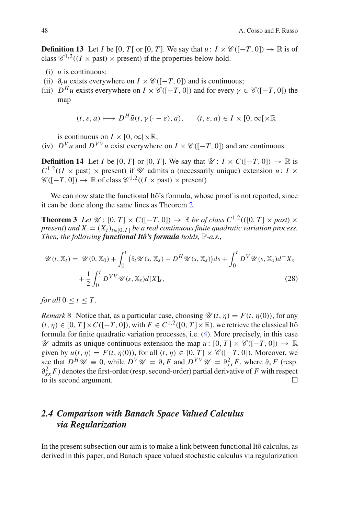**Definition 13** Let *I* be [0, *T*] or [0, *T*]. We say that  $u: I \times C([-T, 0]) \rightarrow \mathbb{R}$  is of class  $\mathcal{C}^{1,2}((I \times \text{past}) \times \text{present})$  if the properties below hold.

- (i)  $u$  is continuous;
- (ii)  $\partial_t u$  exists everywhere on  $I \times \mathcal{C}([-T, 0])$  and is continuous;
- (iii)  $D^H u$  exists everywhere on  $I \times \mathcal{C}([-T, 0])$  and for every  $\gamma \in \mathcal{C}([-T, 0])$  the map

$$
(t, \varepsilon, a) \longmapsto D^H \tilde{u}(t, \gamma(\cdot - \varepsilon), a), \qquad (t, \varepsilon, a) \in I \times [0, \infty[ \times \mathbb{R}
$$

is continuous on  $I \times [0, \infty) \times \mathbb{R}$ ;

(iv)  $D^V u$  and  $D^{VV} u$  exist everywhere on  $I \times \mathcal{C}([-T, 0])$  and are continuous.

**Definition 14** Let *I* be [0, *T*] or [0, *T*]. We say that  $\mathcal{U}: I \times C([-T, 0]) \to \mathbb{R}$  is  $C^{1,2}((I \times \text{past}) \times \text{present})$  if *U* admits a (necessarily unique) extension *u*: *I* ×  $\mathscr{C}([-T, 0]) \to \mathbb{R}$  of class  $\mathscr{C}^{1,2}((I \times \text{past}) \times \text{present}).$ 

We can now state the functional Itô's formula, whose proof is not reported, since it can be done along the same lines as Theorem [2.](#page-16-2)

**Theorem 3** *Let*  $\mathcal{U}: [0, T] \times C([-T, 0]) \rightarrow \mathbb{R}$  *be of class*  $C^{1,2}(([0, T] \times past) \times C$ *present*) and  $X = (X_t)_{t \in [0,T]}$  *be a real continuous finite quadratic variation process. Then, the following functional Itô's formula holds,*  $\mathbb{P}\text{-}a.s.,$ 

<span id="page-21-1"></span>
$$
\mathcal{U}(t, \mathbb{X}_t) = \mathcal{U}(0, \mathbb{X}_0) + \int_0^t \left( \partial_t \mathcal{U}(s, \mathbb{X}_s) + D^H \mathcal{U}(s, \mathbb{X}_s) \right) ds + \int_0^t D^V \mathcal{U}(s, \mathbb{X}_s) d^- X_s
$$

$$
+ \frac{1}{2} \int_0^t D^{VV} \mathcal{U}(s, \mathbb{X}_s) d[X]_s, \tag{28}
$$

*for all*  $0 \le t \le T$ .

*Remark 8* Notice that, as a particular case, choosing  $\mathcal{U}(t, \eta) = F(t, \eta(0))$ , for any  $(t, \eta)$  ∈ [0, *T* | × *C*([−*T*, 0]), with  $F \in C^{1,2}([0, T] \times \mathbb{R})$ , we retrieve the classical Itô formula for finite quadratic variation processes, i.e. [\(4\)](#page-6-0). More precisely, in this case *U* admits as unique continuous extension the map *u*:  $[0, T] \times \mathcal{C}([-T, 0]) \rightarrow \mathbb{R}$ given by  $u(t, \eta) = F(t, \eta(0))$ , for all  $(t, \eta) \in [0, T] \times \mathcal{C}([-T, 0])$ . Moreover, we see that  $D^H \mathscr{U} \equiv 0$ , while  $D^V \mathscr{U} = \partial_x F$  and  $D^{VV} \mathscr{U} = \partial_{xx}^2 F$ , where  $\partial_x F$  (resp.  $\partial_{xx}^2 F$ ) denotes the first-order (resp. second-order) partial derivative of *F* with respect to its second argument.

# <span id="page-21-0"></span>*2.4 Comparison with Banach Space Valued Calculus via Regularization*

In the present subsection our aim is to make a link between functional Itô calculus, as derived in this paper, and Banach space valued stochastic calculus via regularization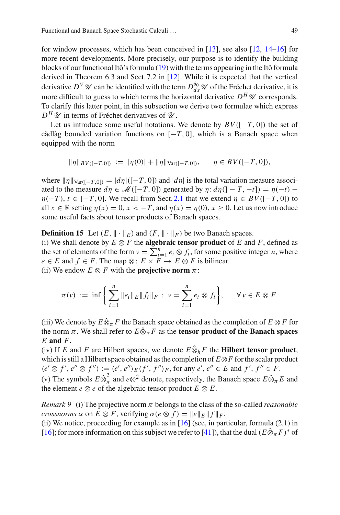for window processes, which has been conceived in [\[13](#page-52-9)], see also [\[12](#page-52-5), [14](#page-52-8)[–16](#page-52-6)] for more recent developments. More precisely, our purpose is to identify the building blocks of our functional Itô's formula [\(19\)](#page-16-3) with the terms appearing in the Itô formula derived in Theorem 6.3 and Sect. 7.2 in [\[12](#page-52-5)]. While it is expected that the vertical derivative  $D^V \mathscr{U}$  can be identified with the term  $D_{dx}^{\delta_0} \mathscr{U}$  of the Fréchet derivative, it is more difficult to guess to which terms the horizontal derivative  $D^H \mathscr{U}$  corresponds. To clarify this latter point, in this subsection we derive two formulae which express  $D^H \mathscr{U}$  in terms of Fréchet derivatives of  $\mathscr{U}$ .

Let us introduce some useful notations. We denote by  $BV([-T, 0])$  the set of càdlàg bounded variation functions on [−*T*, 0], which is a Banach space when equipped with the norm

$$
\|\eta\|_{BV([-T,0])} := |\eta(0)| + \|\eta\|_{\text{Var}([-T,0])}, \quad \eta \in BV([-T,0]),
$$

where  $\|\eta\|_{\text{Var}([-T,0])} = |d\eta|([-T,0])$  and  $|d\eta|$  is the total variation measure associated to the measure  $d\eta \in \mathcal{M}([-T, 0])$  generated by  $\eta: d\eta(]-T, -t] = \eta(-t) \eta(-T)$ ,  $t \in [-T, 0]$ . We recall from Sect. [2.1](#page-4-1) that we extend  $\eta \in BV([-T, 0])$  to all  $x \in \mathbb{R}$  setting  $\eta(x) = 0$ ,  $x < -T$ , and  $\eta(x) = \eta(0)$ ,  $x \ge 0$ . Let us now introduce some useful facts about tensor products of Banach spaces.

**Definition 15** Let  $(E, \|\cdot\|_E)$  and  $(F, \|\cdot\|_F)$  be two Banach spaces.

(i) We shall denote by  $E \otimes F$  the **algebraic tensor product** of *E* and *F*, defined as the set of elements of the form  $v = \sum_{i=1}^{n} e_i \otimes f_i$ , for some positive integer *n*, where *e* ∈ *E* and *f* ∈ *F*. The map ⊗: *E* × *F* → *E* ⊗ *F* is bilinear.

(ii) We endow  $E \otimes F$  with the **projective norm**  $\pi$ :

$$
\pi(v) := \inf \left\{ \sum_{i=1}^n \|e_i\|_E \|f_i\|_F : v = \sum_{i=1}^n e_i \otimes f_i \right\}, \quad \forall v \in E \otimes F.
$$

(iii) We denote by  $E \hat{\otimes}_{\pi} F$  the Banach space obtained as the completion of  $E \otimes F$  for the norm  $\pi$ . We shall refer to  $E \hat{\otimes}_{\pi} F$  as the **tensor product of the Banach spaces** *E* **and** *F*.

(iv) If *E* and *F* are Hilbert spaces, we denote  $E \hat{\otimes}_h F$  the **Hilbert tensor product**, which is still a Hilbert space obtained as the completion of *E*⊗*F* for the scalar product  $\langle e' \otimes f', e'' \otimes f'' \rangle := \langle e', e'' \rangle_E \langle f', f'' \rangle_F$ , for any  $e', e'' \in E$  and  $f', f'' \in F$ .

(v) The symbols  $E \hat{\otimes}_{\pi}^2$  and  $e \otimes^2$  denote, respectively, the Banach space  $E \hat{\otimes}_{\pi} E$  and the element  $e \otimes e$  of the algebraic tensor product  $E \otimes E$ .

<span id="page-22-0"></span>*Remark 9* (i) The projective norm  $\pi$  belongs to the class of the so-called *reasonable crossnorms*  $\alpha$  on  $E \otimes F$ , verifying  $\alpha(e \otimes f) = ||e||_E ||f||_F$ .

(ii) We notice, proceeding for example as in  $[16]$  $[16]$  (see, in particular, formula (2.1) in [\[16\]](#page-52-6); for more information on this subject we refer to [\[41\]](#page-53-11)), that the dual ( $E \hat{\otimes}_{\pi} F$ )<sup>\*</sup> of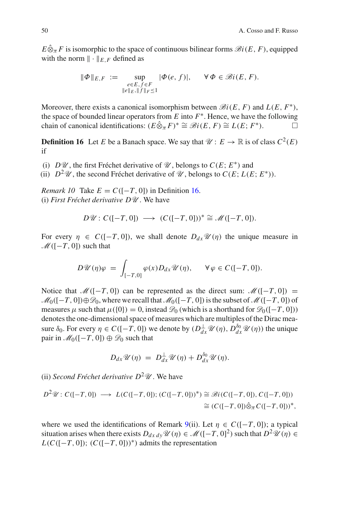$E \hat{\otimes}_{\pi} F$  is isomorphic to the space of continuous bilinear forms  $\mathscr{B}i(E, F)$ , equipped with the norm  $\|\cdot\|_{E,F}$  defined as

$$
\|\Phi\|_{E,F} := \sup_{\substack{e \in E, f \in F \\ \|e\|_E, \|f\|_F \le 1}} |\Phi(e, f)|, \quad \forall \Phi \in \mathcal{B}i(E, F).
$$

Moreover, there exists a canonical isomorphism between  $\mathcal{B}i(E, F)$  and  $L(E, F^*)$ , the space of bounded linear operators from  $E$  into  $F^*$ . Hence, we have the following chain of canonical identifications:  $(E\hat{\otimes}_{\pi} F)^* \cong \mathcal{B}i(E, F) \cong L(E; F^*)$ .

<span id="page-23-0"></span>**Definition 16** Let *E* be a Banach space. We say that  $\mathcal{U}: E \to \mathbb{R}$  is of class  $C^2(E)$ if

(i)  $D\mathcal{U}$ , the first Fréchet derivative of  $\mathcal{U}$ , belongs to  $C(E; E^*)$  and

(ii)  $D^2\mathscr{U}$ , the second Fréchet derivative of  $\mathscr{U}$ , belongs to  $C(E; L(E; E^*))$ .

*Remark 10* Take  $E = C([-T, 0])$  in Definition [16.](#page-23-0) (i) *First Fréchet derivative DU* . We have

$$
D\mathscr{U}: C([-T,0]) \longrightarrow (C([-T,0]))^* \cong \mathscr{M}([-T,0]).
$$

For every  $\eta \in C([-T, 0])$ , we shall denote  $D_{dx} \mathcal{U}(\eta)$  the unique measure in  $M([-T, 0])$  such that

$$
D\mathscr{U}(\eta)\varphi\ =\ \int_{[-T,0]}\varphi(x)D_{dx}\mathscr{U}(\eta),\qquad\forall\,\varphi\in C([-T,0]).
$$

Notice that  $\mathcal{M}([-T, 0])$  can be represented as the direct sum:  $\mathcal{M}([-T, 0]) =$  $M_0([-T, 0])\oplus\mathcal{D}_0$ , where we recall that  $M_0([-T, 0])$  is the subset of  $M([-T, 0])$  of measures  $\mu$  such that  $\mu({0}) = 0$ , instead  $\mathcal{D}_0$  (which is a shorthand for  $\mathcal{D}_0([-T, 0]))$ ) denotes the one-dimensional space of measures which are multiples of the Dirac measure  $\delta_0$ . For every  $\eta \in C([-T, 0])$  we denote by  $(D_{dx}^{\perp} \mathscr{U}(\eta), D_{dx}^{\delta_0} \mathscr{U}(\eta))$  the unique pair in  $\mathcal{M}_0([-T, 0]) \oplus \mathcal{D}_0$  such that

$$
D_{dx}\mathscr{U}(\eta) = D_{dx}^{\perp}\mathscr{U}(\eta) + D_{dx}^{\delta_0}\mathscr{U}(\eta).
$$

(ii) *Second Fréchet derivative*  $D^2\mathscr{U}$ . We have

$$
D^2 \mathscr{U} : C([-T, 0]) \longrightarrow L(C([-T, 0]); (C([-T, 0]))^*) \cong \mathscr{B}i(C([-T, 0]), C([-T, 0]))^* \cong (C([-T, 0]) \hat{\otimes}_{\pi} C([-T, 0]))^*,
$$

where we used the identifications of Remark [9\(](#page-22-0)ii). Let  $\eta \in C([-T, 0])$ ; a typical situation arises when there exists  $D_{dx\,dy}\mathscr{U}(\eta) \in \mathscr{M}([-T, 0]^2)$  such that  $D^2\mathscr{U}(\eta) \in$  $L(C([-T, 0]); (C([-T, 0]))^*)$  admits the representation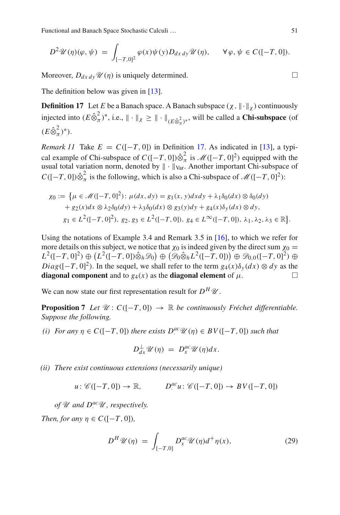Functional and Banach Space Stochastic Calculi … 51

$$
D^2 \mathscr{U}(\eta)(\varphi, \psi) = \int_{[-T,0]^2} \varphi(x) \psi(y) D_{dx\,dy} \mathscr{U}(\eta), \qquad \forall \varphi, \psi \in C([-T,0]).
$$

<span id="page-24-0"></span>Moreover,  $D_{dx\,dy}\mathscr{U}(\eta)$  is uniquely determined.

The definition below was given in [\[13](#page-52-9)].

**Definition 17** Let *E* be a Banach space. A Banach subspace  $(\chi, \|\cdot\|_{\chi})$  continuously injected into  $(E \hat{\otimes}_\pi^2)^*$ , i.e.,  $\|\cdot\|_X \ge \|\cdot\|_{(E \hat{\otimes}_\pi^2)^*}$ , will be called a **Chi-subspace** (of  $(E \hat{\otimes}_{\pi}^2)^*$ ).

<span id="page-24-3"></span>*Remark 11* Take  $E = C([-T, 0])$  in Definition [17.](#page-24-0) As indicated in [\[13](#page-52-9)], a typical example of Chi-subspace of  $C([-T, 0]) \hat{\otimes}_{\pi}^2$  is  $\mathcal{M}([-T, 0]^2)$  equipped with the usual total variation norm, denoted by  $\|\cdot\|_{\text{Var}}$ . Another important Chi-subspace of  $C([-T, 0]) \hat{\otimes}_{\pi}^2$  is the following, which is also a Chi-subspace of  $\mathcal{M}([-T, 0]^2)$ :

$$
\chi_0 := \{ \mu \in \mathcal{M}([-T, 0]^2) : \mu(dx, dy) = g_1(x, y) dx dy + \lambda_1 \delta_0(dx) \otimes \delta_0(dy) + g_2(x) dx \otimes \lambda_2 \delta_0(dy) + \lambda_3 \delta_0(dx) \otimes g_3(y) dy + g_4(x) \delta_y(dx) \otimes dy, g_1 \in L^2([-T, 0]^2), g_2, g_3 \in L^2([-T, 0]), g_4 \in L^{\infty}([-T, 0]), \lambda_1, \lambda_2, \lambda_3 \in \mathbb{R} \}.
$$

Using the notations of Example 3.4 and Remark 3.5 in [\[16\]](#page-52-6), to which we refer for more details on this subject, we notice that  $\chi_0$  is indeed given by the direct sum  $\chi_0 =$  $L^2([-T, 0]^{2}) \oplus (L^2([-T, 0]) \hat{\otimes}_h \mathscr{D}_0) \oplus (\mathscr{D}_0 \hat{\otimes}_h L^2([-T, 0])) \oplus \mathscr{D}_{0,0}([-T, 0]^{2}) \oplus$ *Diag*([−*T*, 0]<sup>2</sup>). In the sequel, we shall refer to the term  $g_4(x)\delta_y(dx) \otimes dy$  as the **diagonal component** and to  $g_4(x)$  as the **diagonal element** of  $\mu$ .

<span id="page-24-2"></span>We can now state our first representation result for  $D^H \mathscr{U}$ .

**Proposition 7** *Let*  $\mathcal{U}: C([-T, 0]) \rightarrow \mathbb{R}$  *be continuously Fréchet differentiable. Suppose the following.*

*(i)* For any  $\eta \in C([-T, 0])$  there exists  $D^{ac}_{\cdot} \mathcal{U}(\eta) \in BV([-T, 0])$  such that

$$
D_{dx}^{\perp}\mathscr{U}(\eta) = D_x^{ac}\mathscr{U}(\eta)dx.
$$

*(ii) There exist continuous extensions (necessarily unique)*

*u* :  $\mathscr{C}([-T, 0]) \to \mathbb{R},$  *D*<sup>*ac</sup> u* :  $\mathscr{C}([-T, 0]) \to BV([-T, 0])$ </sup>

*of*  $\mathcal{U}$  and  $D^{ac}_{\cdot} \mathcal{U}$ , respectively.

<span id="page-24-1"></span>*Then, for any*  $\eta \in C([-T, 0]),$ 

$$
D^H \mathscr{U}(\eta) = \int_{[-T,0]} D_x^{ac} \mathscr{U}(\eta) d^+\eta(x), \qquad (29)
$$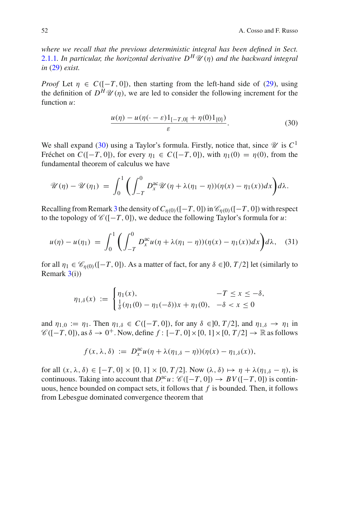*where we recall that the previous deterministic integral has been defined in Sect.* [2.1.1](#page-6-1)*. In particular, the horizontal derivative*  $D^H \mathscr{U}(n)$  *and the backward integral in* [\(29\)](#page-24-1) *exist.*

<span id="page-25-0"></span>*Proof* Let  $\eta \in C([-T, 0])$ , then starting from the left-hand side of [\(29\)](#page-24-1), using the definition of  $D^H \mathcal{U}(n)$ , we are led to consider the following increment for the function *u*:

$$
\frac{u(\eta) - u(\eta(\cdot - \varepsilon)1_{[-T,0[} + \eta(0)1_{[0]}))}{\varepsilon}.
$$
\n(30)

We shall expand [\(30\)](#page-25-0) using a Taylor's formula. Firstly, notice that, since  $\mathcal{U}$  is  $C^1$ Fréchet on  $C([-T, 0])$ , for every  $\eta_1 \in C([-T, 0])$ , with  $\eta_1(0) = \eta(0)$ , from the fundamental theorem of calculus we have

$$
\mathscr{U}(\eta) - \mathscr{U}(\eta_1) = \int_0^1 \left( \int_{-T}^0 D_x^{\text{ac}} \mathscr{U}(\eta + \lambda(\eta_1 - \eta))(\eta(x) - \eta_1(x)) dx \right) d\lambda.
$$

<span id="page-25-1"></span>Recalling from Remark [3](#page-11-0) the density of  $C_{n(0)}([-T, 0])$  in  $\mathcal{C}_{n(0)}([-T, 0])$  with respect to the topology of  $\mathcal{C}([-T, 0])$ , we deduce the following Taylor's formula for *u*:

$$
u(\eta) - u(\eta_1) = \int_0^1 \left( \int_{-T}^0 D_x^{\text{ac}} u(\eta + \lambda(\eta_1 - \eta))(\eta(x) - \eta_1(x)) dx \right) d\lambda, \quad (31)
$$

for all  $\eta_1 \in \mathcal{C}_{\eta(0)}([-T, 0])$ . As a matter of fact, for any  $\delta \in ]0, T/2]$  let (similarly to Remark  $3(i)$  $3(i)$ )

$$
\eta_{1,\delta}(x) := \begin{cases} \eta_1(x), & -T \le x \le -\delta, \\ \frac{1}{\delta}(\eta_1(0) - \eta_1(-\delta))x + \eta_1(0), & -\delta < x \le 0 \end{cases}
$$

and  $\eta_{1,0} := \eta_1$ . Then  $\eta_{1,\delta} \in C([-T, 0])$ , for any  $\delta \in ]0, T/2]$ , and  $\eta_{1,\delta} \to \eta_1$  in  $\mathscr{C}([-T, 0])$ , as  $\delta \to 0^+$ . Now, define  $f : [-T, 0] \times [0, 1] \times [0, T/2] \to \mathbb{R}$  as follows

$$
f(x, \lambda, \delta) := D_x^{\text{ac}} u(\eta + \lambda(\eta_{1,\delta} - \eta))(\eta(x) - \eta_{1,\delta}(x)),
$$

for all  $(x, \lambda, \delta) \in [-T, 0] \times [0, 1] \times [0, T/2]$ . Now  $(\lambda, \delta) \mapsto \eta + \lambda (\eta_{1,\delta} - \eta)$ , is continuous. Taking into account that  $D^{ac}u: \mathcal{C}([-T, 0]) \to BV([-T, 0])$  is continuous, hence bounded on compact sets, it follows that *f* is bounded. Then, it follows from Lebesgue dominated convergence theorem that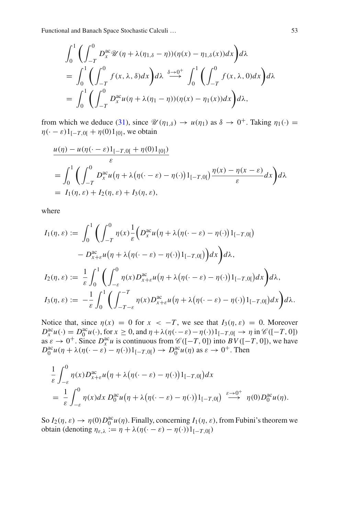Functional and Banach Space Stochastic Calculi … 53

$$
\int_0^1 \left( \int_{-T}^0 D_x^{\text{ac}} \mathcal{U}(\eta + \lambda(\eta_{1,\delta} - \eta))(\eta(x) - \eta_{1,\delta}(x)) dx \right) d\lambda
$$
  
= 
$$
\int_0^1 \left( \int_{-T}^0 f(x, \lambda, \delta) dx \right) d\lambda \stackrel{\delta \to 0^+}{\longrightarrow} \int_0^1 \left( \int_{-T}^0 f(x, \lambda, 0) dx \right) d\lambda
$$
  
= 
$$
\int_0^1 \left( \int_{-T}^0 D_x^{\text{ac}} u(\eta + \lambda(\eta_1 - \eta))(\eta(x) - \eta_1(x)) dx \right) d\lambda,
$$

from which we deduce [\(31\)](#page-25-1), since  $\mathcal{U}(\eta_1|\delta) \to u(\eta_1)$  as  $\delta \to 0^+$ . Taking  $\eta_1(\cdot) =$  $\eta(\cdot - \varepsilon)1_{[-T,0]} + \eta(0)1_{\{0\}}$ , we obtain

$$
\frac{u(\eta) - u(\eta(\cdot - \varepsilon)1_{[-T,0[} + \eta(0)1_{[0]}))}{\varepsilon}
$$
\n
$$
= \int_0^1 \left( \int_{-T}^0 D_x^{\alpha} u(\eta + \lambda(\eta(\cdot - \varepsilon) - \eta(\cdot))1_{[-T,0[}) \frac{\eta(x) - \eta(x - \varepsilon)}{\varepsilon} dx \right) d\lambda
$$
\n
$$
= I_1(\eta, \varepsilon) + I_2(\eta, \varepsilon) + I_3(\eta, \varepsilon),
$$

where

$$
I_1(\eta, \varepsilon) := \int_0^1 \left( \int_{-T}^0 \eta(x) \frac{1}{\varepsilon} \Big( D_x^{\alpha} u \big( \eta + \lambda (\eta(\cdot - \varepsilon) - \eta(\cdot) \big) 1_{[-T,0[} \Big) \right. \\ - D_{x+\varepsilon}^{\alpha} u \big( \eta + \lambda (\eta(\cdot - \varepsilon) - \eta(\cdot) \big) 1_{[-T,0[} \Big) \Big) dx \right) d\lambda,
$$
  

$$
I_2(\eta, \varepsilon) := \frac{1}{\varepsilon} \int_0^1 \left( \int_{-\varepsilon}^0 \eta(x) D_{x+\varepsilon}^{\alpha} u \big( \eta + \lambda (\eta(\cdot - \varepsilon) - \eta(\cdot) \big) 1_{[-T,0[} \Big) dx \right) d\lambda,
$$
  

$$
I_3(\eta, \varepsilon) := -\frac{1}{\varepsilon} \int_0^1 \left( \int_{-T-\varepsilon}^{-T} \eta(x) D_{x+\varepsilon}^{\alpha} u \big( \eta + \lambda (\eta(\cdot - \varepsilon) - \eta(\cdot) \big) 1_{[-T,0[} \Big) dx \right) d\lambda.
$$

Notice that, since  $\eta(x) = 0$  for  $x < -T$ , we see that  $I_3(\eta, \varepsilon) = 0$ . Moreover  $D_x^{\text{ac}}u(\cdot) = D_0^{\text{ac}}u(\cdot)$ , for  $x \ge 0$ , and  $\eta + \lambda(\eta(\cdot - \varepsilon) - \eta(\cdot))1_{[-T,0[} \to \eta \text{ in } \mathcal{C}([-T,0])$ as  $\varepsilon \to 0^+$ . Since  $D_x^{\text{ac}} u$  is continuous from  $\mathcal{C}([-T, 0])$  into  $BV([-T, 0])$ , we have  $D_0^{\text{ac}}u(\eta + \lambda(\eta(\cdot - \varepsilon) - \eta(\cdot)))1_{[-T,0[}) \to D_0^{\text{ac}}u(\eta)$  as  $\varepsilon \to 0^+$ . Then

$$
\frac{1}{\varepsilon} \int_{-\varepsilon}^{0} \eta(x) D_{x+\varepsilon}^{\mathrm{ac}} u(\eta + \lambda (\eta(\cdot - \varepsilon) - \eta(\cdot)) 1_{[-T,0[}) dx \n= \frac{1}{\varepsilon} \int_{-\varepsilon}^{0} \eta(x) dx D_{0}^{\mathrm{ac}} u(\eta + \lambda (\eta(\cdot - \varepsilon) - \eta(\cdot)) 1_{[-T,0[}) \stackrel{\varepsilon \to 0^{+}}{\longrightarrow} \eta(0) D_{0}^{\mathrm{ac}} u(\eta).
$$

So  $I_2(\eta, \varepsilon) \to \eta(0)D_0^{\text{ac}}u(\eta)$ . Finally, concerning  $I_1(\eta, \varepsilon)$ , from Fubini's theorem we obtain (denoting  $\eta_{\varepsilon,\lambda} := \eta + \lambda(\eta(\cdot - \varepsilon) - \eta(\cdot))1_{[-T,0[})$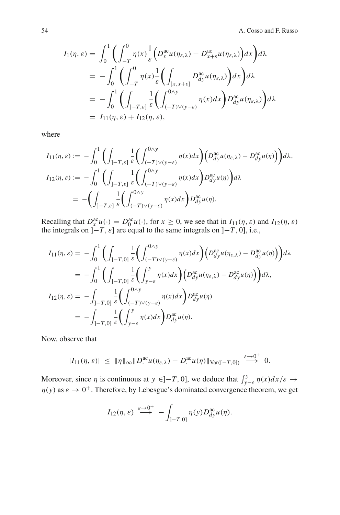$$
I_{1}(\eta,\varepsilon) = \int_{0}^{1} \left( \int_{-T}^{0} \eta(x) \frac{1}{\varepsilon} \Big( D_{x}^{\text{ac}} u(\eta_{\varepsilon,\lambda}) - D_{x+\varepsilon}^{\text{ac}} u(\eta_{\varepsilon,\lambda}) \Big) dx \right) d\lambda
$$
  
\n
$$
= -\int_{0}^{1} \left( \int_{-T}^{0} \eta(x) \frac{1}{\varepsilon} \Big( \int_{]x,x+\varepsilon]} D_{dy}^{\text{ac}} u(\eta_{\varepsilon,\lambda}) \Big) dx \right) d\lambda
$$
  
\n
$$
= -\int_{0}^{1} \left( \int_{] -T,\varepsilon]} \frac{1}{\varepsilon} \Big( \int_{(-T)\vee(y-\varepsilon)}^{0\wedge y} \eta(x) dx \Big) D_{dy}^{\text{ac}} u(\eta_{\varepsilon,\lambda}) \Big) d\lambda
$$
  
\n
$$
= I_{11}(\eta,\varepsilon) + I_{12}(\eta,\varepsilon),
$$

where

$$
I_{11}(\eta,\varepsilon) := -\int_0^1 \left( \int_{]-T,\varepsilon]} \frac{1}{\varepsilon} \left( \int_{(-T)\vee(y-\varepsilon)}^{\partial \wedge y} \eta(x) dx \right) \left( D_{dy}^{\text{ac}} u(\eta_{\varepsilon,\lambda}) - D_{dy}^{\text{ac}} u(\eta) \right) \right) d\lambda,
$$
  
\n
$$
I_{12}(\eta,\varepsilon) := -\int_0^1 \left( \int_{]-T,\varepsilon]} \frac{1}{\varepsilon} \left( \int_{(-T)\vee(y-\varepsilon)}^{\partial \wedge y} \eta(x) dx \right) D_{dy}^{\text{ac}} u(\eta) \right) d\lambda
$$
  
\n
$$
= -\left( \int_{]-T,\varepsilon]} \frac{1}{\varepsilon} \left( \int_{(-T)\vee(y-\varepsilon)}^{\partial \wedge y} \eta(x) dx \right) D_{dy}^{\text{ac}} u(\eta).
$$

Recalling that  $D_x^{\text{ac}}u(\cdot) = D_0^{\text{ac}}u(\cdot)$ , for  $x \ge 0$ , we see that in  $I_{11}(\eta, \varepsilon)$  and  $I_{12}(\eta, \varepsilon)$ the integrals on  $]-T, \varepsilon]$  are equal to the same integrals on  $]-T, 0]$ , i.e.,

$$
I_{11}(\eta, \varepsilon) = -\int_0^1 \left( \int_{]-T,0]} \frac{1}{\varepsilon} \left( \int_{(-T)\vee(y-\varepsilon)}^{\infty} \eta(x) dx \right) \left( D_{dy}^{\text{ac}} u(\eta_{\varepsilon,\lambda}) - D_{dy}^{\text{ac}} u(\eta) \right) \right) d\lambda
$$
  
\n
$$
= -\int_0^1 \left( \int_{]-T,0]} \frac{1}{\varepsilon} \left( \int_{y-\varepsilon}^y \eta(x) dx \right) \left( D_{dy}^{\text{ac}} u(\eta_{\varepsilon,\lambda}) - D_{dy}^{\text{ac}} u(\eta) \right) \right) d\lambda,
$$
  
\n
$$
I_{12}(\eta, \varepsilon) = -\int_{]-T,0]} \frac{1}{\varepsilon} \left( \int_{(-T)\vee(y-\varepsilon)}^{\infty} \eta(x) dx \right) D_{dy}^{\text{ac}} u(\eta)
$$
  
\n
$$
= -\int_{]-T,0]} \frac{1}{\varepsilon} \left( \int_{y-\varepsilon}^y \eta(x) dx \right) D_{dy}^{\text{ac}} u(\eta).
$$

Now, observe that

$$
|I_{11}(\eta,\varepsilon)| \leq \|\eta\|_{\infty} \|D^{\mathrm{ac}}_{\cdot} u(\eta_{\varepsilon,\lambda}) - D^{\mathrm{ac}}_{\cdot} u(\eta)\|_{\mathrm{Var}([-T,0])} \stackrel{\varepsilon \to 0^+}{\longrightarrow} 0.
$$

Moreover, since  $\eta$  is continuous at  $y \in ]-T, 0]$ , we deduce that  $\int_{y-\varepsilon}^{y} \eta(x) dx / \varepsilon \to$  $\eta(y)$  as  $\varepsilon \to 0^+$ . Therefore, by Lebesgue's dominated convergence theorem, we get

$$
I_{12}(\eta,\varepsilon) \stackrel{\varepsilon \to 0^+}{\longrightarrow} -\int_{]-T,0]} \eta(y)D_{dy}^{\mathrm{ac}}u(\eta).
$$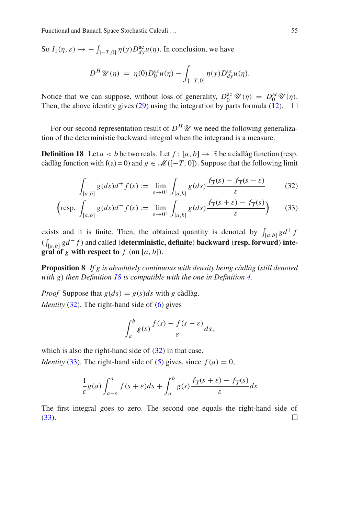So  $I_1(\eta, \varepsilon) \to -\int_{] -T, 0]} \eta(y) D_{dy}^{\text{ac}} u(\eta)$ . In conclusion, we have

$$
D^H \mathscr{U}(\eta) = \eta(0) D_0^{\text{ac}} u(\eta) - \int_{]-T,0]} \eta(y) D_{dy}^{\text{ac}} u(\eta).
$$

Notice that we can suppose, without loss of generality,  $D_0^{\text{ac}} \mathcal{U}(\eta) = D_0^{\text{ac}} \mathcal{U}(\eta)$ . Then, the above identity gives [\(29\)](#page-24-1) using the integration by parts formula [\(12\)](#page-8-2).  $\Box$ 

<span id="page-28-0"></span>For our second representation result of  $D^H \mathscr{U}$  we need the following generalization of the deterministic backward integral when the integrand is a measure.

**Definition 18** Let  $a < b$  be two reals. Let  $f : [a, b] \rightarrow \mathbb{R}$  be a càdlàg function (resp. càdlàg function with f(a) = 0) and  $g \in \mathcal{M}([-T, 0])$ . Suppose that the following limit

<span id="page-28-2"></span><span id="page-28-1"></span>
$$
\int_{[a,b]} g(ds)d^+f(s) := \lim_{\varepsilon \to 0^+} \int_{[a,b]} g(ds) \frac{f_{\overline{J}}(s) - f_{\overline{J}}(s-\varepsilon)}{\varepsilon} \tag{32}
$$

$$
\left(\text{resp. } \int_{[a,b]} g(ds)d^{-}f(s) := \lim_{\varepsilon \to 0^{+}} \int_{[a,b]} g(ds) \frac{f_{\overline{J}}(s+\varepsilon) - f_{\overline{J}}(s)}{\varepsilon}\right) \tag{33}
$$

exists and it is finite. Then, the obtained quantity is denoted by  $\int_{[a,b]} g d^+ f$ ( [*a*,*b*] *gd*<sup>−</sup> *<sup>f</sup>* ) and called (**deterministic, definite**) **backward** (**resp. forward**) **integral of**  $g$  **with respect to**  $f$  (**on**  $[a, b]$ ).

**Proposition 8** *If g is absolutely continuous with density being càdlàg* (*still denoted with g*) *then Definition [18](#page-28-0) is compatible with the one in Definition [4.](#page-6-2)*

*Proof* Suppose that  $g(ds) = g(s)ds$  with g càdlàg. *Identity* [\(32\)](#page-28-1). The right-hand side of [\(6\)](#page-6-3) gives

$$
\int_a^b g(s) \frac{f(s) - f(s - \varepsilon)}{\varepsilon} ds,
$$

which is also the right-hand side of  $(32)$  in that case.

*Identity* [\(33\)](#page-28-2). The right-hand side of [\(5\)](#page-6-4) gives, since  $f(a) = 0$ ,

$$
\frac{1}{\varepsilon}g(a)\int_{a-\varepsilon}^{a}f(s+\varepsilon)ds+\int_{a}^{b}g(s)\frac{f_{\overline{J}}(s+\varepsilon)-f_{\overline{J}}(s)}{\varepsilon}ds
$$

The first integral goes to zero. The second one equals the right-hand side of  $\Box$  [\(33\)](#page-28-2).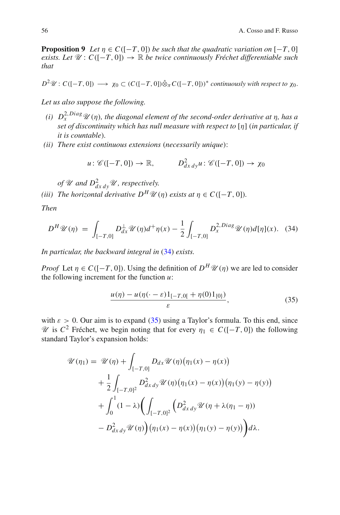**Proposition 9** *Let*  $\eta \in C([-T, 0])$  *be such that the quadratic variation on*  $[-T, 0]$ *exists. Let*  $\mathcal{U}: C([-T, 0]) \to \mathbb{R}$  *be twice continuously Fréchet differentiable such that*

 $D^2 \mathscr{U} : C([-T, 0]) \longrightarrow \chi_0 \subset (C([-T, 0]) \hat{\otimes}_{\pi} C([-T, 0]))^*$  *continuously with respect to*  $\chi_0$ .

*Let us also suppose the following.*

- *(i)*  $D_r^{2,Diag} \mathcal{U}(n)$ *, the diagonal element of the second-order derivative at*  $n$ *, has a set of discontinuity which has null measure with respect to* [η] (*in particular, if it is countable*)*.*
- *(ii) There exist continuous extensions* (*necessarily unique*):

$$
u: \mathscr{C}([-T,0]) \to \mathbb{R}, \qquad D^2_{dx\,dy}u: \mathscr{C}([-T,0]) \to \chi_0
$$

*of*  $\mathcal{U}$  and  $D^2_{dx\,dy}\mathcal{U}$ , respectively.

*(iii)* The horizontal derivative  $D^H \mathcal{U}(\eta)$  exists at  $\eta \in C([-T, 0])$ .

<span id="page-29-0"></span>*Then*

$$
D^H \mathscr{U}(\eta) = \int_{[-T,0]} D_{dx}^{\perp} \mathscr{U}(\eta) d^+\eta(x) - \frac{1}{2} \int_{[-T,0]} D_x^{2,Diag} \mathscr{U}(\eta) d[\eta](x).
$$
 (34)

*In particular, the backward integral in* [\(34\)](#page-29-0) *exists.*

<span id="page-29-1"></span>*Proof* Let  $\eta \in C([-T, 0])$ . Using the definition of  $D^H \mathscr{U}(\eta)$  we are led to consider the following increment for the function *u*:

$$
\frac{u(\eta) - u(\eta(\cdot - \varepsilon)1_{[-T,0[} + \eta(0)1_{[0]}))}{\varepsilon},\tag{35}
$$

with  $\varepsilon > 0$ . Our aim is to expand [\(35\)](#page-29-1) using a Taylor's formula. To this end, since *U* is *C*<sup>2</sup> Fréchet, we begin noting that for every  $η₁ ∈ C([-T, 0])$  the following standard Taylor's expansion holds:

$$
\mathcal{U}(\eta_1) = \mathcal{U}(\eta) + \int_{[-T,0]} D_{dx} \mathcal{U}(\eta) (\eta_1(x) - \eta(x)) \n+ \frac{1}{2} \int_{[-T,0]^2} D_{dx\,dy}^2 \mathcal{U}(\eta) (\eta_1(x) - \eta(x)) (\eta_1(y) - \eta(y)) \n+ \int_0^1 (1 - \lambda) \left( \int_{[-T,0]^2} \left( D_{dx\,dy}^2 \mathcal{U}(\eta + \lambda(\eta_1 - \eta)) - D_{dx\,dy}^2 \mathcal{U}(\eta) \right) (\eta_1(x) - \eta(x)) (\eta_1(y) - \eta(y)) \right) d\lambda.
$$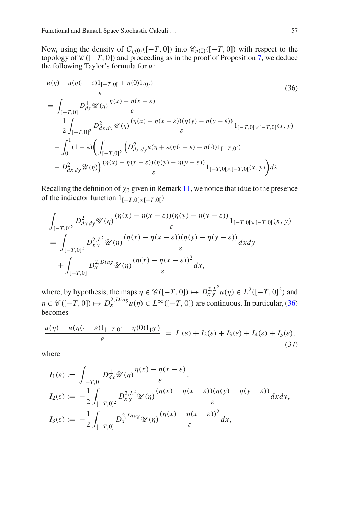Now, using the density of  $C_{n(0)}([-T, 0])$  into  $\mathcal{C}_{n(0)}([-T, 0])$  with respect to the topology of  $\mathcal{C}([-T, 0])$  and proceeding as in the proof of Proposition [7,](#page-24-2) we deduce the following Taylor's formula for *u*:

<span id="page-30-0"></span>
$$
\frac{u(\eta) - u(\eta(\cdot - \varepsilon)1_{[-T,0[} + \eta(0)1_{0]})}{\varepsilon}
$$
\n
$$
= \int_{[-T,0]} D_{dx}^{\perp} \mathcal{U}(\eta) \frac{\eta(x) - \eta(x - \varepsilon)}{\varepsilon}
$$
\n
$$
- \frac{1}{2} \int_{[-T,0]^2} D_{dx}^2 \, dy \, \mathcal{U}(\eta) \frac{(\eta(x) - \eta(x - \varepsilon))(\eta(y) - \eta(y - \varepsilon))}{\varepsilon} 1_{[-T,0[ \times [-T,0[} (x, y) - \int_0^1 (1 - \lambda) \left( \int_{[-T,0]^2} \left( D_{dx}^2 \, dy u(\eta + \lambda(\eta(\cdot - \varepsilon) - \eta(\cdot))1_{[-T,0[} \right) - D_{dx}^2 \, dy \, \mathcal{U}(\eta) \right) \frac{(\eta(x) - \eta(x - \varepsilon))(\eta(y) - \eta(y - \varepsilon))}{\varepsilon} 1_{[-T,0[ \times [-T,0[} (x, y) - \int_0^1 (1 - \lambda) \left( \int_{[-T,0]} \frac{(\eta(x) - \eta(x - \varepsilon))(\eta(y) - \eta(y - \varepsilon))}{\varepsilon} 1_{[-T,0[ \times [-T,0[} (x, y) - \int_0^1 (1 - \lambda) \left( \int_{[-T,0]} \frac{(\eta(x) - \eta(x - \varepsilon))(\eta(y) - \eta(y - \varepsilon))}{\varepsilon} 1_{[-T,0[ \times [-T,0[} (x, y - \int_0^1 (1 - \lambda) - \int_0^1 (1 - \lambda) \left( \int_{[-T,0]} \frac{(\eta(x) - \eta(x - \varepsilon))(\eta(y) - \eta(y - \varepsilon))}{\varepsilon} 1_{[-T,0]} \right) \right) \right)]
$$
\n(36)

Recalling the definition of  $\chi_0$  given in Remark [11,](#page-24-3) we notice that (due to the presence of the indicator function  $1_{[-T,0]\times[-T,0]}$ )

$$
\int_{[-T,0]^2} D_{dx\,dy}^2 \mathcal{U}(\eta) \frac{(\eta(x) - \eta(x-\varepsilon))(\eta(y) - \eta(y-\varepsilon))}{\varepsilon} 1_{[-T,0[\times[-T,0[}(x,y))]}
$$
\n
$$
= \int_{[-T,0]^2} D_{x\,y}^{2,L^2} \mathcal{U}(\eta) \frac{(\eta(x) - \eta(x-\varepsilon))(\eta(y) - \eta(y-\varepsilon))}{\varepsilon} dx dy
$$
\n
$$
+ \int_{[-T,0]} D_{x}^{2,Diag} \mathcal{U}(\eta) \frac{(\eta(x) - \eta(x-\varepsilon))^{2}}{\varepsilon} dx,
$$

where, by hypothesis, the maps  $\eta \in \mathcal{C}([-T, 0]) \mapsto D_{xy}^{2, L^2} u(\eta) \in L^2([-T, 0]^2)$  and  $\eta \in \mathscr{C}([-T, 0]) \mapsto D_{x}^{2, Diag} u(\eta) \in L^{\infty}([-T, 0])$  are continuous. In particular, [\(36\)](#page-30-0) becomes

<span id="page-30-1"></span>
$$
\frac{u(\eta) - u(\eta(\cdot - \varepsilon)1_{[-T,0[} + \eta(0)1_{[0]})}{\varepsilon} = I_1(\varepsilon) + I_2(\varepsilon) + I_3(\varepsilon) + I_4(\varepsilon) + I_5(\varepsilon),
$$
\n(37)

where

$$
I_1(\varepsilon) := \int_{[-T,0]} D_{dx}^{\perp} \mathcal{U}(\eta) \frac{\eta(x) - \eta(x - \varepsilon)}{\varepsilon},
$$
  
\n
$$
I_2(\varepsilon) := -\frac{1}{2} \int_{[-T,0]^2} D_{x,y}^{2} \mathcal{L}^2 \mathcal{U}(\eta) \frac{(\eta(x) - \eta(x - \varepsilon))(\eta(y) - \eta(y - \varepsilon))}{\varepsilon} dx dy,
$$
  
\n
$$
I_3(\varepsilon) := -\frac{1}{2} \int_{[-T,0]} D_{x}^{2} \mathcal{D}^{iag} \mathcal{U}(\eta) \frac{(\eta(x) - \eta(x - \varepsilon))}{\varepsilon} dx,
$$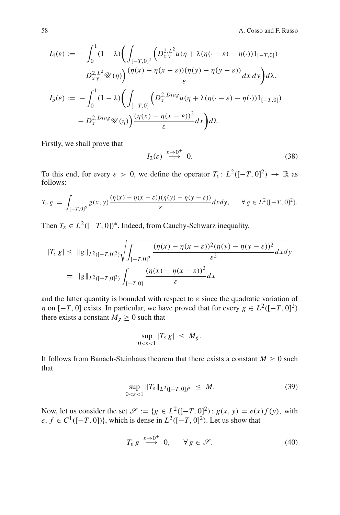$$
I_4(\varepsilon) := -\int_0^1 (1-\lambda) \Biggl( \int_{[-T,0]^2} \Biggl( D_{xy}^{2,L^2} u(\eta + \lambda(\eta(\cdot - \varepsilon) - \eta(\cdot)) 1_{[-T,0[})
$$

$$
- D_{xy}^{2,L^2} \mathscr{U}(\eta) \Biggr) \frac{(\eta(x) - \eta(x - \varepsilon)) (\eta(y) - \eta(y - \varepsilon))}{\varepsilon} dx dy \Biggr) d\lambda,
$$

$$
I_5(\varepsilon) := -\int_0^1 (1-\lambda) \Biggl( \int_{[-T,0]} \Biggl( D_x^{2,Diag} u(\eta + \lambda(\eta(\cdot - \varepsilon) - \eta(\cdot)) 1_{[-T,0[})
$$

$$
- D_x^{2,Diag} \mathscr{U}(\eta) \Biggr) \frac{(\eta(x) - \eta(x - \varepsilon))^2}{\varepsilon} dx \Biggr) d\lambda.
$$

<span id="page-31-2"></span>Firstly, we shall prove that

$$
I_2(\varepsilon) \stackrel{\varepsilon \to 0^+}{\longrightarrow} 0. \tag{38}
$$

To this end, for every  $\varepsilon > 0$ , we define the operator  $T_{\varepsilon}$ :  $L^2([-T, 0]^2) \to \mathbb{R}$  as follows:

$$
T_{\varepsilon} g = \int_{[-T,0]^2} g(x,y) \frac{(\eta(x) - \eta(x-\varepsilon))(\eta(y) - \eta(y-\varepsilon))}{\varepsilon} dx dy, \quad \forall g \in L^2([-T,0]^2).
$$

Then  $T_{\varepsilon} \in L^2([-T, 0])^*$ . Indeed, from Cauchy-Schwarz inequality,

$$
|T_{\varepsilon} g| \leq ||g||_{L^{2}([-T,0]^{2})} \sqrt{\int_{[-T,0]^{2}} \frac{(\eta(x) - \eta(x - \varepsilon))^{2} (\eta(y) - \eta(y - \varepsilon))^{2}}{\varepsilon^{2}} dx dy}
$$
  
=  $||g||_{L^{2}([-T,0]^{2})} \int_{[-T,0]} \frac{(\eta(x) - \eta(x - \varepsilon))^{2}}{\varepsilon} dx$ 

and the latter quantity is bounded with respect to  $\varepsilon$  since the quadratic variation of  $\eta$  on [−*T*, 0] exists. In particular, we have proved that for every  $g \in L^2([-T, 0]^2)$ there exists a constant  $M_g \geq 0$  such that

$$
\sup_{0 < \varepsilon < 1} |T_{\varepsilon} g| \leq M_g.
$$

<span id="page-31-1"></span>It follows from Banach-Steinhaus theorem that there exists a constant  $M \geq 0$  such that

$$
\sup_{0 < \varepsilon < 1} \|T_{\varepsilon}\|_{L^2([-T, 0])^*} \le M. \tag{39}
$$

<span id="page-31-0"></span>Now, let us consider the set  $\mathscr{S} := \{ g \in L^2([-T, 0]^2) : g(x, y) = e(x) f(y), \text{ with }$ *e*, *f* ∈ *C*<sup>1</sup>([−*T*, 0])}, which is dense in  $L^2([-T, 0]^2)$ . Let us show that

$$
T_{\varepsilon} g \stackrel{\varepsilon \to 0^+}{\longrightarrow} 0, \qquad \forall g \in \mathscr{S}.
$$
 (40)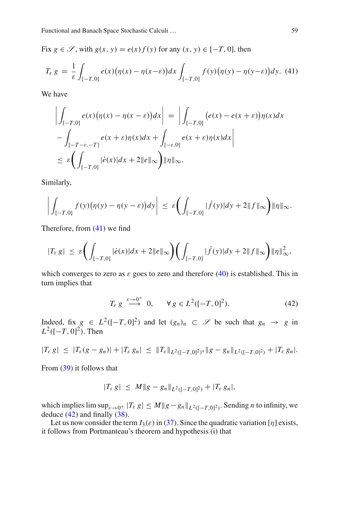<span id="page-32-0"></span>Fix  $g \in \mathscr{S}$ , with  $g(x, y) = e(x) f(y)$  for any  $(x, y) \in [-T, 0]$ , then

$$
T_{\varepsilon} g = \frac{1}{\varepsilon} \int_{[-T,0]} e(x) \big( \eta(x) - \eta(x-\varepsilon) \big) dx \int_{[-T,0]} f(y) \big( \eta(y) - \eta(y-\varepsilon) \big) dy. \tag{41}
$$

We have

$$
\left| \int_{[-T,0]} e(x) (\eta(x) - \eta(x - \varepsilon)) dx \right| = \left| \int_{[-T,0]} (e(x) - e(x + \varepsilon)) \eta(x) dx \right|
$$
  

$$
- \int_{[-T-\varepsilon,-T]} e(x + \varepsilon) \eta(x) dx + \int_{[-\varepsilon,0]} e(x + \varepsilon) \eta(x) dx \right|
$$
  

$$
\leq \varepsilon \left( \int_{[-T,0]} |\dot{e}(x)| dx + 2||e||_{\infty} \right) ||\eta||_{\infty}.
$$

Similarly,

$$
\left| \int_{[-T,0]} f(y) \big( \eta(y) - \eta(y - \varepsilon) \big) dy \right| \leq \varepsilon \left( \int_{[-T,0]} |\dot{f}(y)| dy + 2 \|f\|_{\infty} \right) \| \eta \|_{\infty}.
$$

Therefore, from [\(41\)](#page-32-0) we find

$$
|T_{\varepsilon} g| \ \leq \ \varepsilon \bigg( \int_{[-T,0]} |\dot{e}(x)| dx + 2||e||_{\infty} \bigg) \bigg( \int_{[-T,0]} |\dot{f}(y)| dy + 2||f||_{\infty} \bigg) \|\eta\|_{\infty}^2,
$$

<span id="page-32-1"></span>which converges to zero as  $\varepsilon$  goes to zero and therefore [\(40\)](#page-31-0) is established. This in turn implies that

$$
T_{\varepsilon} g \stackrel{\varepsilon \to 0^+}{\longrightarrow} 0, \qquad \forall g \in L^2([-T, 0]^2). \tag{42}
$$

Indeed, fix  $g \in L^2([-T, 0]^2)$  and let  $(g_n)_n \subset \mathscr{S}$  be such that  $g_n \to g$  in  $L^2([-T, 0]^2)$ . Then

$$
|T_{\varepsilon} g| \leq |T_{\varepsilon}(g - g_n)| + |T_{\varepsilon} g_n| \leq \|T_{\varepsilon}\|_{L^2([-T,0]^2)^*} \|g - g_n\|_{L^2([-T,0]^2)} + |T_{\varepsilon} g_n|.
$$

From [\(39\)](#page-31-1) it follows that

$$
|T_{\varepsilon} g| \leq M \|g - g_n\|_{L^2([-T,0]^2)} + |T_{\varepsilon} g_n|,
$$

which implies  $\limsup_{\varepsilon\to 0^+} |T_{\varepsilon} g| \leq M \|g - g_n\|_{L^2([-T,0]^2)}$ . Sending *n* to infinity, we deduce [\(42\)](#page-32-1) and finally [\(38\)](#page-31-2).

Let us now consider the term  $I_3(\varepsilon)$  in [\(37\)](#page-30-1). Since the quadratic variation [η] exists, it follows from Portmanteau's theorem and hypothesis (i) that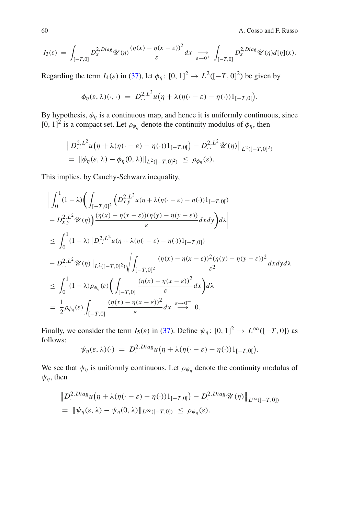$$
I_3(\varepsilon) = \int_{[-T,0]} D_x^{2,Diag} \mathscr{U}(\eta) \frac{(\eta(x) - \eta(x-\varepsilon))^2}{\varepsilon} dx \implies \int_{[-T,0]} D_x^{2,Diag} \mathscr{U}(\eta) d[\eta](x).
$$

Regarding the term  $I_4(\varepsilon)$  in [\(37\)](#page-30-1), let  $\phi_\eta$ :  $[0, 1]^2 \rightarrow L^2([-T, 0]^2)$  be given by

$$
\phi_{\eta}(\varepsilon,\lambda)(\cdot,\cdot) = D^{2,L^2}_{\cdot\cdot\cdot}u(\eta+\lambda(\eta(\cdot-\varepsilon)-\eta(\cdot))1_{[-T,0[}).
$$

By hypothesis,  $\phi_{\eta}$  is a continuous map, and hence it is uniformly continuous, since [0, 1]<sup>2</sup> is a compact set. Let  $\rho_{\phi_{\eta}}$  denote the continuity modulus of  $\phi_{\eta}$ , then

$$
\|D^{2,L^2}_{\cdot\cdot\cdot}u(\eta+\lambda(\eta(\cdot-\varepsilon)-\eta(\cdot))1_{[-T,0[})-D^{2,L^2}_{\cdot\cdot\cdot}(\mathscr{U}(\eta))\|_{L^2([-T,0]^2)}
$$
  
=  $\|\phi_{\eta}(\varepsilon,\lambda)-\phi_{\eta}(0,\lambda)\|_{L^2([-T,0]^2)} \leq \rho_{\phi_{\eta}}(\varepsilon).$ 

This implies, by Cauchy-Schwarz inequality,

$$
\begin{split}\n&\left|\int_{0}^{1} (1-\lambda) \left(\int_{[-T,0]^2} \left(D_{xy}^{2,L^2} u(\eta + \lambda(\eta(\cdot-\varepsilon) - \eta(\cdot))1_{[-T,0[})\right)\right.\\
&\left. - D_{xy}^{2,L^2} \mathscr{U}(\eta)\right) \frac{(\eta(x) - \eta(x-\varepsilon))(\eta(y) - \eta(y-\varepsilon))}{\varepsilon} dx dy\right) d\lambda\right| \\
&\leq \int_{0}^{1} (1-\lambda) \left\|D_{\cdot,\cdot}^{2,L^2} u(\eta + \lambda(\eta(\cdot-\varepsilon) - \eta(\cdot))1_{[-T,0]})\right.\\
&\left. - D_{\cdot,\cdot}^{2,L^2} \mathscr{U}(\eta)\right\|_{L^2([-T,0]^2)} \sqrt{\int_{[-T,0]^2} \frac{(\eta(x) - \eta(x-\varepsilon))^2(\eta(y) - \eta(y-\varepsilon))^2}{\varepsilon^2} dx dy} dx\right| \\
&\leq \int_{0}^{1} (1-\lambda) \rho_{\phi_{\eta}}(\varepsilon) \left(\int_{[-T,0]} \frac{(\eta(x) - \eta(x-\varepsilon))^2}{\varepsilon} dx\right) d\lambda \\
&= \frac{1}{2} \rho_{\phi_{\eta}}(\varepsilon) \int_{[-T,0]} \frac{(\eta(x) - \eta(x-\varepsilon))^2}{\varepsilon} dx \xrightarrow{\varepsilon \to 0^+} 0.\n\end{split}
$$

Finally, we consider the term *I*<sub>5</sub>( $\varepsilon$ ) in [\(37\)](#page-30-1). Define  $\psi_{\eta} : [0, 1]^2 \to L^{\infty}([-T, 0])$  as follows:

$$
\psi_{\eta}(\varepsilon,\lambda)(\cdot) = D^{2,Diag}_{\cdot}u(\eta + \lambda(\eta(\cdot - \varepsilon) - \eta(\cdot))1_{[-T,0[}).
$$

We see that  $\psi_{\eta}$  is uniformly continuous. Let  $\rho_{\psi_{\eta}}$  denote the continuity modulus of  $\psi_{\eta}$ , then

$$
\|D^{2,Diag}_{\cdot}u(\eta+\lambda(\eta(\cdot-\varepsilon)-\eta(\cdot))1_{[-T,0[})-D^{2,Diag}_{\cdot}\mathscr{U}(\eta)\|_{L^{\infty}([-T,0])}
$$
  
=  $\|\psi_{\eta}(\varepsilon,\lambda)-\psi_{\eta}(0,\lambda)\|_{L^{\infty}([-T,0])}\leq \rho_{\psi_{\eta}}(\varepsilon).$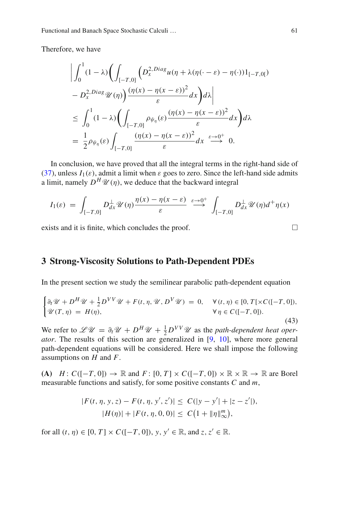Therefore, we have

$$
\left| \int_0^1 (1 - \lambda) \left( \int_{[-T,0]} \left( D_x^{2,Diag} u(\eta + \lambda(\eta(\cdot - \varepsilon) - \eta(\cdot)) 1_{[-T,0[} \right) \right) d\eta \right| \right|
$$
  

$$
- D_x^{2,Diag} \mathscr{U}(\eta) \left) \frac{(\eta(x) - \eta(x - \varepsilon))^2}{\varepsilon} dx \right) d\lambda
$$
  

$$
\leq \int_0^1 (1 - \lambda) \left( \int_{[-T,0]} \rho_{\psi_\eta}(\varepsilon) \frac{(\eta(x) - \eta(x - \varepsilon))^2}{\varepsilon} dx \right) d\lambda
$$
  

$$
= \frac{1}{2} \rho_{\psi_\eta}(\varepsilon) \int_{[-T,0]} \frac{(\eta(x) - \eta(x - \varepsilon))^2}{\varepsilon} dx \xrightarrow{\varepsilon \to 0^+} 0.
$$

In conclusion, we have proved that all the integral terms in the right-hand side of [\(37\)](#page-30-1), unless  $I_1(\varepsilon)$ , admit a limit when  $\varepsilon$  goes to zero. Since the left-hand side admits a limit, namely  $D^H \mathcal{U}(\eta)$ , we deduce that the backward integral

$$
I_1(\varepsilon) = \int_{[-T,0]} D^{\perp}_{dx} \mathscr{U}(\eta) \frac{\eta(x) - \eta(x - \varepsilon)}{\varepsilon} \stackrel{\varepsilon \to 0^+}{\longrightarrow} \int_{[-T,0]} D^{\perp}_{dx} \mathscr{U}(\eta) d^{\perp} \eta(x)
$$

exists and it is finite, which concludes the proof.  $\Box$ 

### <span id="page-34-0"></span>**3 Strong-Viscosity Solutions to Path-Dependent PDEs**

<span id="page-34-1"></span>In the present section we study the semilinear parabolic path-dependent equation

$$
\begin{cases} \partial_t \mathcal{U} + D^H \mathcal{U} + \frac{1}{2} D^{VV} \mathcal{U} + F(t, \eta, \mathcal{U}, D^V \mathcal{U}) = 0, & \forall (t, \eta) \in [0, T[ \times C([-T, 0]), \\ \mathcal{U}(T, \eta) = H(\eta), & \forall \eta \in C([-T, 0]). \end{cases}
$$

We refer to  $\mathscr{L}\mathscr{U} = \partial_t \mathscr{U} + D^H \mathscr{U} + \frac{1}{2}D^{VV} \mathscr{U}$  as the *path-dependent heat operator*. The results of this section are generalized in [\[9,](#page-52-0) [10](#page-52-1)], where more general path-dependent equations will be considered. Here we shall impose the following assumptions on *H* and *F*.

(A) *H* :  $C([-T, 0]) \rightarrow \mathbb{R}$  and  $F$  : [0, *T*] ×  $C([-T, 0]) \times \mathbb{R} \times \mathbb{R} \rightarrow \mathbb{R}$  are Borel measurable functions and satisfy, for some positive constants *C* and *m*,

$$
|F(t, \eta, y, z) - F(t, \eta, y', z')| \le C(|y - y'| + |z - z'|),
$$
  

$$
|H(\eta)| + |F(t, \eta, 0, 0)| \le C(1 + ||\eta||_{\infty}^{m}),
$$

for all  $(t, \eta) \in [0, T] \times C([-T, 0]), \gamma, \gamma' \in \mathbb{R}$ , and  $z, z' \in \mathbb{R}$ .

(43)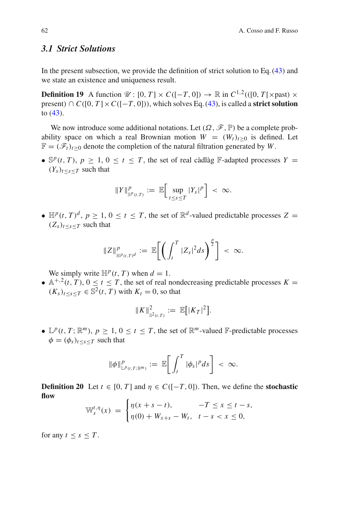### <span id="page-35-0"></span>*3.1 Strict Solutions*

In the present subsection, we provide the definition of strict solution to Eq. [\(43\)](#page-34-1) and we state an existence and uniqueness result.

**Definition 19** A function  $\mathcal{U}: [0, T] \times C([-T, 0]) \rightarrow \mathbb{R}$  in  $C^{1,2}(([0, T] \times \text{past}) \times$ present)  $\cap C([0, T] \times C([-T, 0]))$ , which solves Eq. [\(43\)](#page-34-1), is called a **strict solution** to [\(43\)](#page-34-1).

We now introduce some additional notations. Let  $(\Omega, \mathcal{F}, \mathbb{P})$  be a complete probability space on which a real Brownian motion  $W = (W_t)_{t \geq 0}$  is defined. Let  $\mathbb{F} = (\mathscr{F}_t)_{t>0}$  denote the completion of the natural filtration generated by W.

•  $\mathbb{S}^p(t, T)$ ,  $p \geq 1$ ,  $0 \leq t \leq T$ , the set of real càdlàg **F**-adapted processes  $Y =$  $(Y_s)_{t \leq s \leq T}$  such that

$$
||Y||_{\mathbb{S}^p(t,T)}^p := \mathbb{E}\Big[\sup_{t\leq s\leq T}|Y_s|^p\Big] < \infty.
$$

•  $\mathbb{H}^p(t, T)^d$ ,  $p > 1$ ,  $0 \le t \le T$ , the set of  $\mathbb{R}^d$ -valued predictable processes  $Z =$  $(Z_s)_{t \leq s \leq T}$  such that

$$
||Z||_{\mathbb{H}^p(t,T)^d}^p := \mathbb{E}\bigg[\bigg(\int_t^T |Z_s|^2 ds\bigg)^{\frac{p}{2}}\bigg] < \infty.
$$

We simply write  $\mathbb{H}^p(t, T)$  when  $d = 1$ .

•  $\mathbb{A}^{+,2}(t, T), 0 \le t \le T$ , the set of real nondecreasing predictable processes  $K =$  $(K_s)_{t \leq s \leq T} \in \mathbb{S}^2(t, T)$  with  $K_t = 0$ , so that

$$
||K||_{\mathbb{S}^2(t,T)}^2 := \mathbb{E}[|K_T|^2].
$$

•  $\mathbb{L}^p(t, T; \mathbb{R}^m)$ ,  $p \geq 1, 0 \leq t \leq T$ , the set of  $\mathbb{R}^m$ -valued  $\mathbb{F}\text{-predictable processes}$  $\phi = (\phi_s)_{t \leq s \leq T}$  such that

$$
\|\phi\|_{\mathbb{L}^p(t,T;\mathbb{R}^m)}^p := \mathbb{E}\bigg[\int_t^T |\phi_s|^p ds\bigg] < \infty.
$$

**Definition 20** Let  $t \in [0, T]$  and  $\eta \in C([-T, 0])$ . Then, we define the **stochastic flow**

$$
\mathbb{W}_{s}^{t,\eta}(x) = \begin{cases} \eta(x+s-t), & -T \leq x \leq t-s, \\ \eta(0) + W_{x+s} - W_t, & t-s < x \leq 0, \end{cases}
$$

for any  $t \leq s \leq T$ .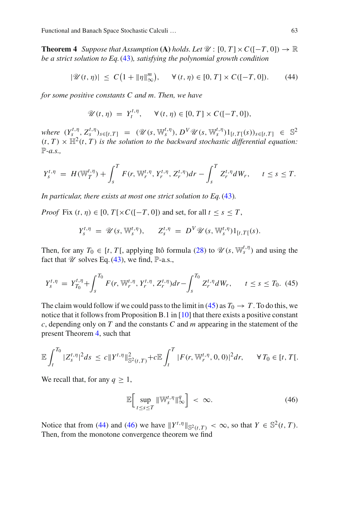<span id="page-36-2"></span><span id="page-36-1"></span>**Theorem 4** *Suppose that Assumption* **(A)** *holds. Let*  $\mathcal{U}: [0, T] \times C([-T, 0]) \rightarrow \mathbb{R}$ *be a strict solution to Eq.*[\(43\)](#page-34-1)*, satisfying the polynomial growth condition*

$$
|\mathscr{U}(t,\eta)| \le C\big(1 + \|\eta\|_{\infty}^m\big), \quad \forall (t,\eta) \in [0,T] \times C([-T,0]). \tag{44}
$$

*for some positive constants C and m. Then, we have*

$$
\mathscr{U}(t,\eta) = Y_t^{t,\eta}, \quad \forall (t,\eta) \in [0,T] \times C([-T,0]),
$$

where  $(Y_s^{t,\eta}, Z_s^{t,\eta})_{s \in [t,T]} = (\mathcal{U}(s, \mathbb{W}_s^{t,\eta}), D^V \mathcal{U}(s, \mathbb{W}_s^{t,\eta})1_{[t,T]}(s))_{s \in [t,T]} \in \mathbb{S}^2$  $(t, T) \times \mathbb{H}^2(t, T)$  *is the solution to the backward stochastic differential equation:* P*-a.s.,*

$$
Y_s^{t,\eta} = H(\mathbb{W}_T^{t,\eta}) + \int_s^T F(r, \mathbb{W}_r^{t,\eta}, Y_r^{t,\eta}, Z_r^{t,\eta})dr - \int_s^T Z_r^{t,\eta}dW_r, \quad t \leq s \leq T.
$$

*In particular, there exists at most one strict solution to Eq.*[\(43\)](#page-34-1)*.*

*Proof* Fix  $(t, \eta) \in [0, T[ \times C([-T, 0])$  and set, for all  $t \leq s \leq T$ ,

$$
Y_s^{t,\eta} = \mathscr{U}(s, \mathbb{W}_s^{t,\eta}), \quad Z_s^{t,\eta} = D^V \mathscr{U}(s, \mathbb{W}_s^{t,\eta}) 1_{[t,T[}(s).
$$

Then, for any  $T_0 \in [t, T]$ , applying Itô formula [\(28\)](#page-21-1) to  $\mathcal{U}(s, \mathbb{W}_s^{t, \eta})$  and using the fact that  $\mathcal U$  solves Eq. [\(43\)](#page-34-1), we find, P-a.s.,

<span id="page-36-0"></span>
$$
Y_s^{t,\eta} = Y_{T_0}^{t,\eta} + \int_s^{T_0} F(r, \mathbb{W}_r^{t,\eta}, Y_r^{t,\eta}, Z_r^{t,\eta}) dr - \int_s^{T_0} Z_r^{t,\eta} dW_r, \qquad t \le s \le T_0. \tag{45}
$$

The claim would follow if we could pass to the limit in [\(45\)](#page-36-0) as  $T_0 \rightarrow T$ . To do this, we notice that it follows from Proposition B.1 in [\[10](#page-52-1)] that there exists a positive constant *c*, depending only on *T* and the constants *C* and *m* appearing in the statement of the present Theorem [4,](#page-36-1) such that

$$
\mathbb{E}\int_{t}^{T_0}|Z_s^{t,\eta}|^2ds\ \leq\ c\|Y^{t,\eta}\|_{\mathbb{S}^2(t,T)}^2+c\mathbb{E}\int_{t}^{T}|F(r,\mathbb{W}_r^{t,\eta},0,0)|^2dr,\qquad\forall\,T_0\in[t,T[.
$$

<span id="page-36-3"></span>We recall that, for any  $q \geq 1$ ,

$$
\mathbb{E}\Big[\sup_{t\leq s\leq T} \|\mathbb{W}_s^{t,\eta}\|_{\infty}^q\Big] < \infty. \tag{46}
$$

Notice that from [\(44\)](#page-36-2) and [\(46\)](#page-36-3) we have  $||Y^{t,\eta}||_{\mathbb{S}^2(t,T)} < \infty$ , so that  $Y \in \mathbb{S}^2(t,T)$ . Then, from the monotone convergence theorem we find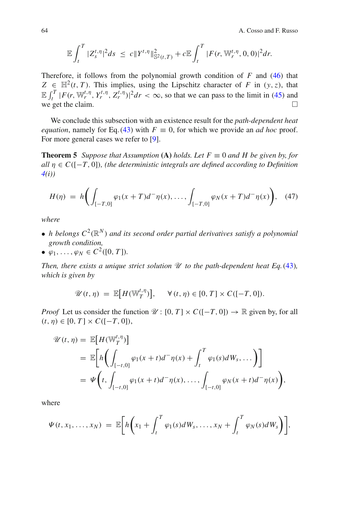$$
\mathbb{E}\int_t^T |Z_s^{t,\eta}|^2 ds \ \leq c \|Y^{t,\eta}\|_{\mathbb{S}^2(t,T)}^2 + c \mathbb{E}\int_t^T |F(r,\mathbb{W}_r^{t,\eta},0,0)|^2 dr.
$$

Therefore, it follows from the polynomial growth condition of *F* and [\(46\)](#page-36-3) that  $Z \in \mathbb{H}^2(t, T)$ . This implies, using the Lipschitz character of *F* in (*y*, *z*), that  $\mathbb{E} \int_t^T |F(r, \mathbb{W}_r^{t,\eta}, Y_r^{t,\eta}, Z_r^{t,\eta})|^2 dr < \infty$ , so that we can pass to the limit in [\(45\)](#page-36-0) and we get the claim.

We conclude this subsection with an existence result for the *path-dependent heat equation*, namely for Eq. [\(43\)](#page-34-1) with  $F \equiv 0$ , for which we provide an *ad hoc* proof. For more general cases we refer to [\[9\]](#page-52-0).

<span id="page-37-1"></span>**Theorem 5** *Suppose that Assumption* **(A)** *holds. Let*  $F \equiv 0$  *and*  $H$  *be given by, for all*  $\eta \in C([-T, 0])$ *, (the deterministic integrals are defined according to Definition [4\(](#page-6-2)i))*

<span id="page-37-0"></span>
$$
H(\eta) = h\bigg(\int_{[-T,0]} \varphi_1(x+T)d^{-}\eta(x), \dots, \int_{[-T,0]} \varphi_N(x+T)d^{-}\eta(x)\bigg), \quad (47)
$$

*where*

- *h belongs*  $C^2(\mathbb{R}^N)$  *and its second order partial derivatives satisfy a polynomial growth condition,*
- $\varphi_1, \ldots, \varphi_N \in C^2([0, T]).$

*Then, there exists a unique strict solution*  $\mathcal U$  *to the path-dependent heat Eq.*[\(43\)](#page-34-1)*, which is given by*

$$
\mathscr{U}(t,\eta) = \mathbb{E}\big[H(\mathbb{W}_T^{t,\eta})\big], \quad \forall (t,\eta) \in [0,T] \times C([-T,0]).
$$

*Proof* Let us consider the function  $\mathcal{U} : [0, T] \times C([-T, 0]) \rightarrow \mathbb{R}$  given by, for all  $(t, η) ∈ [0, T] × C([-T, 0]),$ 

$$
\mathcal{U}(t, \eta) = \mathbb{E}\Big[H(\mathbb{W}_T^{t, \eta})\Big] \n= \mathbb{E}\Big[h\Big(\int_{[-t,0]} \varphi_1(x+t)d^-\eta(x) + \int_t^T \varphi_1(s)dW_s, \dots\Big)\Big] \n= \Psi\Big(t, \int_{[-t,0]} \varphi_1(x+t)d^-\eta(x), \dots, \int_{[-t,0]} \varphi_N(x+t)d^-\eta(x)\Big),
$$

where

$$
\Psi(t,x_1,\ldots,x_N) = \mathbb{E}\bigg[h\bigg(x_1+\int_t^T\varphi_1(s)dW_s,\ldots,x_N+\int_t^T\varphi_N(s)dW_s\bigg)\bigg],
$$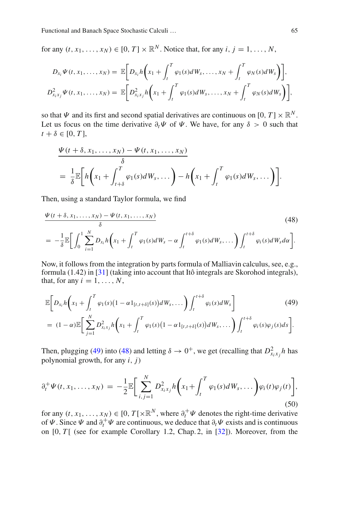for any  $(t, x_1, \ldots, x_N) \in [0, T] \times \mathbb{R}^N$ . Notice that, for any  $i, j = 1, \ldots, N$ ,

$$
D_{x_i}\Psi(t, x_1,..., x_N) = \mathbb{E}\bigg[D_{x_i}h\bigg(x_1 + \int_t^T \varphi_1(s)dW_s,..., x_N + \int_t^T \varphi_N(s)dW_s\bigg)\bigg],
$$
  

$$
D_{x_ix_j}^2\Psi(t, x_1,..., x_N) = \mathbb{E}\bigg[D_{x_ix_j}^2h\bigg(x_1 + \int_t^T \varphi_1(s)dW_s,..., x_N + \int_t^T \varphi_N(s)dW_s\bigg)\bigg],
$$

so that  $\Psi$  and its first and second spatial derivatives are continuous on [0,  $T \times \mathbb{R}^N$ . Let us focus on the time derivative  $\partial_t \Psi$  of  $\Psi$ . We have, for any  $\delta > 0$  such that  $t + \delta \in [0, T]$ ,

<span id="page-38-1"></span>
$$
\frac{\Psi(t+\delta,x_1,\ldots,x_N)-\Psi(t,x_1,\ldots,x_N)}{\delta}=\frac{1}{\delta}\mathbb{E}\bigg[h\bigg(x_1+\int_{t+\delta}^T\varphi_1(s)dW_s,\ldots\bigg)-h\bigg(x_1+\int_t^T\varphi_1(s)dW_s,\ldots\bigg)\bigg].
$$

Then, using a standard Taylor formula, we find

<span id="page-38-0"></span>*j*=1

$$
\frac{\Psi(t+\delta,x_1,\ldots,x_N)-\Psi(t,x_1,\ldots,x_N)}{\delta} \qquad (48)
$$
\n
$$
= -\frac{1}{\delta} \mathbb{E} \bigg[ \int_0^1 \sum_{i=1}^N D_{x_i} h\bigg(x_1 + \int_t^T \varphi_1(s) dW_s - \alpha \int_t^{t+\delta} \varphi_1(s) dW_s, \ldots\bigg) \int_t^{t+\delta} \varphi_i(s) dW_s d\alpha \bigg].
$$

Now, it follows from the integration by parts formula of Malliavin calculus, see, e.g., formula (1.42) in [\[31\]](#page-53-12) (taking into account that Itô integrals are Skorohod integrals), that, for any  $i = 1, \ldots, N$ ,

$$
\mathbb{E}\bigg[D_{x_i}h\bigg(x_1+\int_t^T\varphi_1(s)\big(1-\alpha 1_{[t,t+\delta]}(s)\big)dW_s,\dots\bigg)\int_t^{t+\delta}\varphi_i(s)dW_s\bigg]\n= (1-\alpha)\mathbb{E}\bigg[\sum_{i=1}^N D_{x_ix_j}^2h\bigg(x_1+\int_t^T\varphi_1(s)\big(1-\alpha 1_{[t,t+\delta]}(s)\big)dW_s,\dots\bigg)\int_t^{t+\delta}\varphi_i(s)\varphi_j(s)ds\bigg].
$$
\n(49)

Then, plugging [\(49\)](#page-38-0) into [\(48\)](#page-38-1) and letting  $\delta \to 0^+$ , we get (recalling that  $D^2_{x_ix_j}h$  has polynomial growth, for any *i*, *j*)

<span id="page-38-2"></span>
$$
\partial_t^+ \Psi(t, x_1, \dots, x_N) = -\frac{1}{2} \mathbb{E} \bigg[ \sum_{i,j=1}^N D_{x_i x_j}^2 h\bigg( x_1 + \int_t^T \varphi_1(s) dW_s, \dots \bigg) \varphi_i(t) \varphi_j(t) \bigg], \tag{50}
$$

for any  $(t, x_1, \ldots, x_N) \in [0, T[ \times \mathbb{R}^N, \text{ where } \partial_t^+ \Psi \text{ denotes the right-time derivative}]$ of  $\Psi$ . Since  $\Psi$  and  $\partial_t^+ \Psi$  are continuous, we deduce that  $\partial_t \Psi$  exists and is continuous on  $[0, T]$  (see for example Corollary 1.2, Chap. 2, in  $[32]$  $[32]$ ). Moreover, from the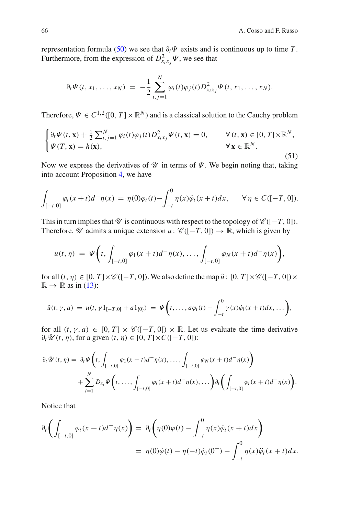representation formula [\(50\)](#page-38-2) we see that  $\partial_t \Psi$  exists and is continuous up to time *T*. Furthermore, from the expression of  $D^2_{x_ix_j}\Psi$ , we see that

$$
\partial_t \Psi(t, x_1, \dots, x_N) = -\frac{1}{2} \sum_{i,j=1}^N \varphi_i(t) \varphi_j(t) D^2_{x_i x_j} \Psi(t, x_1, \dots, x_N).
$$

<span id="page-39-0"></span>Therefore,  $\Psi \in C^{1,2}([0, T] \times \mathbb{R}^N)$  and is a classical solution to the Cauchy problem

$$
\begin{cases} \partial_t \Psi(t, \mathbf{x}) + \frac{1}{2} \sum_{i,j=1}^N \varphi_i(t) \varphi_j(t) D_{x_i x_j}^2 \Psi(t, \mathbf{x}) = 0, & \forall (t, \mathbf{x}) \in [0, T[ \times \mathbb{R}^N, \\ \Psi(T, \mathbf{x}) = h(\mathbf{x}), & \forall \mathbf{x} \in \mathbb{R}^N. \end{cases}
$$
\n(51)

Now we express the derivatives of  $\mathcal U$  in terms of  $\mathcal V$ . We begin noting that, taking into account Proposition [4,](#page-8-3) we have

$$
\int_{[-t,0]} \varphi_i(x+t) d^-\eta(x) = \eta(0)\varphi_i(t) - \int_{-t}^0 \eta(x)\dot{\varphi}_i(x+t)dx, \quad \forall \eta \in C([-T,0]).
$$

This in turn implies that  $\mathcal U$  is continuous with respect to the topology of  $\mathcal C([-T, 0])$ . Therefore,  $\mathcal U$  admits a unique extension  $u : \mathcal C([-T, 0]) \to \mathbb{R}$ , which is given by

$$
u(t,\eta) = \Psi\bigg(t, \int_{[-t,0]} \varphi_1(x+t) d^-\eta(x), \ldots, \int_{[-t,0]} \varphi_N(x+t) d^-\eta(x)\bigg),
$$

for all  $(t, \eta) \in [0, T] \times \mathcal{C}([-T, 0])$ . We also define the map  $\tilde{u}$  :  $[0, T] \times \mathcal{C}([-T, 0]) \times$  $\mathbb{R} \to \mathbb{R}$  as in [\(13\)](#page-12-0):

$$
\tilde{u}(t,\gamma,a) = u(t,\gamma 1_{[-T,0[} + a1_{\{0\}})) = \Psi\bigg(t,\ldots,a\varphi_i(t) - \int_{-t}^0 \gamma(x)\dot{\varphi}_i(x+t)dx,\ldots\bigg),
$$

for all  $(t, \gamma, a) \in [0, T] \times \mathcal{C}([-T, 0]) \times \mathbb{R}$ . Let us evaluate the time derivative  $\partial_t \mathcal{U}(t, \eta)$ , for a given  $(t, \eta) \in [0, T] \times C([-T, 0])$ :

$$
\partial_t \mathscr{U}(t, \eta) = \partial_t \Psi \bigg( t, \int_{[-t,0]} \varphi_1(x+t) d^-\eta(x), \dots, \int_{[-t,0]} \varphi_N(x+t) d^-\eta(x) \bigg) + \sum_{i=1}^N D_{x_i} \Psi \bigg( t, \dots, \int_{[-t,0]} \varphi_i(x+t) d^-\eta(x), \dots \bigg) \partial_t \bigg( \int_{[-t,0]} \varphi_i(x+t) d^-\eta(x) \bigg).
$$

Notice that

$$
\partial_t \left( \int_{[-t,0]} \varphi_i(x+t) d^-\eta(x) \right) = \partial_t \left( \eta(0)\varphi(t) - \int_{-t}^0 \eta(x)\dot{\varphi}_i(x+t) dx \right)
$$
  
= 
$$
\eta(0)\dot{\varphi}(t) - \eta(-t)\dot{\varphi}_i(0^+) - \int_{-t}^0 \eta(x)\ddot{\varphi}_i(x+t) dx.
$$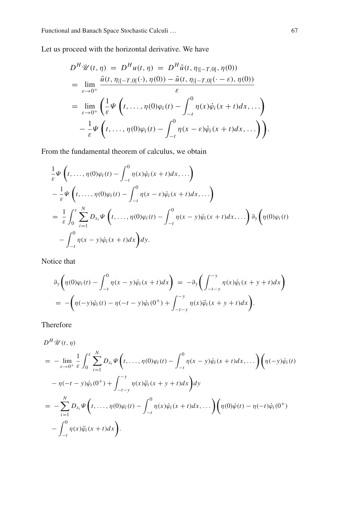Let us proceed with the horizontal derivative. We have

$$
D^H \mathscr{U}(t, \eta) = D^H u(t, \eta) = D^H \tilde{u}(t, \eta_{\parallel -T,0[}, \eta(0))
$$
  
\n
$$
= \lim_{\varepsilon \to 0^+} \frac{\tilde{u}(t, \eta_{\parallel -T,0[}(\cdot), \eta(0)) - \tilde{u}(t, \eta_{\parallel -T,0[}(\cdot - \varepsilon), \eta(0))}{\varepsilon}
$$
  
\n
$$
= \lim_{\varepsilon \to 0^+} \left( \frac{1}{\varepsilon} \Psi \left( t, \dots, \eta(0) \varphi_i(t) - \int_{-t}^0 \eta(x) \dot{\varphi}_i(x+t) dx, \dots \right) - \frac{1}{\varepsilon} \Psi \left( t, \dots, \eta(0) \varphi_i(t) - \int_{-t}^0 \eta(x-\varepsilon) \dot{\varphi}_i(x+t) dx, \dots \right) \right).
$$

From the fundamental theorem of calculus, we obtain

$$
\frac{1}{\varepsilon}\Psi\left(t,\ldots,\eta(0)\varphi_i(t)-\int_{-t}^0\eta(x)\dot{\varphi}_i(x+t)dx,\ldots\right) \n-\frac{1}{\varepsilon}\Psi\left(t,\ldots,\eta(0)\varphi_i(t)-\int_{-t}^0\eta(x-\varepsilon)\dot{\varphi}_i(x+t)dx,\ldots\right) \n=\frac{1}{\varepsilon}\int_0^\varepsilon\sum_{i=1}^N D_{x_i}\Psi\left(t,\ldots,\eta(0)\varphi_i(t)-\int_{-t}^0\eta(x-y)\dot{\varphi}_i(x+t)dx,\ldots\right)\partial_y\left(\eta(0)\varphi_i(t)-\int_{-t}^0\eta(x-y)\dot{\varphi}_i(x+t)dx\right)dy.
$$

Notice that

$$
\partial_y \left( \eta(0) \varphi_i(t) - \int_{-t}^0 \eta(x - y) \dot{\varphi}_i(x + t) dx \right) = -\partial_y \left( \int_{-t - y}^{-y} \eta(x) \dot{\varphi}_i(x + y + t) dx \right)
$$
  
=  $-\left( \eta(-y) \dot{\varphi}_i(t) - \eta(-t - y) \dot{\varphi}_i(0^+) + \int_{-t - y}^{-y} \eta(x) \ddot{\varphi}_i(x + y + t) dx \right).$ 

Therefore

 $D^H \mathscr{U}(t, n)$ 

$$
= -\lim_{\varepsilon \to 0^{+}} \frac{1}{\varepsilon} \int_{0}^{\varepsilon} \sum_{i=1}^{N} D_{x_{i}} \Psi \left( t, \dots, \eta(0) \varphi_{i}(t) - \int_{-t}^{0} \eta(x - y) \dot{\varphi}_{i}(x + t) dx, \dots \right) \left( \eta(-y) \dot{\varphi}_{i}(t) - \eta(-t - y) \dot{\varphi}_{i}(0^{+}) + \int_{-t - y}^{-y} \eta(x) \ddot{\varphi}_{i}(x + y + t) dx \right) dy
$$
  

$$
= -\sum_{i=1}^{N} D_{x_{i}} \Psi \left( t, \dots, \eta(0) \varphi_{i}(t) - \int_{-t}^{0} \eta(x) \dot{\varphi}_{i}(x + t) dx, \dots \right) \left( \eta(0) \dot{\varphi}(t) - \eta(-t) \dot{\varphi}_{i}(0^{+}) - \int_{-t}^{0} \eta(x) \ddot{\varphi}_{i}(x + t) dx \right).
$$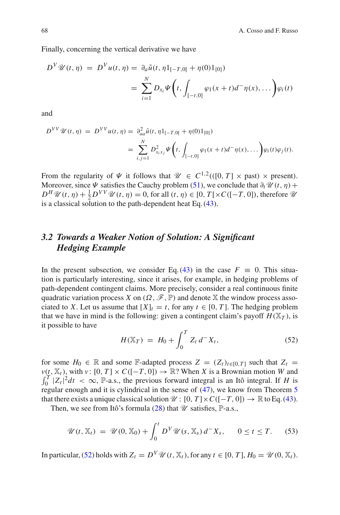Finally, concerning the vertical derivative we have

$$
D^{V} \mathscr{U}(t, \eta) = D^{V} u(t, \eta) = \partial_{a} \tilde{u}(t, \eta 1_{[-T, 0[} + \eta(0) 1_{[0]})
$$
  
= 
$$
\sum_{i=1}^{N} D_{x_{i}} \Psi \left( t, \int_{[-t, 0]} \varphi_{1}(x+t) d^{-} \eta(x), \dots \right) \varphi_{i}(t)
$$

and

$$
D^{VV} \mathscr{U}(t, \eta) = D^{VV} u(t, \eta) = \partial_{aa}^2 \tilde{u}(t, \eta 1_{[-T,0[} + \eta(0)1_{[0]}))
$$
  
= 
$$
\sum_{i,j=1}^N D_{x_i x_j}^2 \Psi \left( t, \int_{[-t,0]} \varphi_1(x+t) d^{\eta}(x), \dots \right) \varphi_i(t) \varphi_j(t).
$$

From the regularity of  $\Psi$  it follows that  $\Psi \in C^{1,2}((0,T] \times \text{past}) \times \text{present})$ . Moreover, since  $\Psi$  satisfies the Cauchy problem [\(51\)](#page-39-0), we conclude that  $\partial_t \mathcal{U}(t, \eta)$  +  $D^H \mathcal{U}(t, \eta) + \frac{1}{2} D^{VV} \mathcal{U}(t, \eta) = 0$ , for all  $(t, \eta) \in [0, T[ \times C([-T, 0]),$  therefore  $\mathcal{U}$ is a classical solution to the path-dependent heat Eq. [\(43\)](#page-34-1).

# <span id="page-41-0"></span>*3.2 Towards a Weaker Notion of Solution: A Significant Hedging Example*

In the present subsection, we consider Eq. [\(43\)](#page-34-1) in the case  $F \equiv 0$ . This situation is particularly interesting, since it arises, for example, in hedging problems of path-dependent contingent claims. More precisely, consider a real continuous finite quadratic variation process *X* on  $(\Omega, \mathcal{F}, \mathbb{P})$  and denote X the window process associated to *X*. Let us assume that  $[X]_t = t$ , for any  $t \in [0, T]$ . The hedging problem that we have in mind is the following: given a contingent claim's payoff  $H(\mathbb{X}_T)$ , is it possible to have

$$
H(\mathbb{X}_T) = H_0 + \int_0^T Z_t \, d^- X_t,\tag{52}
$$

<span id="page-41-1"></span>for some  $H_0 \in \mathbb{R}$  and some F-adapted process  $Z = (Z_t)_{t \in [0,T]}$  such that  $Z_t =$  $v(t, X_t)$ , with  $v: [0, T] \times C([-T, 0]) \to \mathbb{R}$ ? When *X* is a Brownian motion *W* and  $\int_0^T |Z_t|^2 dt < \infty$ , P-a.s., the previous forward integral is an Itô integral. If *H* is regular enough and it is cylindrical in the sense of [\(47\)](#page-37-0), we know from Theorem [5](#page-37-1) that there exists a unique classical solution  $\mathcal{U}: [0, T] \times C([-T, 0]) \rightarrow \mathbb{R}$  to Eq. [\(43\)](#page-34-1).

<span id="page-41-2"></span>Then, we see from Itô's formula  $(28)$  that  $\mathcal U$  satisfies, P-a.s.,

$$
\mathscr{U}(t, \mathbb{X}_t) = \mathscr{U}(0, \mathbb{X}_0) + \int_0^t D^V \mathscr{U}(s, \mathbb{X}_s) d^- X_s, \qquad 0 \le t \le T. \tag{53}
$$

In particular, [\(52\)](#page-41-1) holds with  $Z_t = D^V \mathcal{U}(t, \mathbb{X}_t)$ , for any  $t \in [0, T]$ ,  $H_0 = \mathcal{U}(0, \mathbb{X}_t)$ .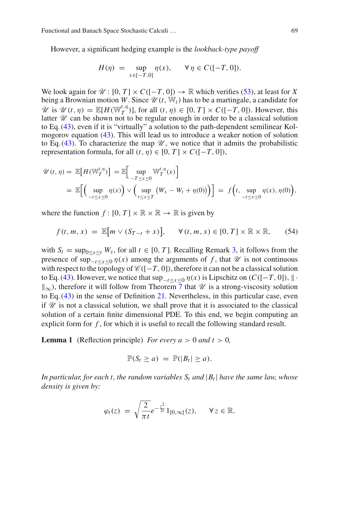Functional and Banach Space Stochastic Calculi … 69

However, a significant hedging example is the *lookback-type payoff*

$$
H(\eta) = \sup_{x \in [-T,0]} \eta(x), \quad \forall \eta \in C([-T,0]).
$$

We look again for  $\mathcal{U} : [0, T] \times C([-T, 0]) \to \mathbb{R}$  which verifies [\(53\)](#page-41-2), at least for *X* being a Brownian motion *W*. Since  $\mathcal{U}(t, \mathbb{W}_t)$  has to be a martingale, a candidate for *U* is  $\mathcal{U}(t, \eta) = \mathbb{E}[H(\mathbb{W}_T^{t, \eta})],$  for all  $(t, \eta) \in [0, T] \times C([-T, 0]).$  However, this latter *U* can be shown not to be regular enough in order to be a classical solution to Eq. [\(43\)](#page-34-1), even if it is "virtually" a solution to the path-dependent semilinear Kolmogorov equation [\(43\)](#page-34-1). This will lead us to introduce a weaker notion of solution to Eq.  $(43)$ . To characterize the map  $\mathcal{U}$ , we notice that it admits the probabilistic representation formula, for all  $(t, \eta) \in [0, T] \times C([-T, 0]),$ 

$$
\mathcal{U}(t,\eta) = \mathbb{E}\big[H(\mathbb{W}_T^{t,\eta})\big] = \mathbb{E}\Big[\sup_{-T \le x \le 0} \mathbb{W}_T^{t,\eta}(x)\Big]
$$
  
= 
$$
\mathbb{E}\Big[\Big(\sup_{-t \le x \le 0} \eta(x)\Big) \vee \Big(\sup_{t \le x \le T} \big(W_x - W_t + \eta(0)\big)\Big)\Big] = f\Big(t, \sup_{-t \le x \le 0} \eta(x), \eta(0)\Big),
$$

<span id="page-42-1"></span>where the function  $f : [0, T] \times \mathbb{R} \times \mathbb{R} \to \mathbb{R}$  is given by

$$
f(t, m, x) = \mathbb{E}[m \vee (S_{T-t} + x)], \quad \forall (t, m, x) \in [0, T] \times \mathbb{R} \times \mathbb{R}, \quad (54)
$$

with  $S_t = \sup_{0 \le s \le t} W_s$ , for all  $t \in [0, T]$ . Recalling Remark [3,](#page-11-0) it follows from the presence of  $\sup_{-t\leq x\leq 0} \eta(x)$  among the arguments of f, that  $\mathscr U$  is not continuous with respect to the topology of  $\mathcal{C}([-T, 0])$ , therefore it can not be a classical solution to Eq. [\(43\)](#page-34-1). However, we notice that  $\sup_{-t \le x \le 0} \eta(x)$  is Lipschitz on ( $C([-T, 0])$ ,  $\|\cdot\|$ ∞), therefore it will follow from Theorem [7](#page-48-0) that *U* is a strong-viscosity solution to Eq. [\(43\)](#page-34-1) in the sense of Definition [21.](#page-46-2) Nevertheless, in this particular case, even if  $\mathcal U$  is not a classical solution, we shall prove that it is associated to the classical solution of a certain finite dimensional PDE. To this end, we begin computing an explicit form for f, for which it is useful to recall the following standard result.

<span id="page-42-0"></span>**Lemma 1** (Reflection principle) *For every a*  $> 0$  *and t*  $> 0$ ,

$$
\mathbb{P}(S_t \geq a) = \mathbb{P}(|B_t| \geq a).
$$

*In particular, for each t, the random variables*  $S_t$  *and*  $|B_t|$  *have the same law, whose density is given by:*

$$
\varphi_t(z) = \sqrt{\frac{2}{\pi t}} e^{-\frac{z^2}{2t}} 1_{[0,\infty[}(z), \quad \forall z \in \mathbb{R}.
$$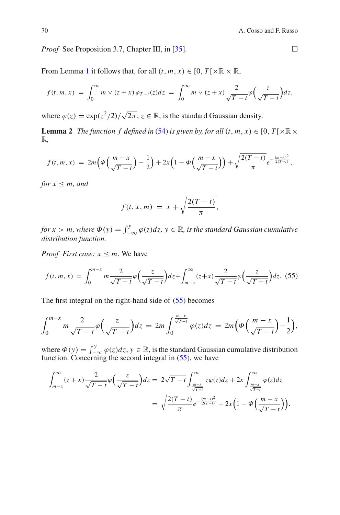*Proof* See Proposition 3.7, Chapter III, in [\[35](#page-53-13)].

From Lemma [1](#page-42-0) it follows that, for all  $(t, m, x) \in [0, T] \times \mathbb{R} \times \mathbb{R}$ ,

$$
f(t, m, x) = \int_0^\infty m \vee (z + x) \varphi_{T-t}(z) dz = \int_0^\infty m \vee (z + x) \frac{2}{\sqrt{T-t}} \varphi \left( \frac{z}{\sqrt{T-t}} \right) dz,
$$

<span id="page-43-1"></span>where  $\varphi(z) = \exp(\frac{z^2}{2})/\sqrt{2\pi}, z \in \mathbb{R}$ , is the standard Gaussian density.

**Lemma 2** *The function f defined in* [\(54\)](#page-42-1) *is given by, for all*  $(t, m, x) \in [0, T] \times \mathbb{R} \times$ R*,*

$$
f(t, m, x) = 2m\left(\Phi\left(\frac{m - x}{\sqrt{T - t}}\right) - \frac{1}{2}\right) + 2x\left(1 - \Phi\left(\frac{m - x}{\sqrt{T - t}}\right)\right) + \sqrt{\frac{2(T - t)}{\pi}}e^{-\frac{(m - x)^2}{2(T - t)}},
$$

*for*  $x \leq m$ *, and* 

$$
f(t,x,m) = x + \sqrt{\frac{2(T-t)}{\pi}},
$$

*for*  $x > m$ , where  $\Phi(y) = \int_{-\infty}^{y} \varphi(z) dz$ ,  $y \in \mathbb{R}$ , is the standard Gaussian cumulative *distribution function.*

<span id="page-43-0"></span>*Proof First case:*  $x \leq m$ . We have

$$
f(t,m,x) = \int_0^{m-x} m \frac{2}{\sqrt{T-t}} \varphi\left(\frac{z}{\sqrt{T-t}}\right) dz + \int_{m-x}^{\infty} (z+x) \frac{2}{\sqrt{T-t}} \varphi\left(\frac{z}{\sqrt{T-t}}\right) dz. \tag{55}
$$

The first integral on the right-hand side of  $(55)$  becomes

$$
\int_0^{m-x} m \frac{2}{\sqrt{T-t}} \varphi \Big( \frac{z}{\sqrt{T-t}} \Big) dz = 2m \int_0^{\frac{m-x}{\sqrt{T-t}}} \varphi(z) dz = 2m \Big( \Phi \Big( \frac{m-x}{\sqrt{T-t}} \Big) - \frac{1}{2} \Big),
$$

where  $\Phi(y) = \int_{-\infty}^{y} \varphi(z) dz$ ,  $y \in \mathbb{R}$ , is the standard Gaussian cumulative distribution function. Concerning the second integral in [\(55\)](#page-43-0), we have

$$
\int_{m-x}^{\infty} (z+x) \frac{2}{\sqrt{T-t}} \varphi \left( \frac{z}{\sqrt{T-t}} \right) dz = 2\sqrt{T-t} \int_{\frac{m-x}{\sqrt{T-t}}}^{\infty} z \varphi(z) dz + 2x \int_{\frac{m-x}{\sqrt{T-t}}}^{\infty} \varphi(z) dz
$$

$$
= \sqrt{\frac{2(T-t)}{\pi}} e^{-\frac{(m-x)^2}{2(T-t)}} + 2x \left( 1 - \varphi \left( \frac{m-x}{\sqrt{T-t}} \right) \right).
$$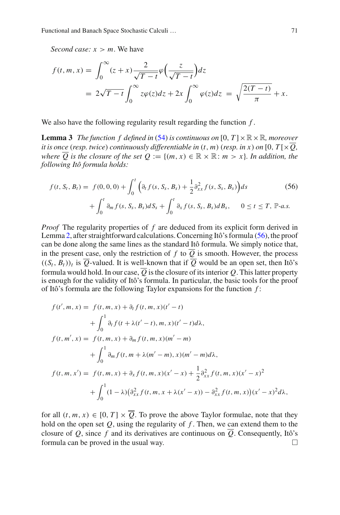*Second case:*  $x > m$ . We have

$$
f(t, m, x) = \int_0^\infty (z + x) \frac{2}{\sqrt{T - t}} \varphi \left( \frac{z}{\sqrt{T - t}} \right) dz
$$
  
=  $2\sqrt{T - t} \int_0^\infty z \varphi(z) dz + 2x \int_0^\infty \varphi(z) dz = \sqrt{\frac{2(T - t)}{\pi}} + x.$ 

We also have the following regularity result regarding the function *f* .

**Lemma 3** *The function f defined in* [\(54\)](#page-42-1) *is continuous on* [0,  $T$ ]  $\times \mathbb{R} \times \mathbb{R}$ *, moreover it is once* (*resp. twice*) *continuously differentiable in*  $(t, m)$  (*resp. in x*) *on* [0,  $T[\times \overline{Q}]$ , *where*  $\overline{Q}$  *is the closure of the set*  $Q := \{(m, x) \in \mathbb{R} \times \mathbb{R} : m > x\}$ *. In addition, the following Itô formula holds:*

<span id="page-44-0"></span>
$$
f(t, S_t, B_t) = f(0, 0, 0) + \int_0^t \left( \partial_t f(s, S_s, B_s) + \frac{1}{2} \partial_{xx}^2 f(s, S_s, B_s) \right) ds
$$
  
+ 
$$
\int_0^t \partial_m f(s, S_s, B_s) dS_s + \int_0^t \partial_x f(s, S_s, B_s) dB_s, \quad 0 \le t \le T, \ \mathbb{P}\text{-}a.s.
$$
 (56)

*Proof* The regularity properties of f are deduced from its explicit form derived in Lemma [2,](#page-43-1) after straightforward calculations. Concerning Itô's formula [\(56\)](#page-44-0), the proof can be done along the same lines as the standard Itô formula. We simply notice that, in the present case, only the restriction of  $f$  to  $\overline{Q}$  is smooth. However, the process  $((S_t, B_t))_t$  is  $\overline{Q}$ -valued. It is well-known that if  $\overline{Q}$  would be an open set, then Itô's formula would hold. In our case,  $\overline{O}$  is the closure of its interior O. This latter property is enough for the validity of Itô's formula. In particular, the basic tools for the proof of Itô's formula are the following Taylor expansions for the function *f* :

$$
f(t', m, x) = f(t, m, x) + \partial_t f(t, m, x)(t' - t)
$$
  
+  $\int_0^1 \partial_t f(t + \lambda(t' - t), m, x)(t' - t) d\lambda$ ,  

$$
f(t, m', x) = f(t, m, x) + \partial_m f(t, m, x)(m' - m)
$$
  
+  $\int_0^1 \partial_m f(t, m + \lambda(m' - m), x)(m' - m) d\lambda$ ,  

$$
f(t, m, x') = f(t, m, x) + \partial_x f(t, m, x)(x' - x) + \frac{1}{2} \partial_{xx}^2 f(t, m, x)(x' - x)^2
$$
  
+  $\int_0^1 (1 - \lambda) (\partial_{xx}^2 f(t, m, x + \lambda(x' - x)) - \partial_{xx}^2 f(t, m, x))(x' - x)^2 d\lambda$ ,

for all  $(t, m, x) \in [0, T] \times \overline{Q}$ . To prove the above Taylor formulae, note that they hold on the open set *Q*, using the regularity of *f* . Then, we can extend them to the closure of *Q*, since *f* and its derivatives are continuous on  $\overline{Q}$ . Consequently, Itô's formula can be proved in the usual way.  $\Box$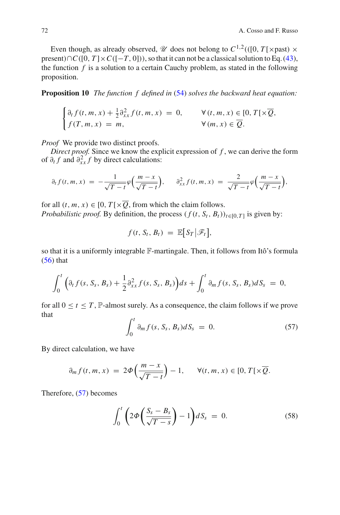Even though, as already observed,  $\mathcal{U}$  does not belong to  $C^{1,2}((0, T[\times \text{past}) \times$ present)∩*C*([0, *T* ]×*C*([−*T*, 0])), so that it can not be a classical solution to Eq. [\(43\)](#page-34-1), the function  $f$  is a solution to a certain Cauchy problem, as stated in the following proposition.

**Proposition 10** *The function f defined in* [\(54\)](#page-42-1) *solves the backward heat equation:*

$$
\begin{cases} \partial_t f(t, m, x) + \frac{1}{2} \partial_{xx}^2 f(t, m, x) = 0, & \forall (t, m, x) \in [0, T[ \times \overline{Q}, f(T, m, x) = m, & \forall (m, x) \in \overline{Q}. \end{cases}
$$

*Proof* We provide two distinct proofs.

*Direct proof.* Since we know the explicit expression of *f* , we can derive the form of  $\partial_t f$  and  $\partial_{xx}^2 f$  by direct calculations:

$$
\partial_t f(t, m, x) = -\frac{1}{\sqrt{T-t}} \varphi\left(\frac{m-x}{\sqrt{T-t}}\right), \quad \partial_{xx}^2 f(t, m, x) = \frac{2}{\sqrt{T-t}} \varphi\left(\frac{m-x}{\sqrt{T-t}}\right),
$$

for all  $(t, m, x) \in [0, T[\times \overline{Q}]$ , from which the claim follows. *Probabilistic proof.* By definition, the process  $(f(t, S_t, B_t))_{t \in [0, T]}$  is given by:

$$
f(t, S_t, B_t) = \mathbb{E}[S_T|\mathscr{F}_t],
$$

so that it is a uniformly integrable F-martingale. Then, it follows from Itô's formula  $(56)$  that

$$
\int_0^t \Big( \partial_t f(s, S_s, B_s) + \frac{1}{2} \partial_{xx}^2 f(s, S_s, B_s) \Big) ds + \int_0^t \partial_m f(s, S_s, B_s) dS_s = 0,
$$

<span id="page-45-0"></span>for all  $0 \le t \le T$ , P-almost surely. As a consequence, the claim follows if we prove that

$$
\int_0^t \partial_m f(s, S_s, B_s) dS_s = 0. \tag{57}
$$

By direct calculation, we have

$$
\partial_m f(t, m, x) = 2\Phi\left(\frac{m - x}{\sqrt{T - t}}\right) - 1, \quad \forall (t, m, x) \in [0, T[\times \overline{Q}].
$$

<span id="page-45-1"></span>Therefore, [\(57\)](#page-45-0) becomes

$$
\int_0^t \left(2\Phi\left(\frac{S_s - B_s}{\sqrt{T - s}}\right) - 1\right) dS_s = 0. \tag{58}
$$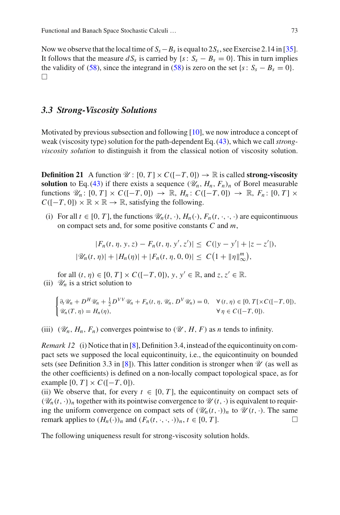Now we observe that the local time of  $S_s - B_s$  is equal to  $2S_s$ , see Exercise 2.14 in [\[35](#page-53-13)]. It follows that the measure  $dS_s$  is carried by  $\{s: S_s - B_s = 0\}$ . This in turn implies the validity of [\(58\)](#page-45-1), since the integrand in (58) is zero on the set  $\{s: S_s - B_s = 0\}$ .  $\Box$ 

#### <span id="page-46-1"></span>*3.3 Strong-Viscosity Solutions*

<span id="page-46-2"></span>Motivated by previous subsection and following [\[10\]](#page-52-1), we now introduce a concept of weak (viscosity type) solution for the path-dependent Eq. [\(43\)](#page-34-1), which we call *strongviscosity solution* to distinguish it from the classical notion of viscosity solution.

**Definition 21** A function  $\mathcal{U} : [0, T] \times C([-T, 0]) \rightarrow \mathbb{R}$  is called **strong-viscosity solution** to Eq. [\(43\)](#page-34-1) if there exists a sequence  $(\mathcal{U}_n, H_n, F_n)_n$  of Borel measurable functions  $\mathcal{U}_n : [0, T] \times C([-T, 0]) \rightarrow \mathbb{R}$ ,  $H_n : C([-T, 0]) \rightarrow \mathbb{R}$ ,  $F_n : [0, T] \times$  $C([-T, 0]) \times \mathbb{R} \times \mathbb{R} \to \mathbb{R}$ , satisfying the following.

(i) For all  $t \in [0, T]$ , the functions  $\mathcal{U}_n(t, \cdot), H_n(\cdot), F_n(t, \cdot, \cdot)$  are equicontinuous on compact sets and, for some positive constants *C* and *m*,

$$
|F_n(t, \eta, y, z) - F_n(t, \eta, y', z')| \leq C(|y - y'| + |z - z'|),
$$
  

$$
|\mathscr{U}_n(t, \eta)| + |H_n(\eta)| + |F_n(t, \eta, 0, 0)| \leq C(1 + ||\eta||_{\infty}^m),
$$

for all  $(t, \eta) \in [0, T] \times C([-T, 0]), y, y' \in \mathbb{R}$ , and  $z, z' \in \mathbb{R}$ . (ii)  $\mathcal{U}_n$  is a strict solution to

$$
\begin{cases} \partial_t \mathscr{U}_n + D^H \mathscr{U}_n + \frac{1}{2} D^{VV} \mathscr{U}_n + F_n(t, \eta, \mathscr{U}_n, D^V \mathscr{U}_n) = 0, & \forall (t, \eta) \in [0, T[ \times C([-T, 0]), \\ \mathscr{U}_n(T, \eta) = H_n(\eta), & \forall \eta \in C([-T, 0]). \end{cases}
$$

<span id="page-46-0"></span>(iii)  $(\mathcal{U}_n, H_n, F_n)$  converges pointwise to  $(\mathcal{U}, H, F)$  as *n* tends to infinity.

*Remark 12* (i) Notice that in [\[8\]](#page-52-2), Definition 3.4, instead of the equicontinuity on compact sets we supposed the local equicontinuity, i.e., the equicontinuity on bounded sets (see Definition 3.3 in [\[8](#page-52-2)]). This latter condition is stronger when  $\mathcal U$  (as well as the other coefficients) is defined on a non-locally compact topological space, as for example  $[0, T] \times C([-T, 0]).$ 

(ii) We observe that, for every  $t \in [0, T]$ , the equicontinuity on compact sets of  $(\mathcal{U}_n(t, \cdot))_n$  together with its pointwise convergence to  $\mathcal{U}(t, \cdot)$  is equivalent to requiring the uniform convergence on compact sets of  $(\mathcal{U}_n(t, \cdot))_n$  to  $\mathcal{U}(t, \cdot)$ . The same<br>remark applies to  $(H_1(\cdot))$  and  $(F_1(t, \cdot, \cdot))_n \neq F_1[0, T]$ remark applies to  $(H_n(\cdot))_n$  and  $(F_n(t, \cdot, \cdot, \cdot))_n, t \in [0, T]$ .

The following uniqueness result for strong-viscosity solution holds.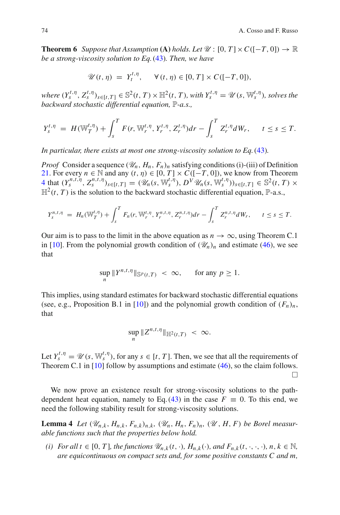**Theorem 6** *Suppose that Assumption* **(A)** *holds. Let*  $\mathcal{U}: [0, T] \times C([-T, 0]) \rightarrow \mathbb{R}$ *be a strong-viscosity solution to Eq.*[\(43\)](#page-34-1)*. Then, we have*

$$
\mathscr{U}(t,\eta) = Y_t^{t,\eta}, \quad \forall (t,\eta) \in [0,T] \times C([-T,0]),
$$

where  $(Y_s^{t,\eta}, Z_s^{t,\eta})_{s\in[t,T]}\in\mathbb{S}^2(t,T)\times\mathbb{H}^2(t,T)$ , with  $Y_s^{t,\eta}=\mathscr{U}(s,\mathbb{W}_s^{t,\eta})$ , solves the *backward stochastic differential equation,* P*-a.s.,*

$$
Y_s^{t,\eta} = H(\mathbb{W}_T^{t,\eta}) + \int_s^T F(r, \mathbb{W}_r^{t,\eta}, Y_r^{t,\eta}, Z_r^{t,\eta})dr - \int_s^T Z_r^{t,\eta}dW_r, \quad t \leq s \leq T.
$$

*In particular, there exists at most one strong-viscosity solution to Eq.*[\(43\)](#page-34-1)*.*

*Proof* Consider a sequence  $(\mathcal{U}_n, H_n, F_n)_n$  satisfying conditions (i)-(iii) of Definition [21.](#page-46-2) For every  $n \in \mathbb{N}$  and any  $(t, \eta) \in [0, T] \times C([-T, 0])$ , we know from Theorem [4](#page-36-1) that  $(Y_s^{n,t,\eta}, Z_s^{n,t,\eta})_{s \in [t,T]} = (\mathcal{U}_n(s, \mathbb{W}_s^{t,\eta}), D^V \mathcal{U}_n(s, \mathbb{W}_s^{t,\eta}))_{s \in [t,T]} \in \mathbb{S}^2(t,T) \times$  $\mathbb{H}^2(t, T)$  is the solution to the backward stochastic differential equation, P-a.s.,

$$
Y_s^{n,t,\eta} = H_n(\mathbb{W}_T^{t,\eta}) + \int_s^T F_n(r, \mathbb{W}_r^{t,\eta}, Y_r^{n,t,\eta}, Z_r^{n,t,\eta})dr - \int_s^T Z_r^{n,t,\eta}dW_r, \quad t \leq s \leq T.
$$

Our aim is to pass to the limit in the above equation as  $n \to \infty$ , using Theorem C.1 in [\[10](#page-52-1)]. From the polynomial growth condition of  $(\mathcal{U}_n)$ <sub>*n*</sub> and estimate [\(46\)](#page-36-3), we see that

$$
\sup_n \|Y^{n,t,\eta}\|_{\mathbb{S}^p(t,T)} < \infty, \quad \text{for any } p \ge 1.
$$

This implies, using standard estimates for backward stochastic differential equations (see, e.g., Proposition B.1 in [\[10\]](#page-52-1)) and the polynomial growth condition of  $(F_n)_n$ , that

$$
\sup_n \|Z^{n,t,\eta}\|_{\mathbb{H}^2(t,T)} < \infty.
$$

Let  $Y_s^{t,\eta} = \mathcal{U}(s, \mathbb{W}_s^{t,\eta})$ , for any  $s \in [t, T]$ . Then, we see that all the requirements of Theorem C.1 in [\[10\]](#page-52-1) follow by assumptions and estimate [\(46\)](#page-36-3), so the claim follows.  $\Box$ 

We now prove an existence result for strong-viscosity solutions to the path-dependent heat equation, namely to Eq. [\(43\)](#page-34-1) in the case  $F \equiv 0$ . To this end, we need the following stability result for strong-viscosity solutions.

<span id="page-47-0"></span>**Lemma 4** Let  $(\mathcal{U}_{n,k}, H_{n,k}, F_{n,k})_{n,k}$ ,  $(\mathcal{U}_n, H_n, F_n)_n$ ,  $(\mathcal{U}, H, F)$  be Borel measur*able functions such that the properties below hold.*

*(i)* For all  $t \in [0, T]$ , the functions  $\mathcal{U}_{n,k}(t, \cdot)$ ,  $H_{n,k}(\cdot)$ , and  $F_{n,k}(t, \cdot, \cdot, \cdot)$ ,  $n, k \in \mathbb{N}$ , *are equicontinuous on compact sets and, for some positive constants C and m,*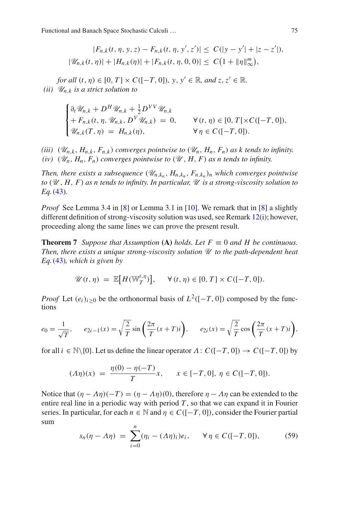$$
|F_{n,k}(t, \eta, y, z) - F_{n,k}(t, \eta, y', z')| \leq C(|y - y'| + |z - z'|),
$$
  

$$
|\mathscr{U}_{n,k}(t, \eta)| + |H_{n,k}(\eta)| + |F_{n,k}(t, \eta, 0, 0)| \leq C(1 + ||\eta||_{\infty}^m),
$$

*for all*  $(t, \eta) \in [0, T] \times C([-T, 0]), \gamma, \gamma' \in \mathbb{R}, \text{ and } z, z' \in \mathbb{R}.$ *(ii) Un*,*<sup>k</sup> is a strict solution to*

$$
\begin{cases} \partial_t \mathcal{U}_{n,k} + D^H \mathcal{U}_{n,k} + \frac{1}{2} D^{VV} \mathcal{U}_{n,k} \\ + F_{n,k}(t, \eta, \mathcal{U}_{n,k}, D^V \mathcal{U}_{n,k}) = 0, & \forall (t, \eta) \in [0, T[ \times C([-T, 0]), \\ \mathcal{U}_{n,k}(T, \eta) = H_{n,k}(\eta), & \forall \eta \in C([-T, 0]). \end{cases}
$$

*(iii)*  $(\mathcal{U}_{n,k}, H_{n,k}, F_{n,k})$  *converges pointwise to*  $(\mathcal{U}_n, H_n, F_n)$  *as k tends to infinity. (iv)*  $(\mathcal{U}_n, H_n, F_n)$  *converges pointwise to*  $(\mathcal{U}, H, F)$  *as n tends to infinity.* 

*Then, there exists a subsequence*  $(\mathcal{U}_{n,k_n}, H_{n,k_n}, F_{n,k_n})$ *n* which converges pointwise *to* (*U* , *H*, *F*) *as n tends to infinity. In particular, U is a strong-viscosity solution to Eq.*[\(43\)](#page-34-1)*.*

*Proof* See Lemma 3.4 in [\[8](#page-52-2)] or Lemma 3.1 in [\[10](#page-52-1)]. We remark that in [\[8\]](#page-52-2) a slightly different definition of strong-viscosity solution was used, see Remark  $12(i)$  $12(i)$ ; however, proceeding along the same lines we can prove the present result.

<span id="page-48-0"></span>**Theorem 7** *Suppose that Assumption* **(A)** *holds. Let*  $F \equiv 0$  *and*  $H$  *be continuous. Then, there exists a unique strong-viscosity solution U to the path-dependent heat Eq.*[\(43\)](#page-34-1)*, which is given by*

$$
\mathscr{U}(t,\eta) = \mathbb{E}\big[H(\mathbb{W}_T^{t,\eta})\big], \quad \forall (t,\eta) \in [0,T] \times C([-T,0]).
$$

*Proof* Let  $(e_i)_{i>0}$  be the orthonormal basis of  $L^2([-T, 0])$  composed by the functions

$$
e_0 = \frac{1}{\sqrt{T}}, \qquad e_{2i-1}(x) = \sqrt{\frac{2}{T}} \sin\left(\frac{2\pi}{T}(x+T)i\right), \qquad e_{2i}(x) = \sqrt{\frac{2}{T}} \cos\left(\frac{2\pi}{T}(x+T)i\right),
$$

for all  $i \in \mathbb{N} \setminus \{0\}$ . Let us define the linear operator  $\Lambda: C([-T, 0]) \to C([-T, 0])$  by

$$
(\Lambda \eta)(x) = \frac{\eta(0) - \eta(-T)}{T} x, \quad x \in [-T, 0], \ \eta \in C([-T, 0]).
$$

<span id="page-48-1"></span>Notice that  $(\eta - \Lambda \eta)(-T) = (\eta - \Lambda \eta)(0)$ , therefore  $\eta - \Lambda \eta$  can be extended to the entire real line in a periodic way with period *T* , so that we can expand it in Fourier series. In particular, for each  $n \in \mathbb{N}$  and  $n \in C([-T, 0])$ , consider the Fourier partial sum

$$
s_n(\eta - \Lambda \eta) = \sum_{i=0}^n (\eta_i - (\Lambda \eta)_i) e_i, \quad \forall \eta \in C([-T, 0]), \tag{59}
$$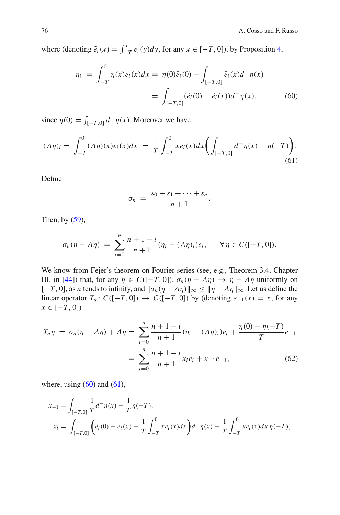where (denoting  $\tilde{e}_i(x) = \int_{-T}^{x} e_i(y) dy$ , for any  $x \in [-T, 0]$ ), by Proposition [4,](#page-8-3)

$$
\eta_i = \int_{-T}^0 \eta(x) e_i(x) dx = \eta(0) \tilde{e}_i(0) - \int_{[-T,0]} \tilde{e}_i(x) d^{\text{-}} \eta(x)
$$

$$
= \int_{[-T,0]} (\tilde{e}_i(0) - \tilde{e}_i(x)) d^{\text{-}} \eta(x), \tag{60}
$$

since  $\eta(0) = \int_{[-T,0]} d^{\text{-}} \eta(x)$ . Moreover we have

$$
(\Lambda \eta)_i = \int_{-T}^0 (\Lambda \eta)(x) e_i(x) dx = \frac{1}{T} \int_{-T}^0 x e_i(x) dx \left( \int_{[-T,0]} d^-\eta(x) - \eta(-T) \right). \tag{61}
$$

Define

<span id="page-49-2"></span><span id="page-49-1"></span><span id="page-49-0"></span>
$$
\sigma_n = \frac{s_0 + s_1 + \dots + s_n}{n+1}.
$$

Then, by  $(59)$ ,

$$
\sigma_n(\eta - \Lambda \eta) = \sum_{i=0}^n \frac{n+1-i}{n+1} (\eta_i - (\Lambda \eta)_i) e_i, \quad \forall \eta \in C([-T,0]).
$$

We know from Fejér's theorem on Fourier series (see, e.g., Theorem 3.4, Chapter III, in [\[44\]](#page-53-14)) that, for any  $\eta \in C([-T, 0])$ ,  $\sigma_n(\eta - \Lambda \eta) \to \eta - \Lambda \eta$  uniformly on  $[-T, 0]$ , as *n* tends to infinity, and  $\|\sigma_n(\eta - \Lambda \eta)\|_{\infty} \le \|\eta - \Lambda \eta\|_{\infty}$ . Let us define the linear operator *T<sub>n</sub>*:  $C([-T, 0]) \rightarrow C([-T, 0])$  by (denoting  $e_{-1}(x) = x$ , for any  $x \in [-T, 0]$ 

$$
T_n \eta = \sigma_n(\eta - \Lambda \eta) + \Lambda \eta = \sum_{i=0}^n \frac{n+1-i}{n+1} (\eta_i - (\Lambda \eta)_i) e_i + \frac{\eta(0) - \eta(-T)}{T} e_{-1}
$$

$$
= \sum_{i=0}^n \frac{n+1-i}{n+1} x_i e_i + x_{-1} e_{-1}, \tag{62}
$$

where, using  $(60)$  and  $(61)$ ,

$$
x_{-1} = \int_{[-T,0]} \frac{1}{T} d^- \eta(x) - \frac{1}{T} \eta(-T),
$$
  
\n
$$
x_i = \int_{[-T,0]} \left( \tilde{e}_i(0) - \tilde{e}_i(x) - \frac{1}{T} \int_{-T}^0 x e_i(x) dx \right) d^- \eta(x) + \frac{1}{T} \int_{-T}^0 x e_i(x) dx \eta(-T),
$$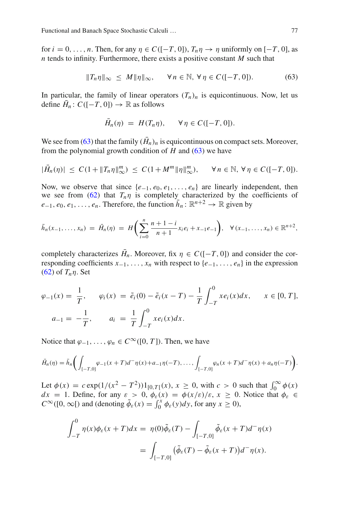<span id="page-50-0"></span>for  $i = 0, \ldots, n$ . Then, for any  $\eta \in C([-T, 0]), T_n \eta \to \eta$  uniformly on  $[-T, 0]$ , as *n* tends to infinity. Furthermore, there exists a positive constant *M* such that

$$
||T_n\eta||_{\infty} \le M||\eta||_{\infty}, \quad \forall n \in \mathbb{N}, \forall \eta \in C([-T, 0]). \tag{63}
$$

In particular, the family of linear operators  $(T_n)_n$  is equicontinuous. Now, let us define  $\bar{H}_n$ :  $C([-T, 0]) \rightarrow \mathbb{R}$  as follows

$$
H_n(\eta) = H(T_n \eta), \quad \forall \eta \in C([-T, 0]).
$$

We see from [\(63\)](#page-50-0) that the family  $(H_n)_n$  is equicontinuous on compact sets. Moreover, from the polynomial growth condition of  $H$  and  $(63)$  we have

$$
|\bar{H}_n(\eta)| \leq C(1 + \|T_n\eta\|_{\infty}^m) \leq C(1 + M^m \|\eta\|_{\infty}^m), \quad \forall n \in \mathbb{N}, \forall \eta \in C([-T, 0]).
$$

Now, we observe that since {*e*−1, *e*0, *e*1,..., *en*} are linearly independent, then we see from [\(62\)](#page-49-2) that  $T_n \eta$  is completely characterized by the coefficients of *e*−1, *e*<sub>0</sub>, *e*<sub>1</sub>,..., *e<sub>n</sub>*. Therefore, the function  $\bar{h}_n$ :  $\mathbb{R}^{n+2} \to \mathbb{R}$  given by

$$
\bar{h}_n(x_{-1},\ldots,x_n) = \bar{H}_n(\eta) = H\bigg(\sum_{i=0}^n \frac{n+1-i}{n+1}x_i e_i + x_{-1}e_{-1}\bigg), \quad \forall (x_{-1},\ldots,x_n) \in \mathbb{R}^{n+2},
$$

completely characterizes  $\bar{H}_n$ . Moreover, fix  $\eta \in C([-T, 0])$  and consider the corresponding coefficients  $x_{-1}, \ldots, x_n$  with respect to  $\{e_{-1}, \ldots, e_n\}$  in the expression [\(62\)](#page-49-2) of  $T_n$ *n*. Set

$$
\varphi_{-1}(x) = \frac{1}{T}, \qquad \varphi_i(x) = \tilde{e}_i(0) - \tilde{e}_i(x - T) - \frac{1}{T} \int_{-T}^0 x e_i(x) dx, \qquad x \in [0, T],
$$
  

$$
a_{-1} = -\frac{1}{T}, \qquad a_i = \frac{1}{T} \int_{-T}^0 x e_i(x) dx.
$$

Notice that  $\varphi_{-1}, \ldots, \varphi_n \in C^\infty([0, T])$ . Then, we have

$$
\bar{H}_n(\eta) = \bar{h}_n \Biggl( \int_{[-T,0]} \varphi_{-1}(x+T) d^-\eta(x) + a_{-1}\eta(-T), \ldots, \int_{[-T,0]} \varphi_n(x+T) d^-\eta(x) + a_n\eta(-T) \Biggr).
$$

Let  $\phi(x) = c \exp(1/(x^2 - T^2))1_{[0,T]}(x), x \ge 0$ , with  $c > 0$  such that  $\int_0^\infty \phi(x)$  $dx = 1$ . Define, for any  $\varepsilon > 0$ ,  $\phi_{\varepsilon}(x) = \phi(x/\varepsilon)/\varepsilon$ ,  $x \ge 0$ . Notice that  $\phi_{\varepsilon} \in$  $C^{\infty}([0,\infty[)$  and (denoting  $\tilde{\phi}_{\varepsilon}(x) = \int_0^x \phi_{\varepsilon}(y) dy$ , for any  $x \ge 0$ ),

$$
\int_{-T}^{0} \eta(x)\phi_{\varepsilon}(x+T)dx = \eta(0)\tilde{\phi}_{\varepsilon}(T) - \int_{[-T,0]} \tilde{\phi}_{\varepsilon}(x+T)d^{-}\eta(x)
$$

$$
= \int_{[-T,0]} (\tilde{\phi}_{\varepsilon}(T) - \tilde{\phi}_{\varepsilon}(x+T))d^{-}\eta(x).
$$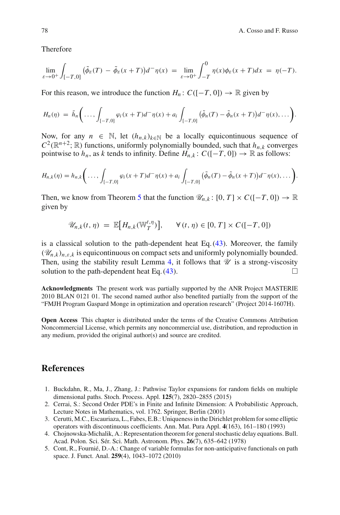Therefore

$$
\lim_{\varepsilon \to 0^+} \int_{[-T,0]} \left( \tilde{\phi}_{\varepsilon}(T) - \tilde{\phi}_{\varepsilon}(x+T) \right) d^-\eta(x) = \lim_{\varepsilon \to 0^+} \int_{-T}^0 \eta(x) \phi_{\varepsilon}(x+T) dx = \eta(-T).
$$

For this reason, we introduce the function  $H_n: C([-T, 0]) \to \mathbb{R}$  given by

$$
H_n(\eta) = \bar{h}_n \bigg( \ldots, \int_{[-T,0]} \varphi_i(x+T) d^{\top} \eta(x) + a_i \int_{[-T,0]} (\tilde{\phi}_n(T) - \tilde{\phi}_n(x+T)) d^{\top} \eta(x), \ldots \bigg).
$$

Now, for any  $n \in \mathbb{N}$ , let  $(h_{n,k})_{k \in \mathbb{N}}$  be a locally equicontinuous sequence of  $C^2(\mathbb{R}^{n+2}; \mathbb{R})$  functions, uniformly polynomially bounded, such that  $h_{n,k}$  converges pointwise to  $h_n$ , as k tends to infinity. Define  $H_n$ ,  $k: C([-T, 0]) \to \mathbb{R}$  as follows:

$$
H_{n,k}(\eta)=h_{n,k}\bigg(\ldots,\int_{[-T,0]}\varphi_i(x+T)d^-\eta(x)+a_i\int_{[-T,0]}\big(\tilde{\phi}_n(T)-\tilde{\phi}_n(x+T)\big)d^-\eta(x),\ldots\bigg).
$$

Then, we know from Theorem [5](#page-37-1) that the function  $\mathcal{U}_{n,k}$ :  $[0, T] \times C([-T, 0]) \rightarrow \mathbb{R}$ given by

$$
\mathscr{U}_{n,k}(t,\eta) = \mathbb{E}\big[H_{n,k}(\mathbb{W}_T^{t,\eta})\big], \quad \forall (t,\eta) \in [0,T] \times C([-T,0])
$$

is a classical solution to the path-dependent heat Eq.  $(43)$ . Moreover, the family  $(\mathcal{U}_{n,k})_{n,\varepsilon,k}$  is equicontinuous on compact sets and uniformly polynomially bounded. Then, using the stability result Lemma [4,](#page-47-0) it follows that  $\mathcal U$  is a strong-viscosity solution to the path-dependent heat Eq.  $(43)$ .

**Acknowledgments** The present work was partially supported by the ANR Project MASTERIE 2010 BLAN 0121 01. The second named author also benefited partially from the support of the "FMJH Program Gaspard Monge in optimization and operation research" (Project 2014-1607H).

**Open Access** This chapter is distributed under the terms of the Creative Commons Attribution Noncommercial License, which permits any noncommercial use, distribution, and reproduction in any medium, provided the original author(s) and source are credited.

#### **References**

- <span id="page-51-1"></span>1. Buckdahn, R., Ma, J., Zhang, J.: Pathwise Taylor expansions for random fields on multiple dimensional paths. Stoch. Process. Appl. **125**(7), 2820–2855 (2015)
- <span id="page-51-3"></span>2. Cerrai, S.: Second Order PDE's in Finite and Infinite Dimension: A Probabilistic Approach, Lecture Notes in Mathematics, vol. 1762. Springer, Berlin (2001)
- <span id="page-51-2"></span>3. Cerutti, M.C., Escauriaza, L., Fabes, E.B.: Uniqueness in the Dirichlet problem for some elliptic operators with discontinuous coefficients. Ann. Mat. Pura Appl. **4**(163), 161–180 (1993)
- <span id="page-51-4"></span>4. Chojnowska-Michalik, A.: Representation theorem for general stochastic delay equations. Bull. Acad. Polon. Sci. Sér. Sci. Math. Astronom. Phys. **26**(7), 635–642 (1978)
- <span id="page-51-0"></span>5. Cont, R., Fournié, D.-A.: Change of variable formulas for non-anticipative functionals on path space. J. Funct. Anal. **259**(4), 1043–1072 (2010)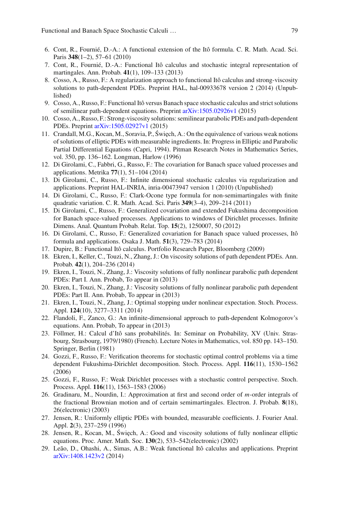- 6. Cont, R., Fournié, D.-A.: A functional extension of the Itô formula. C. R. Math. Acad. Sci. Paris **348**(1–2), 57–61 (2010)
- <span id="page-52-4"></span>7. Cont, R., Fournié, D.-A.: Functional Itô calculus and stochastic integral representation of martingales. Ann. Probab. **41**(1), 109–133 (2013)
- <span id="page-52-2"></span>8. Cosso, A., Russo, F.: A regularization approach to functional Itô calculus and strong-viscosity solutions to path-dependent PDEs. Preprint HAL, hal-00933678 version 2 (2014) (Unpublished)
- <span id="page-52-0"></span>9. Cosso, A., Russo, F.: Functional Itô versus Banach space stochastic calculus and strict solutions of semilinear path-dependent equations. Preprint [arXiv:1505.02926v1](http://arxiv.org/abs/1505.02926v1) (2015)
- <span id="page-52-1"></span>10. Cosso, A., Russo, F.: Strong-viscosity solutions: semilinear parabolic PDEs and path-dependent PDEs. Preprint [arXiv:1505.02927v1](http://arxiv.org/abs/1505.02927v1) (2015)
- <span id="page-52-15"></span>11. Crandall, M.G., Kocan, M., Soravia, P., Święch, A.: On the equivalence of various weak notions of solutions of elliptic PDEs with measurable ingredients. In: Progress in Elliptic and Parabolic Partial Differential Equations (Capri, 1994). Pitman Research Notes in Mathematics Series, vol. 350, pp. 136–162. Longman, Harlow (1996)
- <span id="page-52-5"></span>12. Di Girolami, C., Fabbri, G., Russo, F.: The covariation for Banach space valued processes and applications. Metrika **77**(1), 51–104 (2014)
- <span id="page-52-9"></span>13. Di Girolami, C., Russo, F.: Infinite dimensional stochastic calculus via regularization and applications. Preprint HAL-INRIA, inria-00473947 version 1 (2010) (Unpublished)
- <span id="page-52-8"></span>14. Di Girolami, C., Russo, F.: Clark-Ocone type formula for non-semimartingales with finite quadratic variation. C. R. Math. Acad. Sci. Paris **349**(3–4), 209–214 (2011)
- 15. Di Girolami, C., Russo, F.: Generalized covariation and extended Fukushima decomposition for Banach space-valued processes. Applications to windows of Dirichlet processes. Infinite Dimens. Anal. Quantum Probab. Relat. Top. **15**(2), 1250007, 50 (2012)
- <span id="page-52-6"></span>16. Di Girolami, C., Russo, F.: Generalized covariation for Banach space valued processes, Itô formula and applications. Osaka J. Math. **51**(3), 729–783 (2014)
- <span id="page-52-3"></span>17. Dupire, B.: Functional Itô calculus. Portfolio Research Paper, Bloomberg (2009)
- <span id="page-52-11"></span>18. Ekren, I., Keller, C., Touzi, N., Zhang, J.: On viscosity solutions of path dependent PDEs. Ann. Probab. **42**(1), 204–236 (2014)
- 19. Ekren, I., Touzi, N., Zhang, J.: Viscosity solutions of fully nonlinear parabolic path dependent PDEs: Part I. Ann. Probab, To appear in (2013)
- <span id="page-52-12"></span>20. Ekren, I., Touzi, N., Zhang, J.: Viscosity solutions of fully nonlinear parabolic path dependent PDEs: Part II. Ann. Probab, To appear in (2013)
- <span id="page-52-13"></span>21. Ekren, I., Touzi, N., Zhang, J.: Optimal stopping under nonlinear expectation. Stoch. Process. Appl. **124**(10), 3277–3311 (2014)
- <span id="page-52-10"></span>22. Flandoli, F., Zanco, G.: An infinite-dimensional approach to path-dependent Kolmogorov's equations. Ann. Probab, To appear in (2013)
- <span id="page-52-7"></span>23. Föllmer, H.: Calcul d'Itô sans probabilités. In: Seminar on Probability, XV (Univ. Strasbourg, Strasbourg, 1979/1980) (French). Lecture Notes in Mathematics, vol. 850 pp. 143–150. Springer, Berlin (1981)
- <span id="page-52-18"></span>24. Gozzi, F., Russo, F.: Verification theorems for stochastic optimal control problems via a time dependent Fukushima-Dirichlet decomposition. Stoch. Process. Appl. **116**(11), 1530–1562 (2006)
- <span id="page-52-19"></span>25. Gozzi, F., Russo, F.: Weak Dirichlet processes with a stochastic control perspective. Stoch. Process. Appl. **116**(11), 1563–1583 (2006)
- <span id="page-52-20"></span>26. Gradinaru, M., Nourdin, I.: Approximation at first and second order of *m*-order integrals of the fractional Brownian motion and of certain semimartingales. Electron. J. Probab. **8**(18), 26(electronic) (2003)
- <span id="page-52-16"></span>27. Jensen, R.: Uniformly elliptic PDEs with bounded, measurable coefficients. J. Fourier Anal. Appl. **2**(3), 237–259 (1996)
- <span id="page-52-17"></span>28. Jensen, R., Kocan, M., Święch, A.: Good and viscosity solutions of fully nonlinear elliptic equations. Proc. Amer. Math. Soc. **130**(2), 533–542(electronic) (2002)
- <span id="page-52-14"></span>29. Leão, D., Ohashi, A., Simas, A.B.: Weak functional Itô calculus and applications. Preprint [arXiv:1408.1423v2](http://arxiv.org/abs/1408.1423v2) (2014)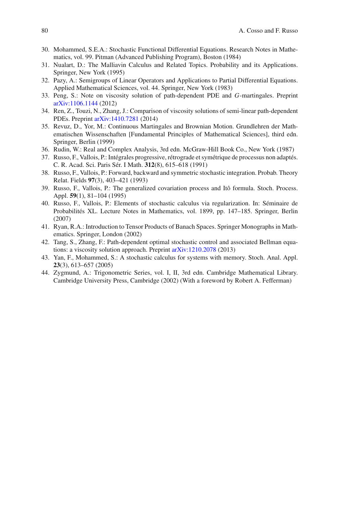- <span id="page-53-0"></span>30. Mohammed, S.E.A.: Stochastic Functional Differential Equations. Research Notes in Mathematics, vol. 99. Pitman (Advanced Publishing Program), Boston (1984)
- <span id="page-53-12"></span>31. Nualart, D.: The Malliavin Calculus and Related Topics. Probability and its Applications. Springer, New York (1995)
- <span id="page-53-10"></span>32. Pazy, A.: Semigroups of Linear Operators and Applications to Partial Differential Equations. Applied Mathematical Sciences, vol. 44. Springer, New York (1983)
- <span id="page-53-1"></span>33. Peng, S.: Note on viscosity solution of path-dependent PDE and *G*-martingales. Preprint [arXiv:1106.1144](http://arxiv.org/abs/1106.1144) (2012)
- <span id="page-53-3"></span>34. Ren, Z., Touzi, N., Zhang, J.: Comparison of viscosity solutions of semi-linear path-dependent PDEs. Preprint [arXiv:1410.7281](http://arxiv.org/abs/1410.7281) (2014)
- <span id="page-53-13"></span>35. Revuz, D., Yor, M.: Continuous Martingales and Brownian Motion. Grundlehren der Mathematischen Wissenschaften [Fundamental Principles of Mathematical Sciences], third edn. Springer, Berlin (1999)
- <span id="page-53-9"></span>36. Rudin, W.: Real and Complex Analysis, 3rd edn. McGraw-Hill Book Co., New York (1987)
- <span id="page-53-4"></span>37. Russo, F., Vallois, P.: Intégrales progressive, rétrograde et symétrique de processus non adaptés. C. R. Acad. Sci. Paris Sér. I Math. **312**(8), 615–618 (1991)
- <span id="page-53-5"></span>38. Russo, F., Vallois, P.: Forward, backward and symmetric stochastic integration. Probab. Theory Relat. Fields **97**(3), 403–421 (1993)
- <span id="page-53-8"></span>39. Russo, F., Vallois, P.: The generalized covariation process and Itô formula. Stoch. Process. Appl. **59**(1), 81–104 (1995)
- <span id="page-53-6"></span>40. Russo, F., Vallois, P.: Elements of stochastic calculus via regularization. In: Séminaire de Probabilités XL. Lecture Notes in Mathematics, vol. 1899, pp. 147–185. Springer, Berlin (2007)
- <span id="page-53-11"></span>41. Ryan, R.A.: Introduction to Tensor Products of Banach Spaces. Springer Monographs in Mathematics. Springer, London (2002)
- <span id="page-53-2"></span>42. Tang, S., Zhang, F.: Path-dependent optimal stochastic control and associated Bellman equations: a viscosity solution approach. Preprint [arXiv:1210.2078](http://arxiv.org/abs/1210.2078) (2013)
- <span id="page-53-7"></span>43. Yan, F., Mohammed, S.: A stochastic calculus for systems with memory. Stoch. Anal. Appl. **23**(3), 613–657 (2005)
- <span id="page-53-14"></span>44. Zygmund, A.: Trigonometric Series, vol. I, II, 3rd edn. Cambridge Mathematical Library. Cambridge University Press, Cambridge (2002) (With a foreword by Robert A. Fefferman)